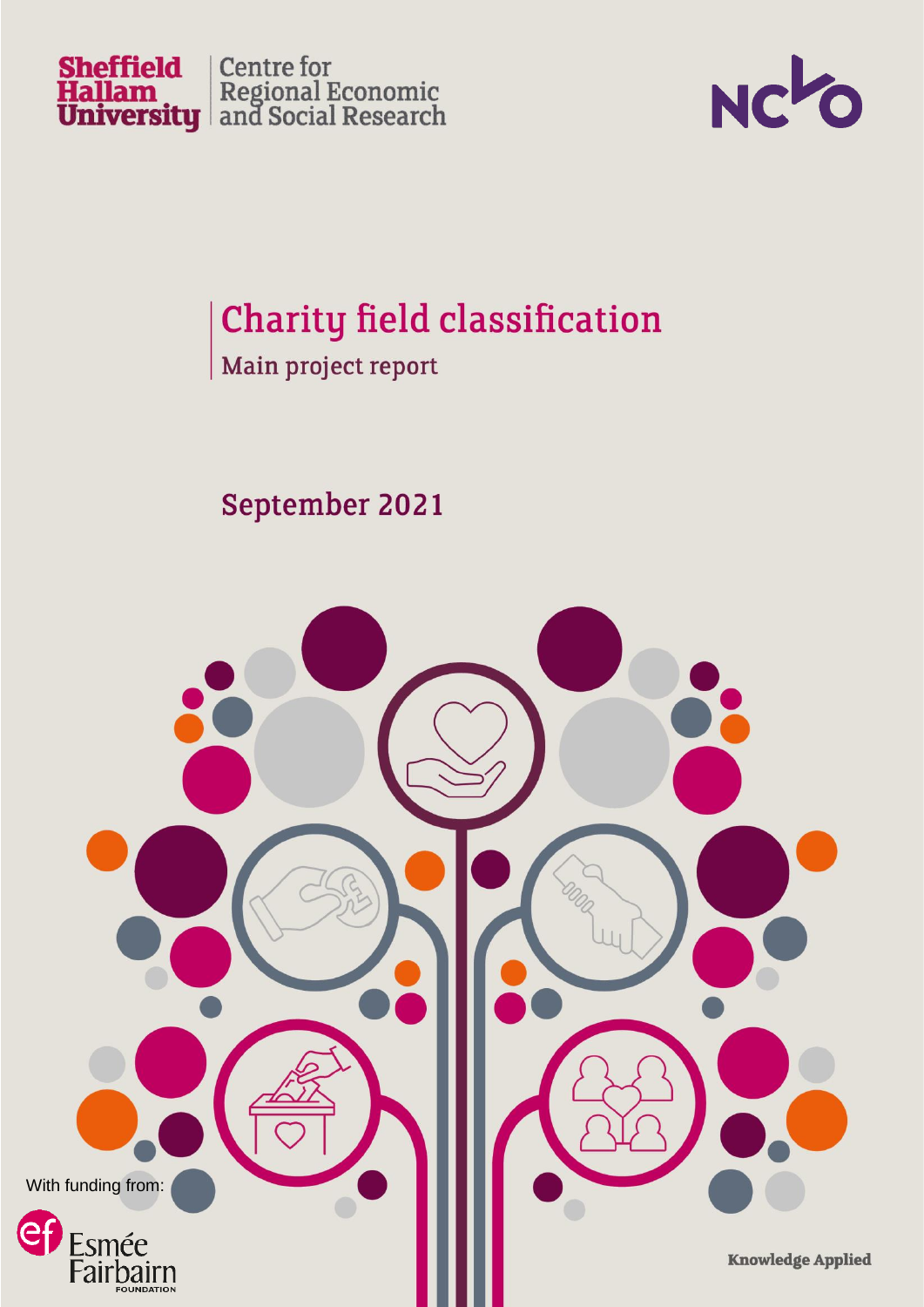



# Charity field classification

Main project report

September 2021

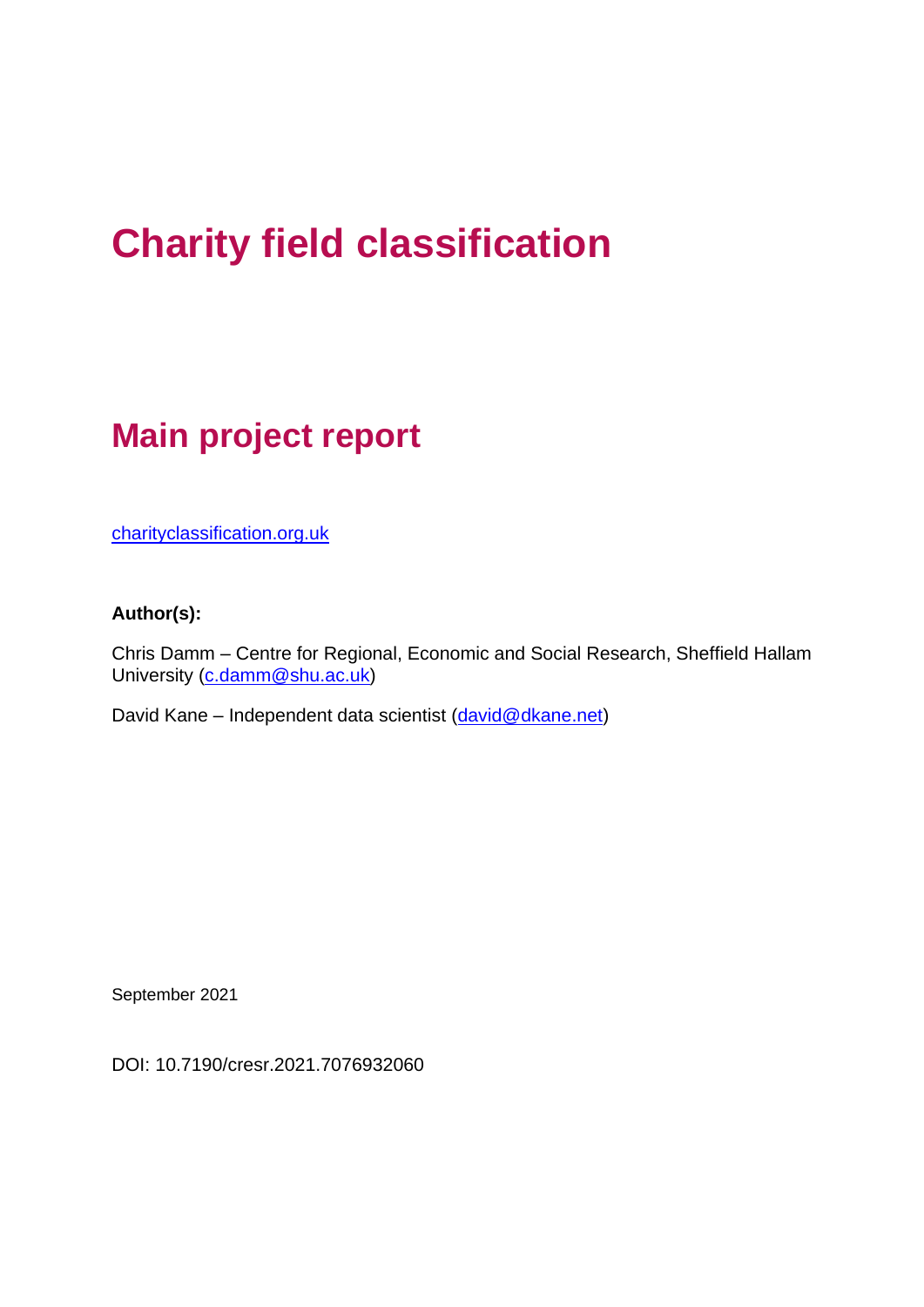## **Charity field classification**

## **Main project report**

[charityclassification.org.uk](https://charityclassification.org.uk/)

## **Author(s):**

Chris Damm – Centre for Regional, Economic and Social Research, Sheffield Hallam University [\(c.damm@shu.ac.uk\)](mailto:c.damm@shu.ac.uk)

David Kane – Independent data scientist [\(david@dkane.net\)](mailto:david@dkane.net)

September 2021

DOI: 10.7190/cresr.2021.7076932060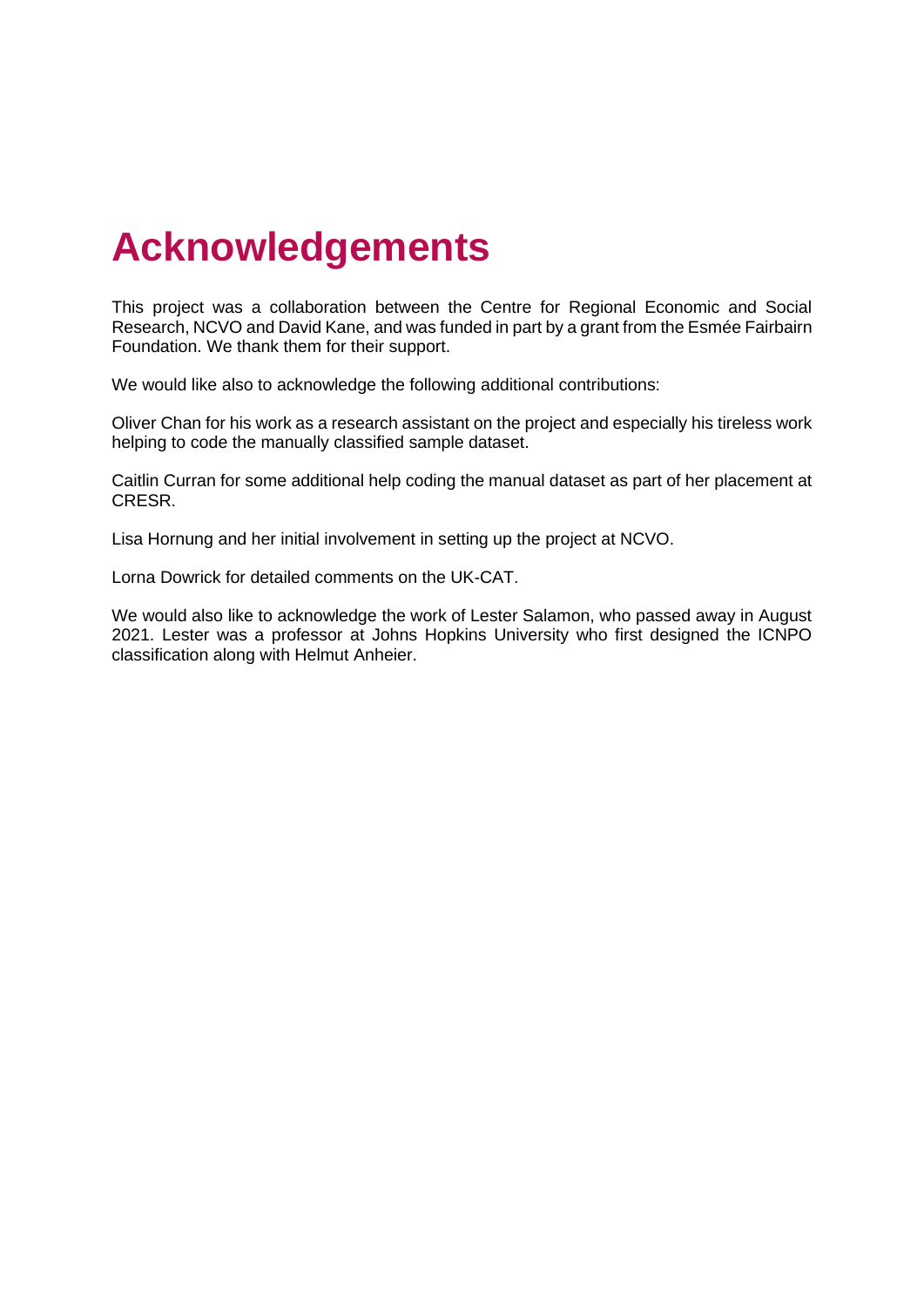## **Acknowledgements**

This project was a collaboration between the Centre for Regional Economic and Social Research, NCVO and David Kane, and was funded in part by a grant from the Esmée Fairbairn Foundation. We thank them for their support.

We would like also to acknowledge the following additional contributions:

Oliver Chan for his work as a research assistant on the project and especially his tireless work helping to code the manually classified sample dataset.

Caitlin Curran for some additional help coding the manual dataset as part of her placement at CRESR.

Lisa Hornung and her initial involvement in setting up the project at NCVO.

Lorna Dowrick for detailed comments on the UK-CAT.

We would also like to acknowledge the work of Lester Salamon, who passed away in August 2021. Lester was a professor at Johns Hopkins University who first designed the ICNPO classification along with Helmut Anheier.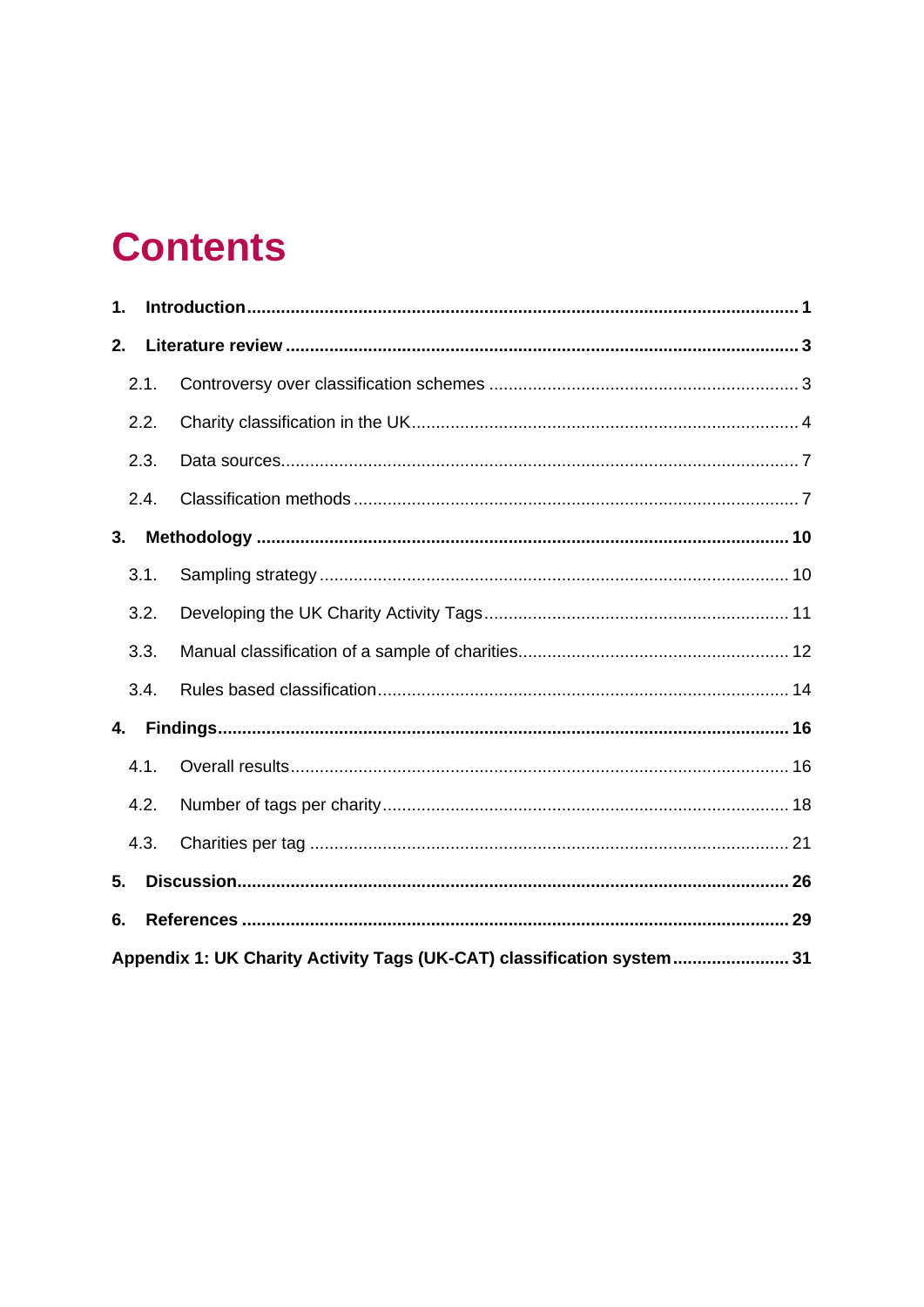# **Contents**

| 1. |      |                                                                        |  |
|----|------|------------------------------------------------------------------------|--|
| 2. |      |                                                                        |  |
|    | 2.1. |                                                                        |  |
|    | 2.2. |                                                                        |  |
|    | 2.3. |                                                                        |  |
|    | 2.4. |                                                                        |  |
| 3. |      |                                                                        |  |
|    | 3.1. |                                                                        |  |
|    | 3.2. |                                                                        |  |
|    | 3.3. |                                                                        |  |
|    | 3.4. |                                                                        |  |
| 4. |      |                                                                        |  |
|    | 4.1. |                                                                        |  |
|    | 4.2. |                                                                        |  |
|    | 4.3. |                                                                        |  |
| 5. |      |                                                                        |  |
| 6. |      |                                                                        |  |
|    |      | Appendix 1: UK Charity Activity Tags (UK-CAT) classification system 31 |  |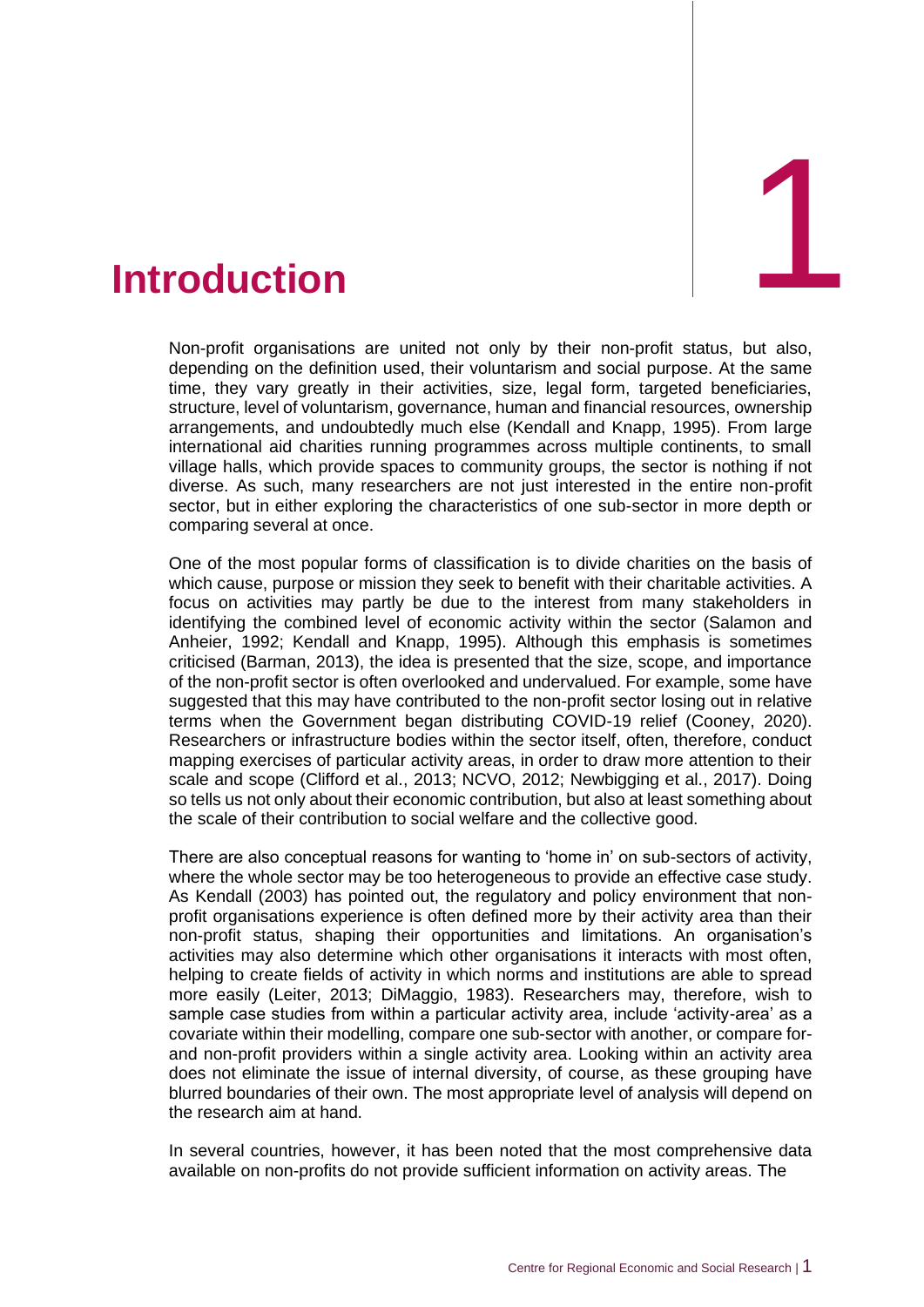

Non-profit organisations are united not only by their non-profit status, but also, depending on the definition used, their voluntarism and social purpose. At the same time, they vary greatly in their activities, size, legal form, targeted beneficiaries, structure, level of voluntarism, governance, human and financial resources, ownership arrangements, and undoubtedly much else (Kendall and Knapp, 1995). From large international aid charities running programmes across multiple continents, to small village halls, which provide spaces to community groups, the sector is nothing if not diverse. As such, many researchers are not just interested in the entire non-profit sector, but in either exploring the characteristics of one sub-sector in more depth or comparing several at once.

One of the most popular forms of classification is to divide charities on the basis of which cause, purpose or mission they seek to benefit with their charitable activities. A focus on activities may partly be due to the interest from many stakeholders in identifying the combined level of economic activity within the sector (Salamon and Anheier, 1992; Kendall and Knapp, 1995). Although this emphasis is sometimes criticised (Barman, 2013), the idea is presented that the size, scope, and importance of the non-profit sector is often overlooked and undervalued. For example, some have suggested that this may have contributed to the non-profit sector losing out in relative terms when the Government began distributing COVID-19 relief (Cooney, 2020). Researchers or infrastructure bodies within the sector itself, often, therefore, conduct mapping exercises of particular activity areas, in order to draw more attention to their scale and scope (Clifford et al., 2013; NCVO, 2012; Newbigging et al., 2017). Doing so tells us not only about their economic contribution, but also at least something about the scale of their contribution to social welfare and the collective good.

There are also conceptual reasons for wanting to 'home in' on sub-sectors of activity, where the whole sector may be too heterogeneous to provide an effective case study. As Kendall (2003) has pointed out, the regulatory and policy environment that nonprofit organisations experience is often defined more by their activity area than their non-profit status, shaping their opportunities and limitations. An organisation's activities may also determine which other organisations it interacts with most often, helping to create fields of activity in which norms and institutions are able to spread more easily (Leiter, 2013; DiMaggio, 1983). Researchers may, therefore, wish to sample case studies from within a particular activity area, include 'activity-area' as a covariate within their modelling, compare one sub-sector with another, or compare forand non-profit providers within a single activity area. Looking within an activity area does not eliminate the issue of internal diversity, of course, as these grouping have blurred boundaries of their own. The most appropriate level of analysis will depend on the research aim at hand.

In several countries, however, it has been noted that the most comprehensive data available on non-profits do not provide sufficient information on activity areas. The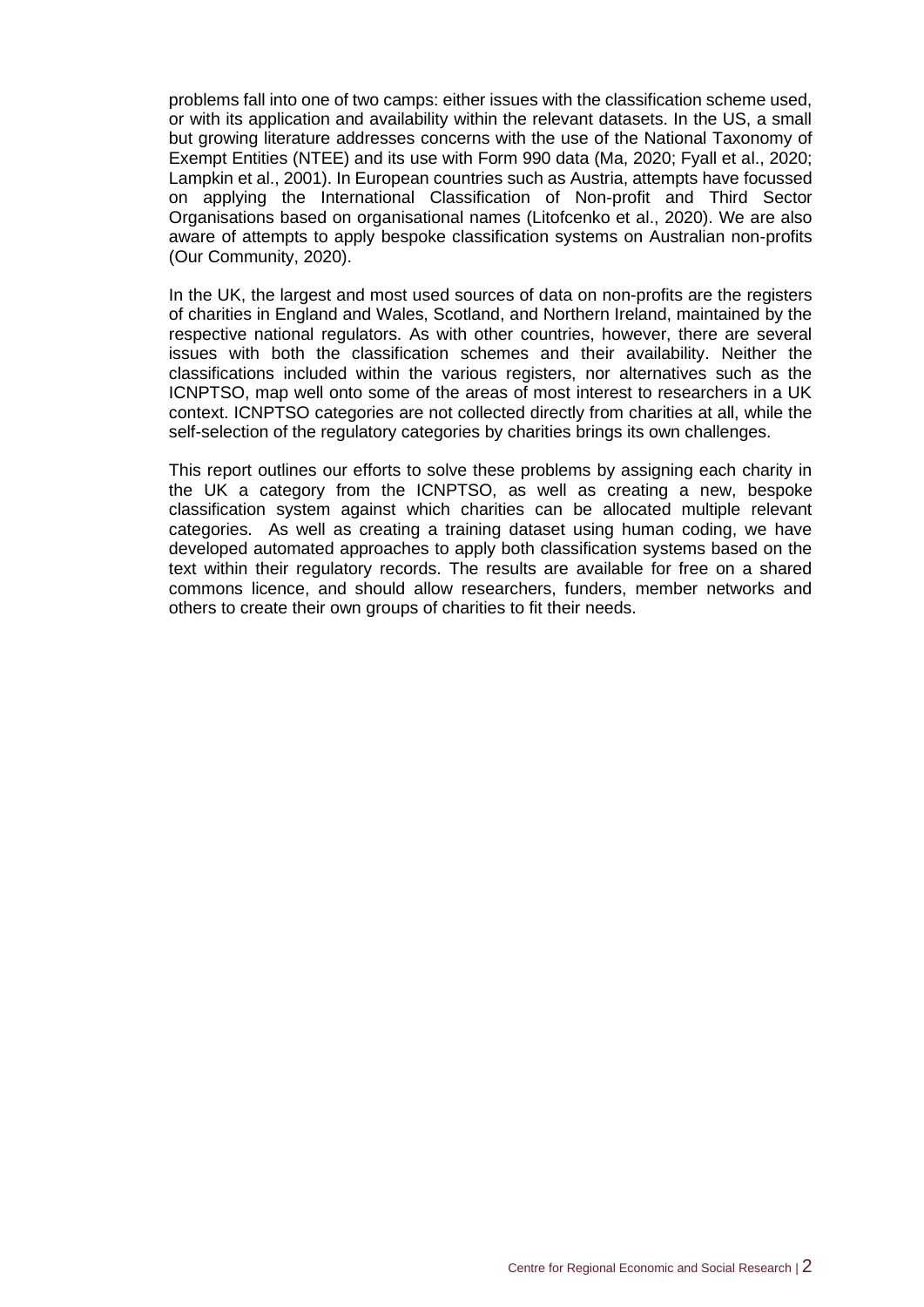problems fall into one of two camps: either issues with the classification scheme used, or with its application and availability within the relevant datasets. In the US, a small but growing literature addresses concerns with the use of the National Taxonomy of Exempt Entities (NTEE) and its use with Form 990 data (Ma, 2020; Fyall et al., 2020; Lampkin et al., 2001). In European countries such as Austria, attempts have focussed on applying the International Classification of Non-profit and Third Sector Organisations based on organisational names (Litofcenko et al., 2020). We are also aware of attempts to apply bespoke classification systems on Australian non-profits (Our Community, 2020).

In the UK, the largest and most used sources of data on non-profits are the registers of charities in England and Wales, Scotland, and Northern Ireland, maintained by the respective national regulators. As with other countries, however, there are several issues with both the classification schemes and their availability. Neither the classifications included within the various registers, nor alternatives such as the ICNPTSO, map well onto some of the areas of most interest to researchers in a UK context. ICNPTSO categories are not collected directly from charities at all, while the self-selection of the regulatory categories by charities brings its own challenges.

This report outlines our efforts to solve these problems by assigning each charity in the UK a category from the ICNPTSO, as well as creating a new, bespoke classification system against which charities can be allocated multiple relevant categories. As well as creating a training dataset using human coding, we have developed automated approaches to apply both classification systems based on the text within their regulatory records. The results are available for free on a shared commons licence, and should allow researchers, funders, member networks and others to create their own groups of charities to fit their needs.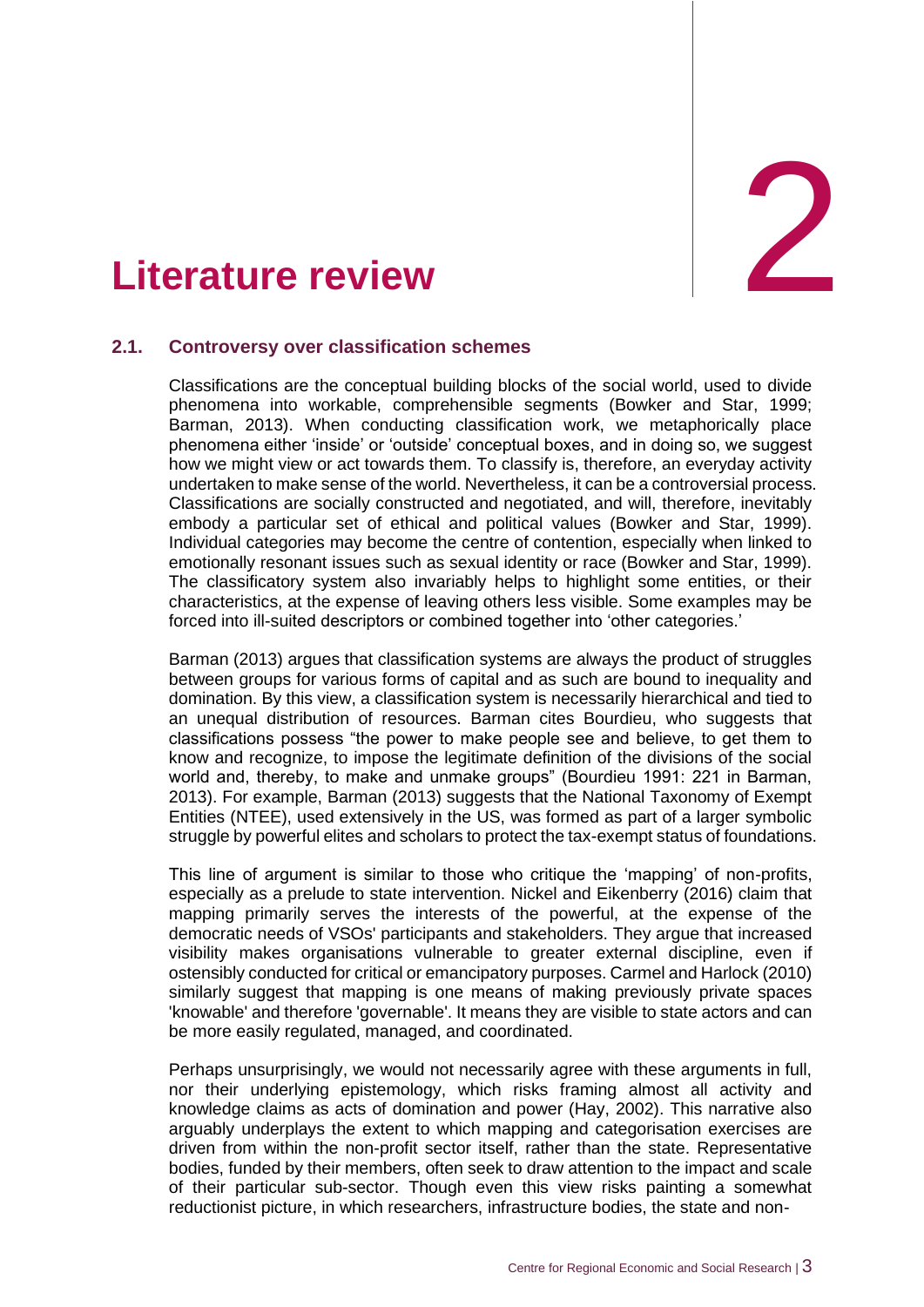

#### **2.1. Controversy over classification schemes**

Classifications are the conceptual building blocks of the social world, used to divide phenomena into workable, comprehensible segments (Bowker and Star, 1999; Barman, 2013). When conducting classification work, we metaphorically place phenomena either 'inside' or 'outside' conceptual boxes, and in doing so, we suggest how we might view or act towards them. To classify is, therefore, an everyday activity undertaken to make sense of the world. Nevertheless, it can be a controversial process. Classifications are socially constructed and negotiated, and will, therefore, inevitably embody a particular set of ethical and political values (Bowker and Star, 1999). Individual categories may become the centre of contention, especially when linked to emotionally resonant issues such as sexual identity or race (Bowker and Star, 1999). The classificatory system also invariably helps to highlight some entities, or their characteristics, at the expense of leaving others less visible. Some examples may be forced into ill-suited descriptors or combined together into 'other categories.'

Barman (2013) argues that classification systems are always the product of struggles between groups for various forms of capital and as such are bound to inequality and domination. By this view, a classification system is necessarily hierarchical and tied to an unequal distribution of resources. Barman cites Bourdieu, who suggests that classifications possess "the power to make people see and believe, to get them to know and recognize, to impose the legitimate definition of the divisions of the social world and, thereby, to make and unmake groups" (Bourdieu 1991: 221 in Barman, 2013). For example, Barman (2013) suggests that the National Taxonomy of Exempt Entities (NTEE), used extensively in the US, was formed as part of a larger symbolic struggle by powerful elites and scholars to protect the tax-exempt status of foundations.

This line of argument is similar to those who critique the 'mapping' of non-profits, especially as a prelude to state intervention. Nickel and Eikenberry (2016) claim that mapping primarily serves the interests of the powerful, at the expense of the democratic needs of VSOs' participants and stakeholders. They argue that increased visibility makes organisations vulnerable to greater external discipline, even if ostensibly conducted for critical or emancipatory purposes. Carmel and Harlock (2010) similarly suggest that mapping is one means of making previously private spaces 'knowable' and therefore 'governable'. It means they are visible to state actors and can be more easily regulated, managed, and coordinated.

Perhaps unsurprisingly, we would not necessarily agree with these arguments in full, nor their underlying epistemology, which risks framing almost all activity and knowledge claims as acts of domination and power (Hay, 2002). This narrative also arguably underplays the extent to which mapping and categorisation exercises are driven from within the non-profit sector itself, rather than the state. Representative bodies, funded by their members, often seek to draw attention to the impact and scale of their particular sub-sector. Though even this view risks painting a somewhat reductionist picture, in which researchers, infrastructure bodies, the state and non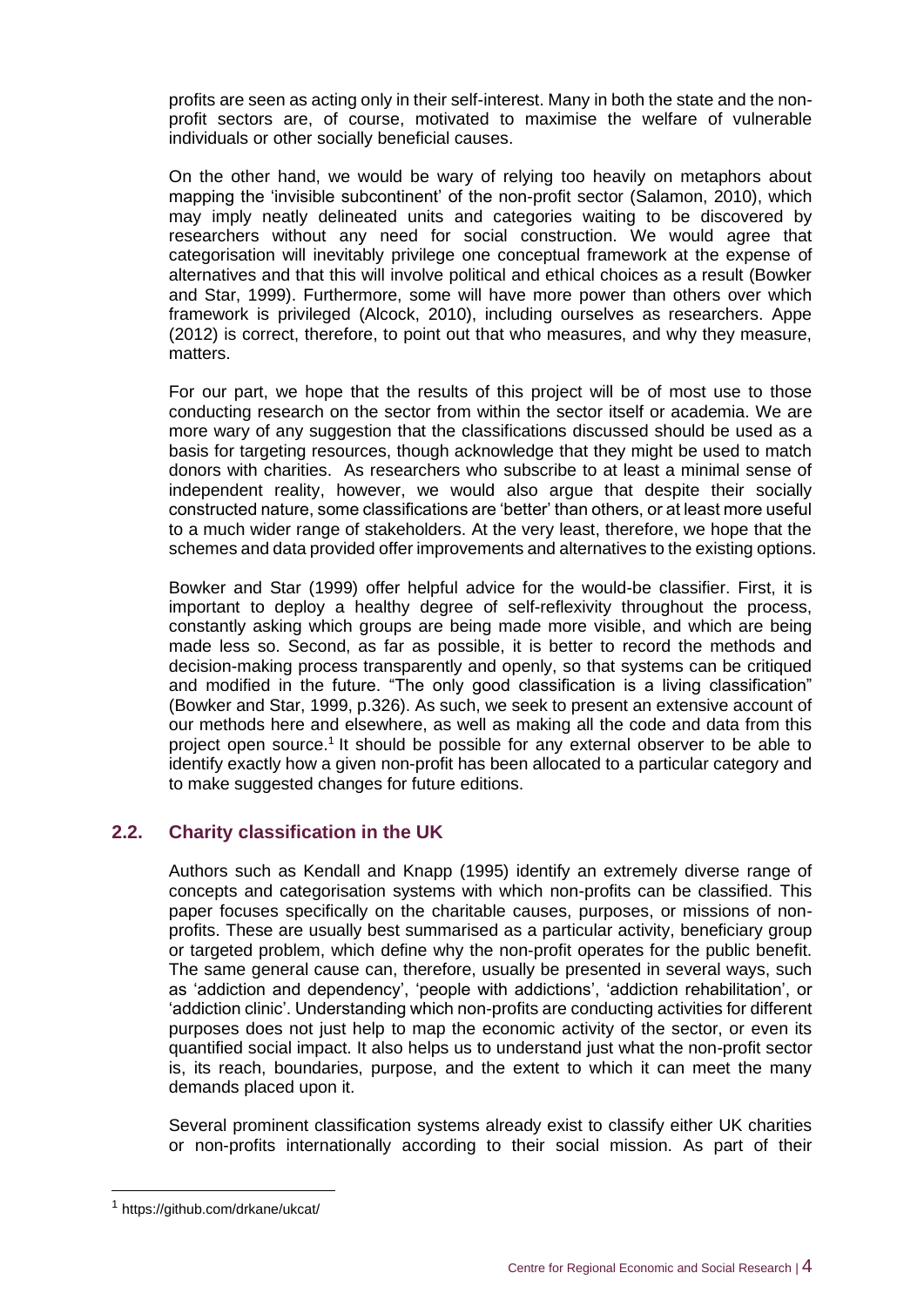profits are seen as acting only in their self-interest. Many in both the state and the nonprofit sectors are, of course, motivated to maximise the welfare of vulnerable individuals or other socially beneficial causes.

On the other hand, we would be wary of relying too heavily on metaphors about mapping the 'invisible subcontinent' of the non-profit sector (Salamon, 2010), which may imply neatly delineated units and categories waiting to be discovered by researchers without any need for social construction. We would agree that categorisation will inevitably privilege one conceptual framework at the expense of alternatives and that this will involve political and ethical choices as a result (Bowker and Star, 1999). Furthermore, some will have more power than others over which framework is privileged (Alcock, 2010), including ourselves as researchers. Appe (2012) is correct, therefore, to point out that who measures, and why they measure, matters.

For our part, we hope that the results of this project will be of most use to those conducting research on the sector from within the sector itself or academia. We are more wary of any suggestion that the classifications discussed should be used as a basis for targeting resources, though acknowledge that they might be used to match donors with charities. As researchers who subscribe to at least a minimal sense of independent reality, however, we would also argue that despite their socially constructed nature, some classifications are 'better' than others, or at least more useful to a much wider range of stakeholders. At the very least, therefore, we hope that the schemes and data provided offer improvements and alternatives to the existing options.

Bowker and Star (1999) offer helpful advice for the would-be classifier. First, it is important to deploy a healthy degree of self-reflexivity throughout the process, constantly asking which groups are being made more visible, and which are being made less so. Second, as far as possible, it is better to record the methods and decision-making process transparently and openly, so that systems can be critiqued and modified in the future. "The only good classification is a living classification" (Bowker and Star, 1999, p.326). As such, we seek to present an extensive account of our methods here and elsewhere, as well as making all the code and data from this project open source.<sup>1</sup> It should be possible for any external observer to be able to identify exactly how a given non-profit has been allocated to a particular category and to make suggested changes for future editions.

## **2.2. Charity classification in the UK**

Authors such as Kendall and Knapp (1995) identify an extremely diverse range of concepts and categorisation systems with which non-profits can be classified. This paper focuses specifically on the charitable causes, purposes, or missions of nonprofits. These are usually best summarised as a particular activity, beneficiary group or targeted problem, which define why the non-profit operates for the public benefit. The same general cause can, therefore, usually be presented in several ways, such as 'addiction and dependency', 'people with addictions', 'addiction rehabilitation', or 'addiction clinic'. Understanding which non-profits are conducting activities for different purposes does not just help to map the economic activity of the sector, or even its quantified social impact. It also helps us to understand just what the non-profit sector is, its reach, boundaries, purpose, and the extent to which it can meet the many demands placed upon it.

Several prominent classification systems already exist to classify either UK charities or non-profits internationally according to their social mission. As part of their

<sup>1</sup> <https://github.com/drkane/ukcat/>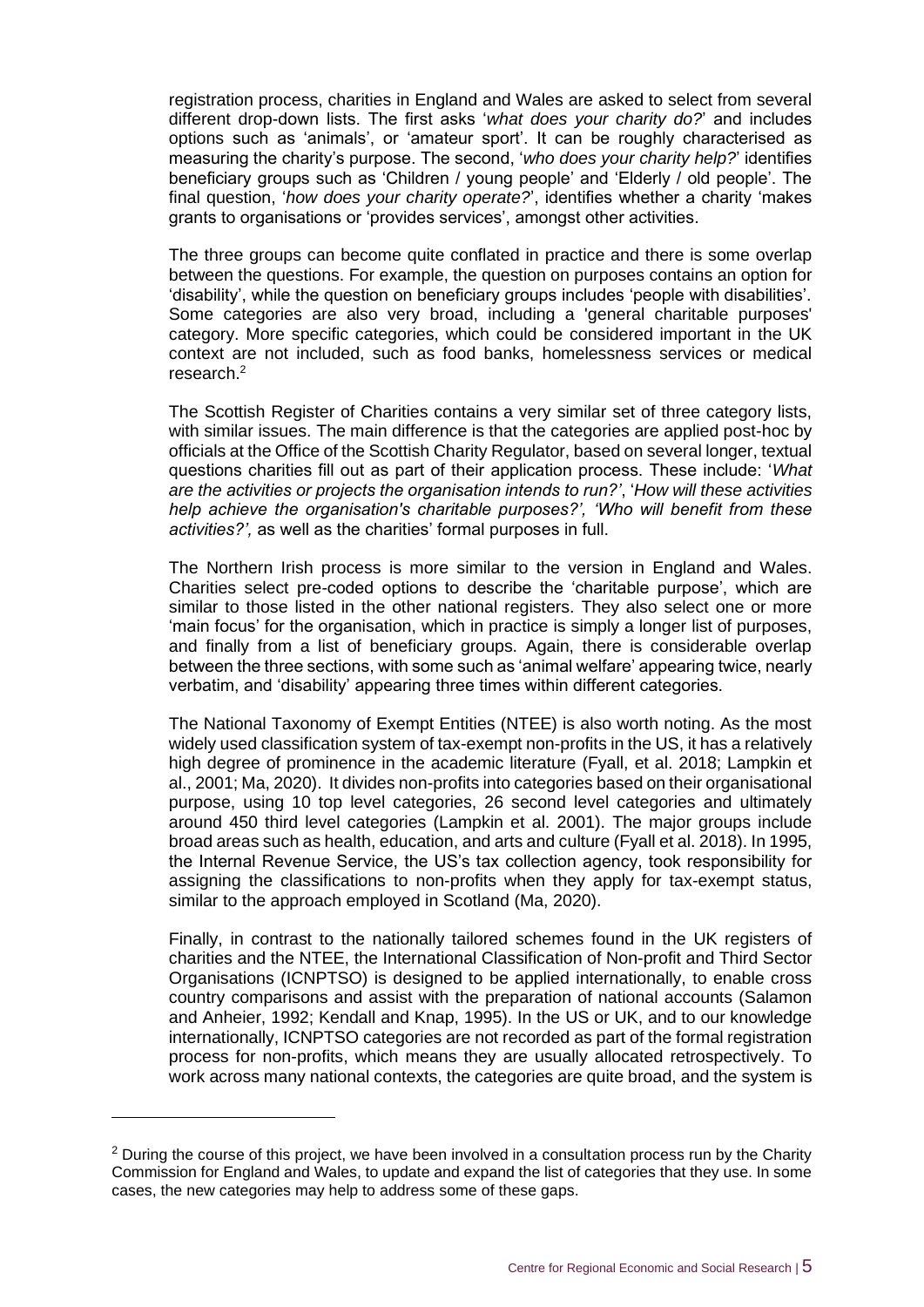registration process, charities in England and Wales are asked to select from several different drop-down lists. The first asks '*what does your charity do?*' and includes options such as 'animals', or 'amateur sport'. It can be roughly characterised as measuring the charity's purpose. The second, '*who does your charity help?*' identifies beneficiary groups such as 'Children / young people' and 'Elderly / old people'. The final question, '*how does your charity operate?*', identifies whether a charity 'makes grants to organisations or 'provides services', amongst other activities.

The three groups can become quite conflated in practice and there is some overlap between the questions. For example, the question on purposes contains an option for 'disability', while the question on beneficiary groups includes 'people with disabilities'. Some categories are also very broad, including a 'general charitable purposes' category. More specific categories, which could be considered important in the UK context are not included, such as food banks, homelessness services or medical research.<sup>2</sup>

The Scottish Register of Charities contains a very similar set of three category lists, with similar issues. The main difference is that the categories are applied post-hoc by officials at the Office of the Scottish Charity Regulator, based on several longer, textual questions charities fill out as part of their application process. These include: '*What are the activities or projects the organisation intends to run?'*, '*How will these activities help achieve the organisation's charitable purposes?', 'Who will benefit from these activities?',* as well as the charities' formal purposes in full.

The Northern Irish process is more similar to the version in England and Wales. Charities select pre-coded options to describe the 'charitable purpose', which are similar to those listed in the other national registers. They also select one or more 'main focus' for the organisation, which in practice is simply a longer list of purposes, and finally from a list of beneficiary groups. Again, there is considerable overlap between the three sections, with some such as 'animal welfare' appearing twice, nearly verbatim, and 'disability' appearing three times within different categories.

The National Taxonomy of Exempt Entities (NTEE) is also worth noting. As the most widely used classification system of tax-exempt non-profits in the US, it has a relatively high degree of prominence in the academic literature (Fyall, et al. 2018; Lampkin et al., 2001; Ma, 2020). It divides non-profits into categories based on their organisational purpose, using 10 top level categories, 26 second level categories and ultimately around 450 third level categories (Lampkin et al. 2001). The major groups include broad areas such as health, education, and arts and culture (Fyall et al. 2018). In 1995, the Internal Revenue Service, the US's tax collection agency, took responsibility for assigning the classifications to non-profits when they apply for tax-exempt status, similar to the approach employed in Scotland (Ma, 2020).

Finally, in contrast to the nationally tailored schemes found in the UK registers of charities and the NTEE, the International Classification of Non-profit and Third Sector Organisations (ICNPTSO) is designed to be applied internationally, to enable cross country comparisons and assist with the preparation of national accounts (Salamon and Anheier, 1992; Kendall and Knap, 1995). In the US or UK, and to our knowledge internationally, ICNPTSO categories are not recorded as part of the formal registration process for non-profits, which means they are usually allocated retrospectively. To work across many national contexts, the categories are quite broad, and the system is

 $2$  During the course of this project, we have been involved in a consultation process run by the Charity Commission for England and Wales, to update and expand the list of categories that they use. In some cases, the new categories may help to address some of these gaps.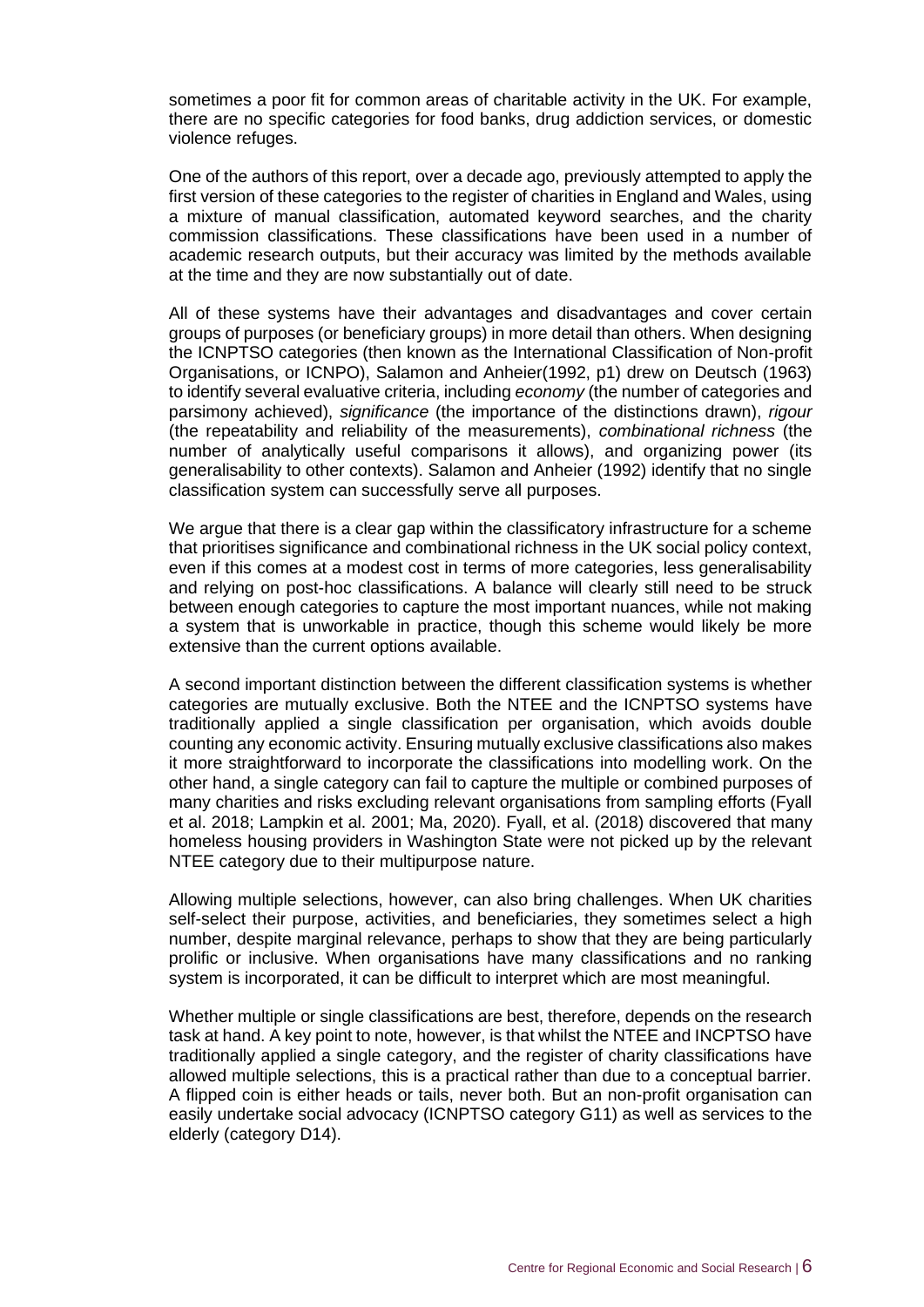sometimes a poor fit for common areas of charitable activity in the UK. For example, there are no specific categories for food banks, drug addiction services, or domestic violence refuges.

One of the authors of this report, over a decade ago, previously attempted to apply the first version of these categories to the register of charities in England and Wales, using a mixture of manual classification, automated keyword searches, and the charity commission classifications. These classifications have been used in a number of academic research outputs, but their accuracy was limited by the methods available at the time and they are now substantially out of date.

All of these systems have their advantages and disadvantages and cover certain groups of purposes (or beneficiary groups) in more detail than others. When designing the ICNPTSO categories (then known as the International Classification of Non-profit Organisations, or ICNPO), Salamon and Anheier(1992, p1) drew on Deutsch (1963) to identify several evaluative criteria, including *economy* (the number of categories and parsimony achieved), *significance* (the importance of the distinctions drawn), *rigour* (the repeatability and reliability of the measurements), *combinational richness* (the number of analytically useful comparisons it allows), and organizing power (its generalisability to other contexts). Salamon and Anheier (1992) identify that no single classification system can successfully serve all purposes.

We argue that there is a clear gap within the classificatory infrastructure for a scheme that prioritises significance and combinational richness in the UK social policy context, even if this comes at a modest cost in terms of more categories, less generalisability and relying on post-hoc classifications. A balance will clearly still need to be struck between enough categories to capture the most important nuances, while not making a system that is unworkable in practice, though this scheme would likely be more extensive than the current options available.

A second important distinction between the different classification systems is whether categories are mutually exclusive. Both the NTEE and the ICNPTSO systems have traditionally applied a single classification per organisation, which avoids double counting any economic activity. Ensuring mutually exclusive classifications also makes it more straightforward to incorporate the classifications into modelling work. On the other hand, a single category can fail to capture the multiple or combined purposes of many charities and risks excluding relevant organisations from sampling efforts (Fyall et al. 2018; Lampkin et al. 2001; Ma, 2020). Fyall, et al. (2018) discovered that many homeless housing providers in Washington State were not picked up by the relevant NTEE category due to their multipurpose nature.

Allowing multiple selections, however, can also bring challenges. When UK charities self-select their purpose, activities, and beneficiaries, they sometimes select a high number, despite marginal relevance, perhaps to show that they are being particularly prolific or inclusive. When organisations have many classifications and no ranking system is incorporated, it can be difficult to interpret which are most meaningful.

Whether multiple or single classifications are best, therefore, depends on the research task at hand. A key point to note, however, is that whilst the NTEE and INCPTSO have traditionally applied a single category, and the register of charity classifications have allowed multiple selections, this is a practical rather than due to a conceptual barrier. A flipped coin is either heads or tails, never both. But an non-profit organisation can easily undertake social advocacy (ICNPTSO category G11) as well as services to the elderly (category D14).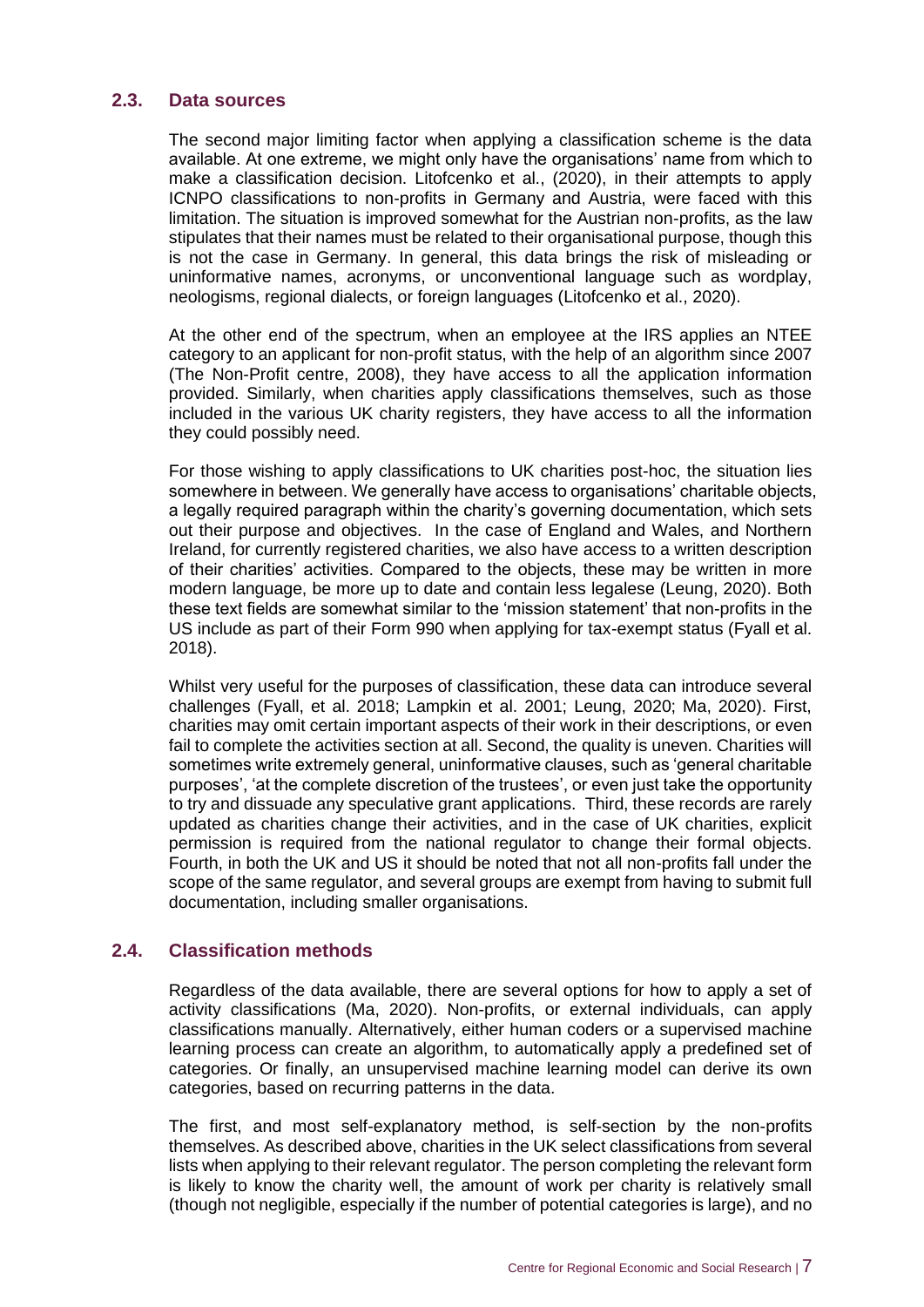#### **2.3. Data sources**

The second major limiting factor when applying a classification scheme is the data available. At one extreme, we might only have the organisations' name from which to make a classification decision. Litofcenko et al., (2020), in their attempts to apply ICNPO classifications to non-profits in Germany and Austria, were faced with this limitation. The situation is improved somewhat for the Austrian non-profits, as the law stipulates that their names must be related to their organisational purpose, though this is not the case in Germany. In general, this data brings the risk of misleading or uninformative names, acronyms, or unconventional language such as wordplay, neologisms, regional dialects, or foreign languages (Litofcenko et al., 2020).

At the other end of the spectrum, when an employee at the IRS applies an NTEE category to an applicant for non-profit status, with the help of an algorithm since 2007 (The Non-Profit centre, 2008), they have access to all the application information provided. Similarly, when charities apply classifications themselves, such as those included in the various UK charity registers, they have access to all the information they could possibly need.

For those wishing to apply classifications to UK charities post-hoc, the situation lies somewhere in between. We generally have access to organisations' charitable objects, a legally required paragraph within the charity's governing documentation, which sets out their purpose and objectives. In the case of England and Wales, and Northern Ireland, for currently registered charities, we also have access to a written description of their charities' activities. Compared to the objects, these may be written in more modern language, be more up to date and contain less legalese (Leung, 2020). Both these text fields are somewhat similar to the 'mission statement' that non-profits in the US include as part of their Form 990 when applying for tax-exempt status (Fyall et al. 2018).

Whilst very useful for the purposes of classification, these data can introduce several challenges (Fyall, et al. 2018; Lampkin et al. 2001; Leung, 2020; Ma, 2020). First, charities may omit certain important aspects of their work in their descriptions, or even fail to complete the activities section at all. Second, the quality is uneven. Charities will sometimes write extremely general, uninformative clauses, such as 'general charitable purposes', 'at the complete discretion of the trustees', or even just take the opportunity to try and dissuade any speculative grant applications. Third, these records are rarely updated as charities change their activities, and in the case of UK charities, explicit permission is required from the national regulator to change their formal objects. Fourth, in both the UK and US it should be noted that not all non-profits fall under the scope of the same regulator, and several groups are exempt from having to submit full documentation, including smaller organisations.

## **2.4. Classification methods**

Regardless of the data available, there are several options for how to apply a set of activity classifications (Ma, 2020). Non-profits, or external individuals, can apply classifications manually. Alternatively, either human coders or a supervised machine learning process can create an algorithm, to automatically apply a predefined set of categories. Or finally, an unsupervised machine learning model can derive its own categories, based on recurring patterns in the data.

The first, and most self-explanatory method, is self-section by the non-profits themselves. As described above, charities in the UK select classifications from several lists when applying to their relevant regulator. The person completing the relevant form is likely to know the charity well, the amount of work per charity is relatively small (though not negligible, especially if the number of potential categories is large), and no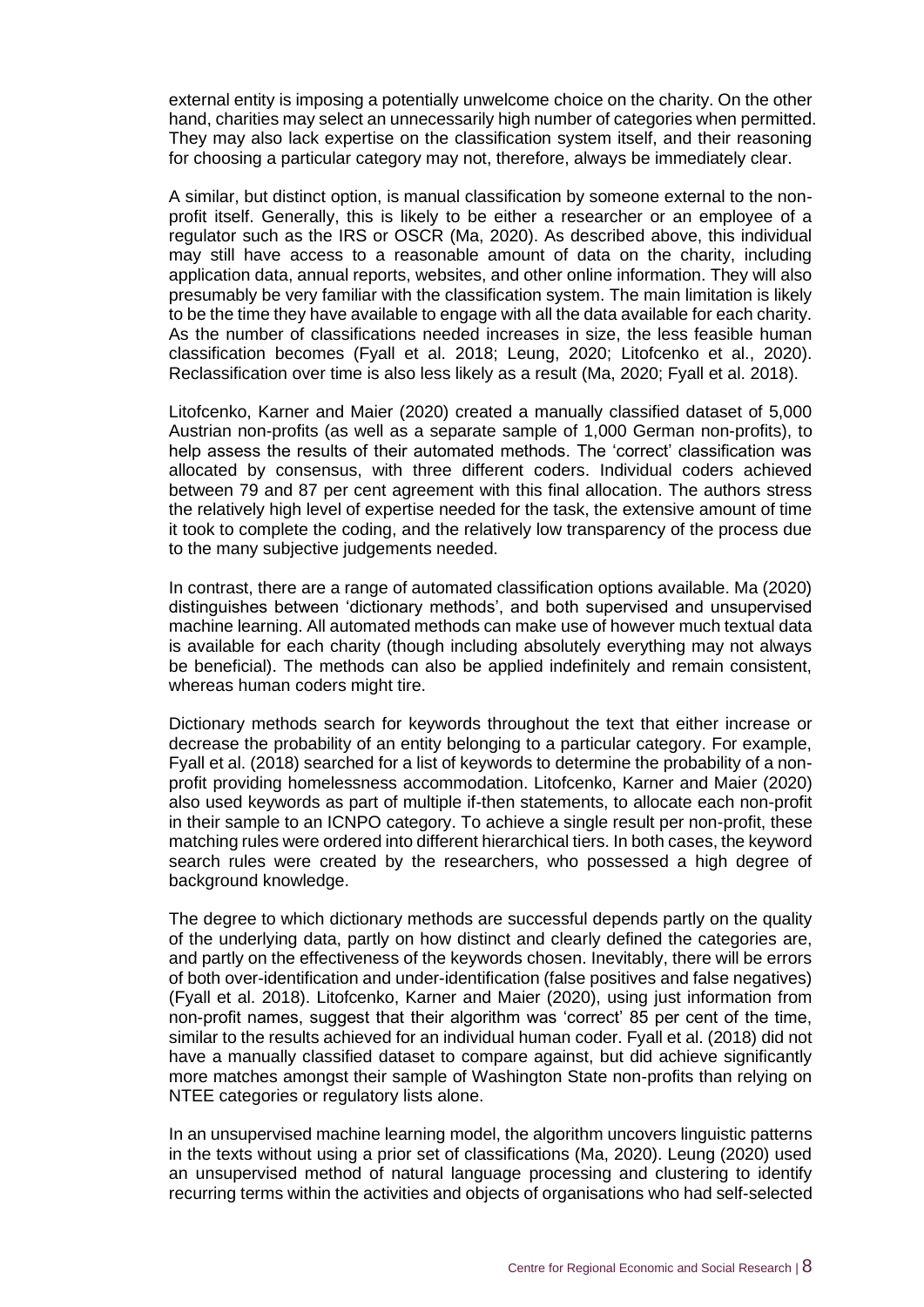external entity is imposing a potentially unwelcome choice on the charity. On the other hand, charities may select an unnecessarily high number of categories when permitted. They may also lack expertise on the classification system itself, and their reasoning for choosing a particular category may not, therefore, always be immediately clear.

A similar, but distinct option, is manual classification by someone external to the nonprofit itself. Generally, this is likely to be either a researcher or an employee of a regulator such as the IRS or OSCR (Ma, 2020). As described above, this individual may still have access to a reasonable amount of data on the charity, including application data, annual reports, websites, and other online information. They will also presumably be very familiar with the classification system. The main limitation is likely to be the time they have available to engage with all the data available for each charity. As the number of classifications needed increases in size, the less feasible human classification becomes (Fyall et al. 2018; Leung, 2020; Litofcenko et al., 2020). Reclassification over time is also less likely as a result (Ma, 2020; Fyall et al. 2018).

Litofcenko, Karner and Maier (2020) created a manually classified dataset of 5,000 Austrian non-profits (as well as a separate sample of 1,000 German non-profits), to help assess the results of their automated methods. The 'correct' classification was allocated by consensus, with three different coders. Individual coders achieved between 79 and 87 per cent agreement with this final allocation. The authors stress the relatively high level of expertise needed for the task, the extensive amount of time it took to complete the coding, and the relatively low transparency of the process due to the many subjective judgements needed.

In contrast, there are a range of automated classification options available. Ma (2020) distinguishes between 'dictionary methods', and both supervised and unsupervised machine learning. All automated methods can make use of however much textual data is available for each charity (though including absolutely everything may not always be beneficial). The methods can also be applied indefinitely and remain consistent, whereas human coders might tire.

Dictionary methods search for keywords throughout the text that either increase or decrease the probability of an entity belonging to a particular category. For example, Fyall et al. (2018) searched for a list of keywords to determine the probability of a nonprofit providing homelessness accommodation. Litofcenko, Karner and Maier (2020) also used keywords as part of multiple if-then statements, to allocate each non-profit in their sample to an ICNPO category. To achieve a single result per non-profit, these matching rules were ordered into different hierarchical tiers. In both cases, the keyword search rules were created by the researchers, who possessed a high degree of background knowledge.

The degree to which dictionary methods are successful depends partly on the quality of the underlying data, partly on how distinct and clearly defined the categories are, and partly on the effectiveness of the keywords chosen. Inevitably, there will be errors of both over-identification and under-identification (false positives and false negatives) (Fyall et al. 2018). Litofcenko, Karner and Maier (2020), using just information from non-profit names, suggest that their algorithm was 'correct' 85 per cent of the time, similar to the results achieved for an individual human coder. Fyall et al. (2018) did not have a manually classified dataset to compare against, but did achieve significantly more matches amongst their sample of Washington State non-profits than relying on NTEE categories or regulatory lists alone.

In an unsupervised machine learning model, the algorithm uncovers linguistic patterns in the texts without using a prior set of classifications (Ma, 2020). Leung (2020) used an unsupervised method of natural language processing and clustering to identify recurring terms within the activities and objects of organisations who had self-selected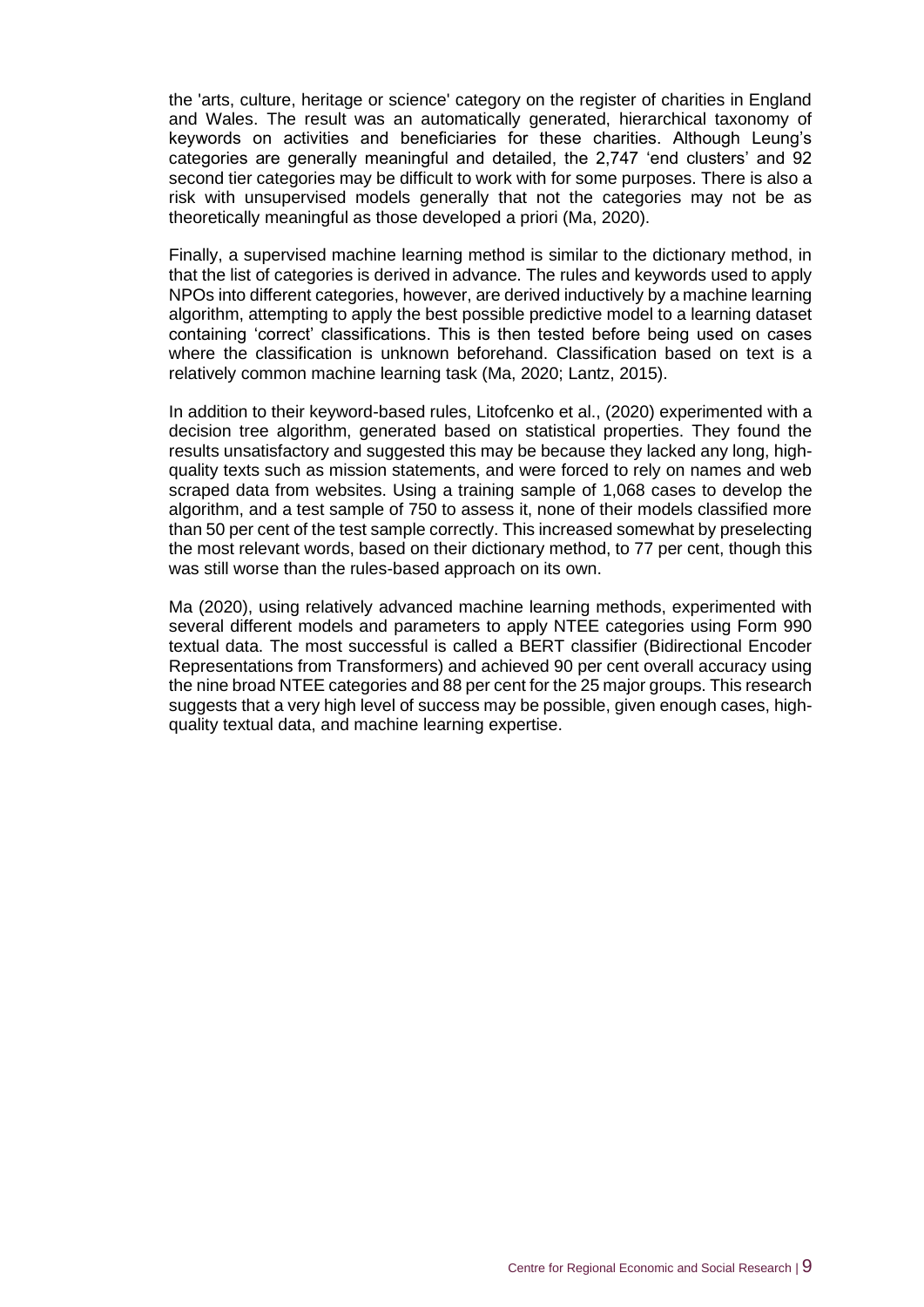the 'arts, culture, heritage or science' category on the register of charities in England and Wales. The result was an automatically generated, hierarchical taxonomy of keywords on activities and beneficiaries for these charities. Although Leung's categories are generally meaningful and detailed, the 2,747 'end clusters' and 92 second tier categories may be difficult to work with for some purposes. There is also a risk with unsupervised models generally that not the categories may not be as theoretically meaningful as those developed a priori (Ma, 2020).

Finally, a supervised machine learning method is similar to the dictionary method, in that the list of categories is derived in advance. The rules and keywords used to apply NPOs into different categories, however, are derived inductively by a machine learning algorithm, attempting to apply the best possible predictive model to a learning dataset containing 'correct' classifications. This is then tested before being used on cases where the classification is unknown beforehand. Classification based on text is a relatively common machine learning task (Ma, 2020; Lantz, 2015).

In addition to their keyword-based rules, Litofcenko et al., (2020) experimented with a decision tree algorithm, generated based on statistical properties. They found the results unsatisfactory and suggested this may be because they lacked any long, highquality texts such as mission statements, and were forced to rely on names and web scraped data from websites. Using a training sample of 1,068 cases to develop the algorithm, and a test sample of 750 to assess it, none of their models classified more than 50 per cent of the test sample correctly. This increased somewhat by preselecting the most relevant words, based on their dictionary method, to 77 per cent, though this was still worse than the rules-based approach on its own.

Ma (2020), using relatively advanced machine learning methods, experimented with several different models and parameters to apply NTEE categories using Form 990 textual data. The most successful is called a BERT classifier (Bidirectional Encoder Representations from Transformers) and achieved 90 per cent overall accuracy using the nine broad NTEE categories and 88 per cent for the 25 major groups. This research suggests that a very high level of success may be possible, given enough cases, highquality textual data, and machine learning expertise.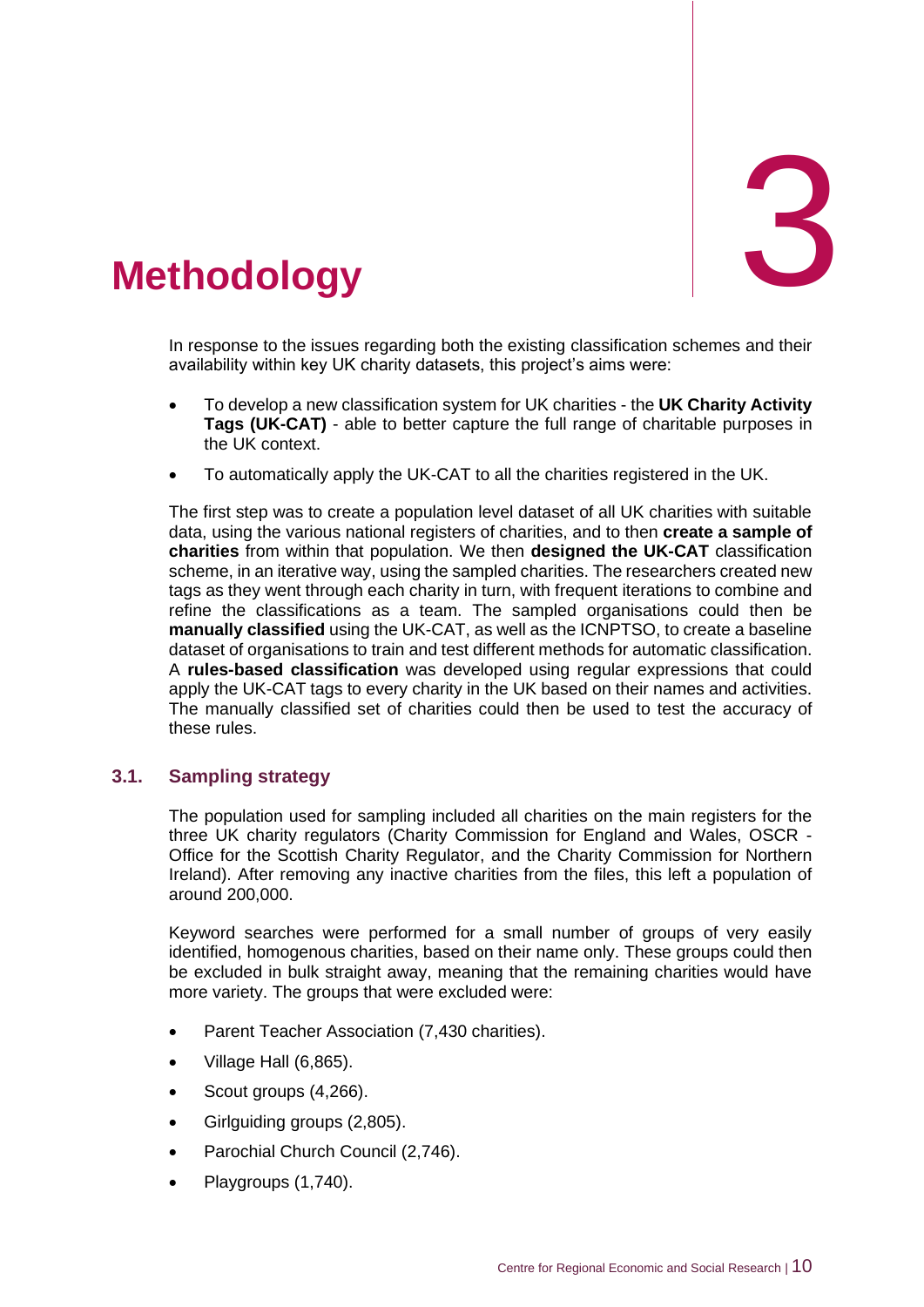

In response to the issues regarding both the existing classification schemes and their availability within key UK charity datasets, this project's aims were:

- To develop a new classification system for UK charities the **UK Charity Activity Tags (UK-CAT)** - able to better capture the full range of charitable purposes in the UK context.
- To automatically apply the UK-CAT to all the charities registered in the UK.

The first step was to create a population level dataset of all UK charities with suitable data, using the various national registers of charities, and to then **create a sample of charities** from within that population. We then **designed the UK-CAT** classification scheme, in an iterative way, using the sampled charities. The researchers created new tags as they went through each charity in turn, with frequent iterations to combine and refine the classifications as a team. The sampled organisations could then be **manually classified** using the UK-CAT, as well as the ICNPTSO, to create a baseline dataset of organisations to train and test different methods for automatic classification. A **rules-based classification** was developed using regular expressions that could apply the UK-CAT tags to every charity in the UK based on their names and activities. The manually classified set of charities could then be used to test the accuracy of these rules.

#### **3.1. Sampling strategy**

The population used for sampling included all charities on the main registers for the three UK charity regulators (Charity Commission for England and Wales, OSCR - Office for the Scottish Charity Regulator, and the Charity Commission for Northern Ireland). After removing any inactive charities from the files, this left a population of around 200,000.

Keyword searches were performed for a small number of groups of very easily identified, homogenous charities, based on their name only. These groups could then be excluded in bulk straight away, meaning that the remaining charities would have more variety. The groups that were excluded were:

- Parent Teacher Association (7,430 charities).
- Village Hall (6,865).
- Scout groups (4,266).
- Girlguiding groups (2,805).
- Parochial Church Council (2,746).
- Playgroups (1,740).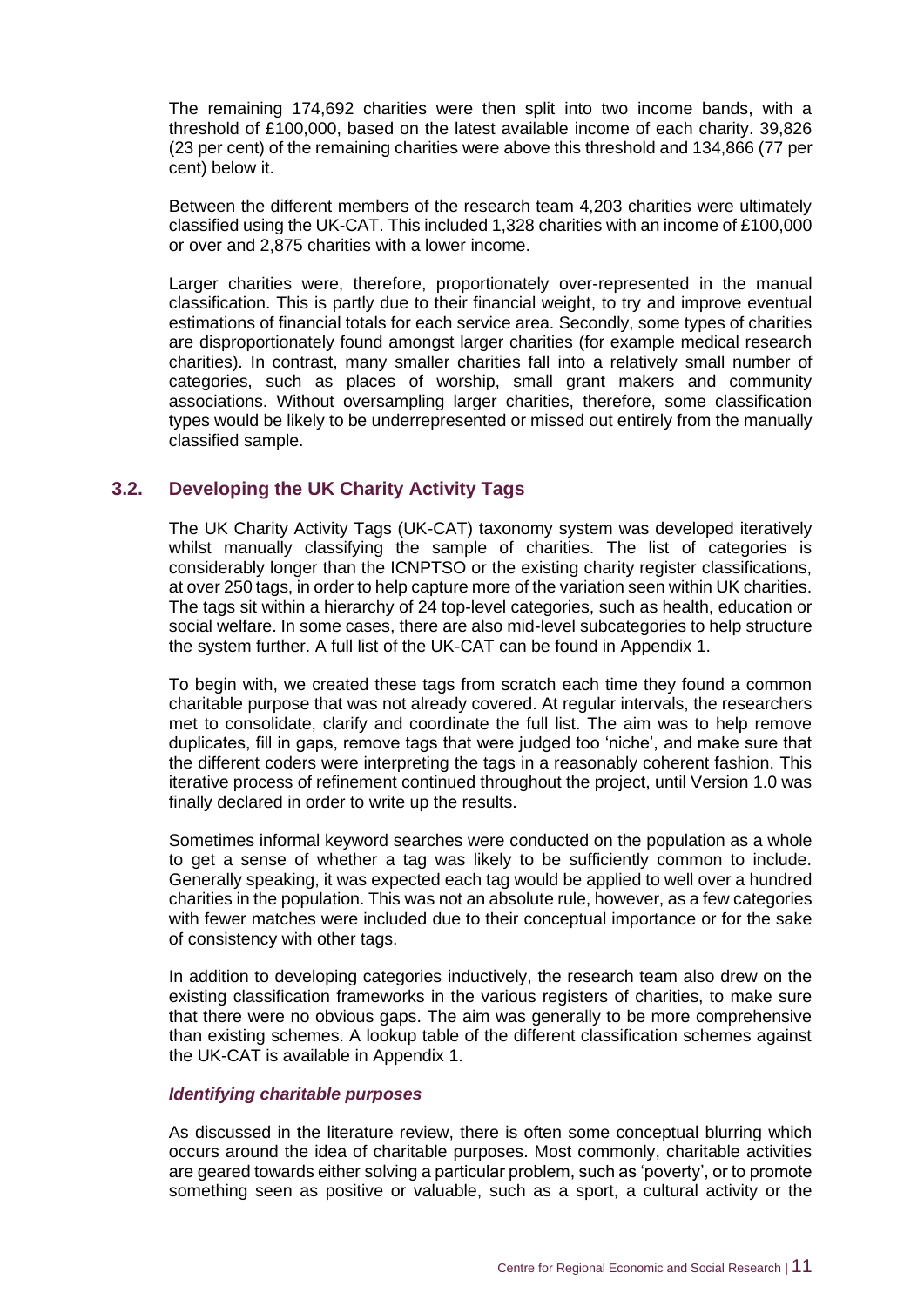The remaining 174,692 charities were then split into two income bands, with a threshold of £100,000, based on the latest available income of each charity. 39,826 (23 per cent) of the remaining charities were above this threshold and 134,866 (77 per cent) below it.

Between the different members of the research team 4,203 charities were ultimately classified using the UK-CAT. This included 1,328 charities with an income of £100,000 or over and 2,875 charities with a lower income.

Larger charities were, therefore, proportionately over-represented in the manual classification. This is partly due to their financial weight, to try and improve eventual estimations of financial totals for each service area. Secondly, some types of charities are disproportionately found amongst larger charities (for example medical research charities). In contrast, many smaller charities fall into a relatively small number of categories, such as places of worship, small grant makers and community associations. Without oversampling larger charities, therefore, some classification types would be likely to be underrepresented or missed out entirely from the manually classified sample.

#### **3.2. Developing the UK Charity Activity Tags**

The UK Charity Activity Tags (UK-CAT) taxonomy system was developed iteratively whilst manually classifying the sample of charities. The list of categories is considerably longer than the ICNPTSO or the existing charity register classifications, at over 250 tags, in order to help capture more of the variation seen within UK charities. The tags sit within a hierarchy of 24 top-level categories, such as health, education or social welfare. In some cases, there are also mid-level subcategories to help structure the system further. A full list of the UK-CAT can be found in Appendix 1.

To begin with, we created these tags from scratch each time they found a common charitable purpose that was not already covered. At regular intervals, the researchers met to consolidate, clarify and coordinate the full list. The aim was to help remove duplicates, fill in gaps, remove tags that were judged too 'niche', and make sure that the different coders were interpreting the tags in a reasonably coherent fashion. This iterative process of refinement continued throughout the project, until Version 1.0 was finally declared in order to write up the results.

Sometimes informal keyword searches were conducted on the population as a whole to get a sense of whether a tag was likely to be sufficiently common to include. Generally speaking, it was expected each tag would be applied to well over a hundred charities in the population. This was not an absolute rule, however, as a few categories with fewer matches were included due to their conceptual importance or for the sake of consistency with other tags.

In addition to developing categories inductively, the research team also drew on the existing classification frameworks in the various registers of charities, to make sure that there were no obvious gaps. The aim was generally to be more comprehensive than existing schemes. A lookup table of the different classification schemes against the UK-CAT is available in Appendix 1.

#### *Identifying charitable purposes*

As discussed in the literature review, there is often some conceptual blurring which occurs around the idea of charitable purposes. Most commonly, charitable activities are geared towards either solving a particular problem, such as 'poverty', or to promote something seen as positive or valuable, such as a sport, a cultural activity or the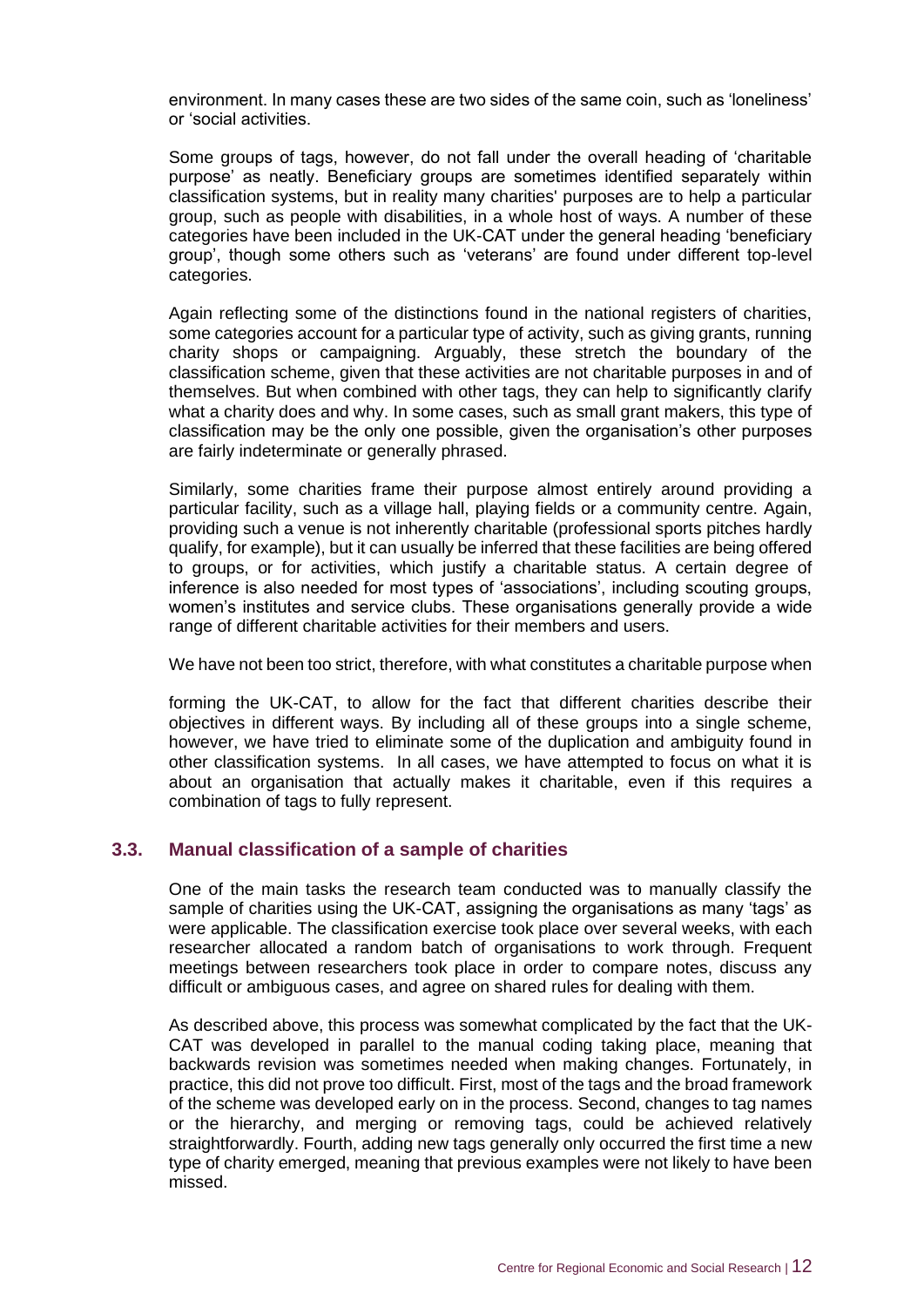environment. In many cases these are two sides of the same coin, such as 'loneliness' or 'social activities.

Some groups of tags, however, do not fall under the overall heading of 'charitable purpose' as neatly. Beneficiary groups are sometimes identified separately within classification systems, but in reality many charities' purposes are to help a particular group, such as people with disabilities, in a whole host of ways. A number of these categories have been included in the UK-CAT under the general heading 'beneficiary group', though some others such as 'veterans' are found under different top-level categories.

Again reflecting some of the distinctions found in the national registers of charities, some categories account for a particular type of activity, such as giving grants, running charity shops or campaigning. Arguably, these stretch the boundary of the classification scheme, given that these activities are not charitable purposes in and of themselves. But when combined with other tags, they can help to significantly clarify what a charity does and why. In some cases, such as small grant makers, this type of classification may be the only one possible, given the organisation's other purposes are fairly indeterminate or generally phrased.

Similarly, some charities frame their purpose almost entirely around providing a particular facility, such as a village hall, playing fields or a community centre. Again, providing such a venue is not inherently charitable (professional sports pitches hardly qualify, for example), but it can usually be inferred that these facilities are being offered to groups, or for activities, which justify a charitable status. A certain degree of inference is also needed for most types of 'associations', including scouting groups, women's institutes and service clubs. These organisations generally provide a wide range of different charitable activities for their members and users.

We have not been too strict, therefore, with what constitutes a charitable purpose when

forming the UK-CAT, to allow for the fact that different charities describe their objectives in different ways. By including all of these groups into a single scheme, however, we have tried to eliminate some of the duplication and ambiguity found in other classification systems. In all cases, we have attempted to focus on what it is about an organisation that actually makes it charitable, even if this requires a combination of tags to fully represent.

#### **3.3. Manual classification of a sample of charities**

One of the main tasks the research team conducted was to manually classify the sample of charities using the UK-CAT, assigning the organisations as many 'tags' as were applicable. The classification exercise took place over several weeks, with each researcher allocated a random batch of organisations to work through. Frequent meetings between researchers took place in order to compare notes, discuss any difficult or ambiguous cases, and agree on shared rules for dealing with them.

As described above, this process was somewhat complicated by the fact that the UK-CAT was developed in parallel to the manual coding taking place, meaning that backwards revision was sometimes needed when making changes. Fortunately, in practice, this did not prove too difficult. First, most of the tags and the broad framework of the scheme was developed early on in the process. Second, changes to tag names or the hierarchy, and merging or removing tags, could be achieved relatively straightforwardly. Fourth, adding new tags generally only occurred the first time a new type of charity emerged, meaning that previous examples were not likely to have been missed.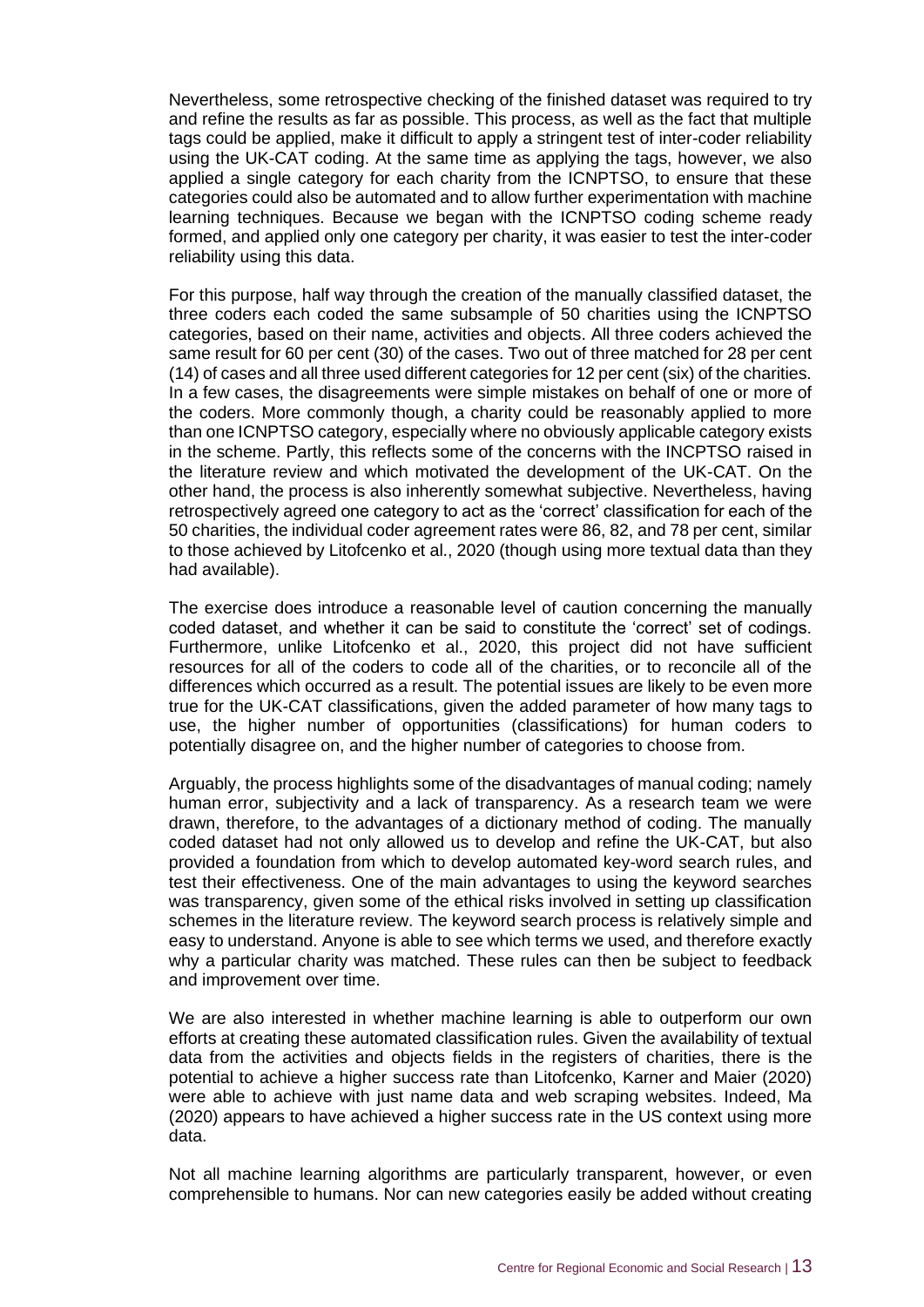Nevertheless, some retrospective checking of the finished dataset was required to try and refine the results as far as possible. This process, as well as the fact that multiple tags could be applied, make it difficult to apply a stringent test of inter-coder reliability using the UK-CAT coding. At the same time as applying the tags, however, we also applied a single category for each charity from the ICNPTSO, to ensure that these categories could also be automated and to allow further experimentation with machine learning techniques. Because we began with the ICNPTSO coding scheme ready formed, and applied only one category per charity, it was easier to test the inter-coder reliability using this data.

For this purpose, half way through the creation of the manually classified dataset, the three coders each coded the same subsample of 50 charities using the ICNPTSO categories, based on their name, activities and objects. All three coders achieved the same result for 60 per cent (30) of the cases. Two out of three matched for 28 per cent (14) of cases and all three used different categories for 12 per cent (six) of the charities. In a few cases, the disagreements were simple mistakes on behalf of one or more of the coders. More commonly though, a charity could be reasonably applied to more than one ICNPTSO category, especially where no obviously applicable category exists in the scheme. Partly, this reflects some of the concerns with the INCPTSO raised in the literature review and which motivated the development of the UK-CAT. On the other hand, the process is also inherently somewhat subjective. Nevertheless, having retrospectively agreed one category to act as the 'correct' classification for each of the 50 charities, the individual coder agreement rates were 86, 82, and 78 per cent, similar to those achieved by Litofcenko et al., 2020 (though using more textual data than they had available).

The exercise does introduce a reasonable level of caution concerning the manually coded dataset, and whether it can be said to constitute the 'correct' set of codings. Furthermore, unlike Litofcenko et al., 2020, this project did not have sufficient resources for all of the coders to code all of the charities, or to reconcile all of the differences which occurred as a result. The potential issues are likely to be even more true for the UK-CAT classifications, given the added parameter of how many tags to use, the higher number of opportunities (classifications) for human coders to potentially disagree on, and the higher number of categories to choose from.

Arguably, the process highlights some of the disadvantages of manual coding; namely human error, subjectivity and a lack of transparency. As a research team we were drawn, therefore, to the advantages of a dictionary method of coding. The manually coded dataset had not only allowed us to develop and refine the UK-CAT, but also provided a foundation from which to develop automated key-word search rules, and test their effectiveness. One of the main advantages to using the keyword searches was transparency, given some of the ethical risks involved in setting up classification schemes in the literature review. The keyword search process is relatively simple and easy to understand. Anyone is able to see which terms we used, and therefore exactly why a particular charity was matched. These rules can then be subject to feedback and improvement over time.

We are also interested in whether machine learning is able to outperform our own efforts at creating these automated classification rules. Given the availability of textual data from the activities and objects fields in the registers of charities, there is the potential to achieve a higher success rate than Litofcenko, Karner and Maier (2020) were able to achieve with just name data and web scraping websites. Indeed, Ma (2020) appears to have achieved a higher success rate in the US context using more data.

Not all machine learning algorithms are particularly transparent, however, or even comprehensible to humans. Nor can new categories easily be added without creating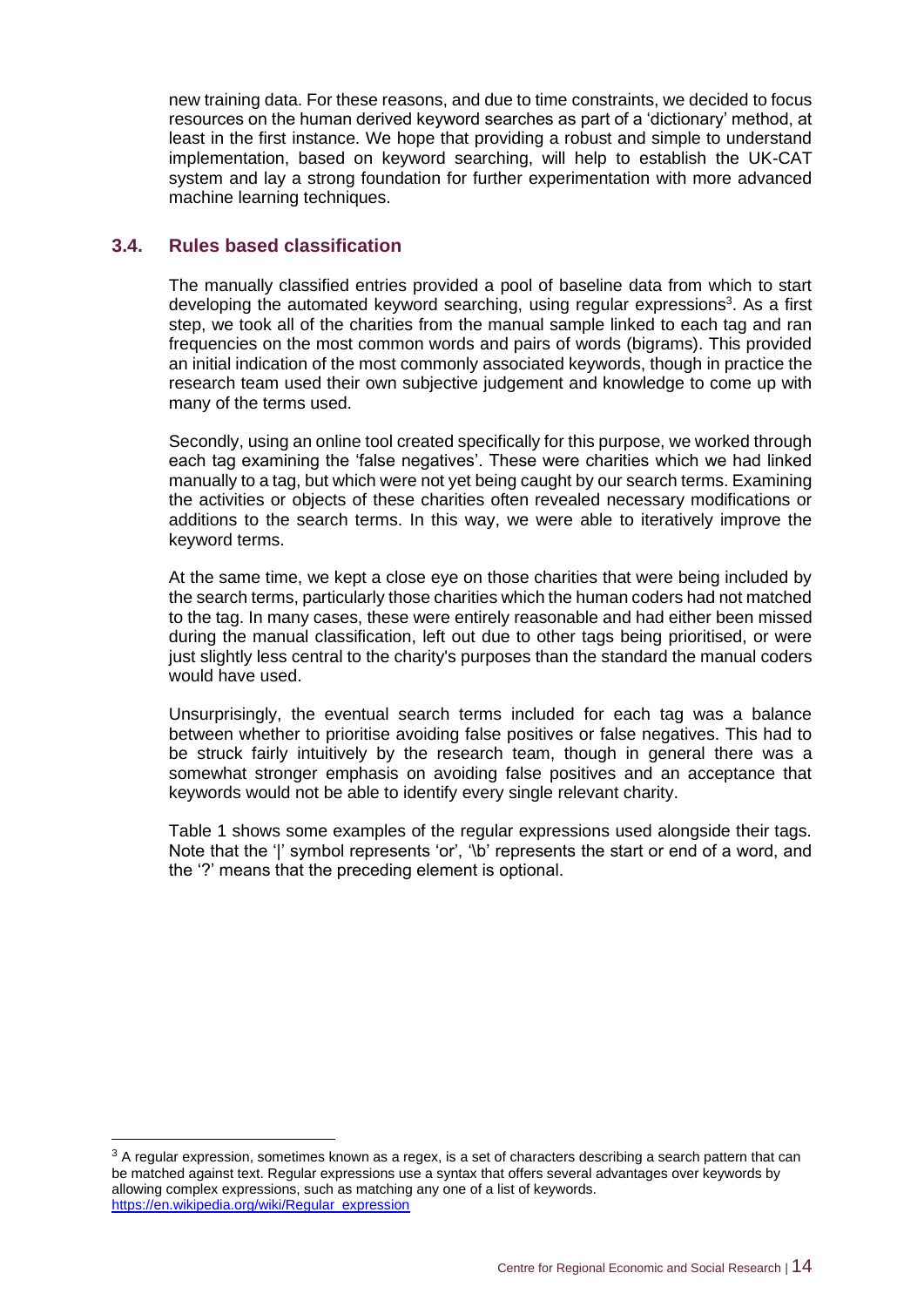new training data. For these reasons, and due to time constraints, we decided to focus resources on the human derived keyword searches as part of a 'dictionary' method, at least in the first instance. We hope that providing a robust and simple to understand implementation, based on keyword searching, will help to establish the UK-CAT system and lay a strong foundation for further experimentation with more advanced machine learning techniques.

#### **3.4. Rules based classification**

The manually classified entries provided a pool of baseline data from which to start developing the automated keyword searching, using regular expressions<sup>3</sup>. As a first step, we took all of the charities from the manual sample linked to each tag and ran frequencies on the most common words and pairs of words (bigrams). This provided an initial indication of the most commonly associated keywords, though in practice the research team used their own subjective judgement and knowledge to come up with many of the terms used.

Secondly, using an online tool created specifically for this purpose, we worked through each tag examining the 'false negatives'. These were charities which we had linked manually to a tag, but which were not yet being caught by our search terms. Examining the activities or objects of these charities often revealed necessary modifications or additions to the search terms. In this way, we were able to iteratively improve the keyword terms.

At the same time, we kept a close eye on those charities that were being included by the search terms, particularly those charities which the human coders had not matched to the tag. In many cases, these were entirely reasonable and had either been missed during the manual classification, left out due to other tags being prioritised, or were just slightly less central to the charity's purposes than the standard the manual coders would have used.

Unsurprisingly, the eventual search terms included for each tag was a balance between whether to prioritise avoiding false positives or false negatives. This had to be struck fairly intuitively by the research team, though in general there was a somewhat stronger emphasis on avoiding false positives and an acceptance that keywords would not be able to identify every single relevant charity.

Table 1 shows some examples of the regular expressions used alongside their tags. Note that the '|' symbol represents 'or', '\b' represents the start or end of a word, and the '?' means that the preceding element is optional.

 $3$  A regular expression, sometimes known as a regex, is a set of characters describing a search pattern that can be matched against text. Regular expressions use a syntax that offers several advantages over keywords by allowing complex expressions, such as matching any one of a list of keywords. [https://en.wikipedia.org/wiki/Regular\\_expression](https://en.wikipedia.org/wiki/Regular_expression)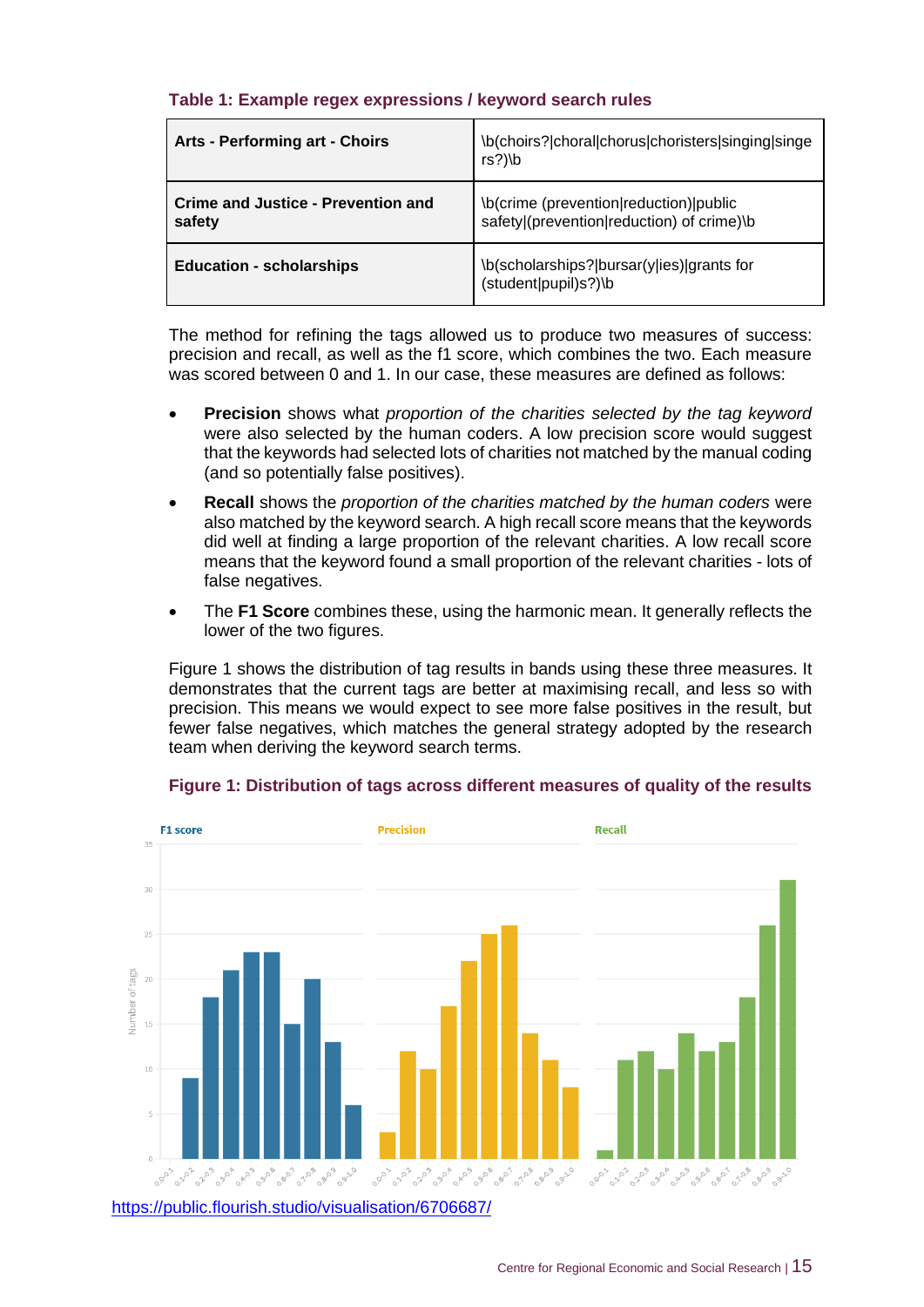#### **Table 1: Example regex expressions / keyword search rules**

| Arts - Performing art - Choirs                      | \b(choirs? choral chorus choristers singing singe<br>$rs?$ ) \b                     |  |
|-----------------------------------------------------|-------------------------------------------------------------------------------------|--|
| <b>Crime and Justice - Prevention and</b><br>safety | \b(crime (prevention reduction) public<br>safety (prevention reduction) of crime)\b |  |
| <b>Education - scholarships</b>                     | \b(scholarships? bursar(y ies) grants for<br>(student pupil)s?)\b                   |  |

The method for refining the tags allowed us to produce two measures of success: precision and recall, as well as the f1 score, which combines the two. Each measure was scored between 0 and 1. In our case, these measures are defined as follows:

- **Precision** shows what *proportion of the charities selected by the tag keyword* were also selected by the human coders. A low precision score would suggest that the keywords had selected lots of charities not matched by the manual coding (and so potentially false positives).
- **Recall** shows the *proportion of the charities matched by the human coders* were also matched by the keyword search. A high recall score means that the keywords did well at finding a large proportion of the relevant charities. A low recall score means that the keyword found a small proportion of the relevant charities - lots of false negatives.
- The **F1 Score** combines these, using the harmonic mean. It generally reflects the lower of the two figures.

Figure 1 shows the distribution of tag results in bands using these three measures. It demonstrates that the current tags are better at maximising recall, and less so with precision. This means we would expect to see more false positives in the result, but fewer false negatives, which matches the general strategy adopted by the research team when deriving the keyword search terms.



#### **Figure 1: Distribution of tags across different measures of quality of the results**

<https://public.flourish.studio/visualisation/6706687/>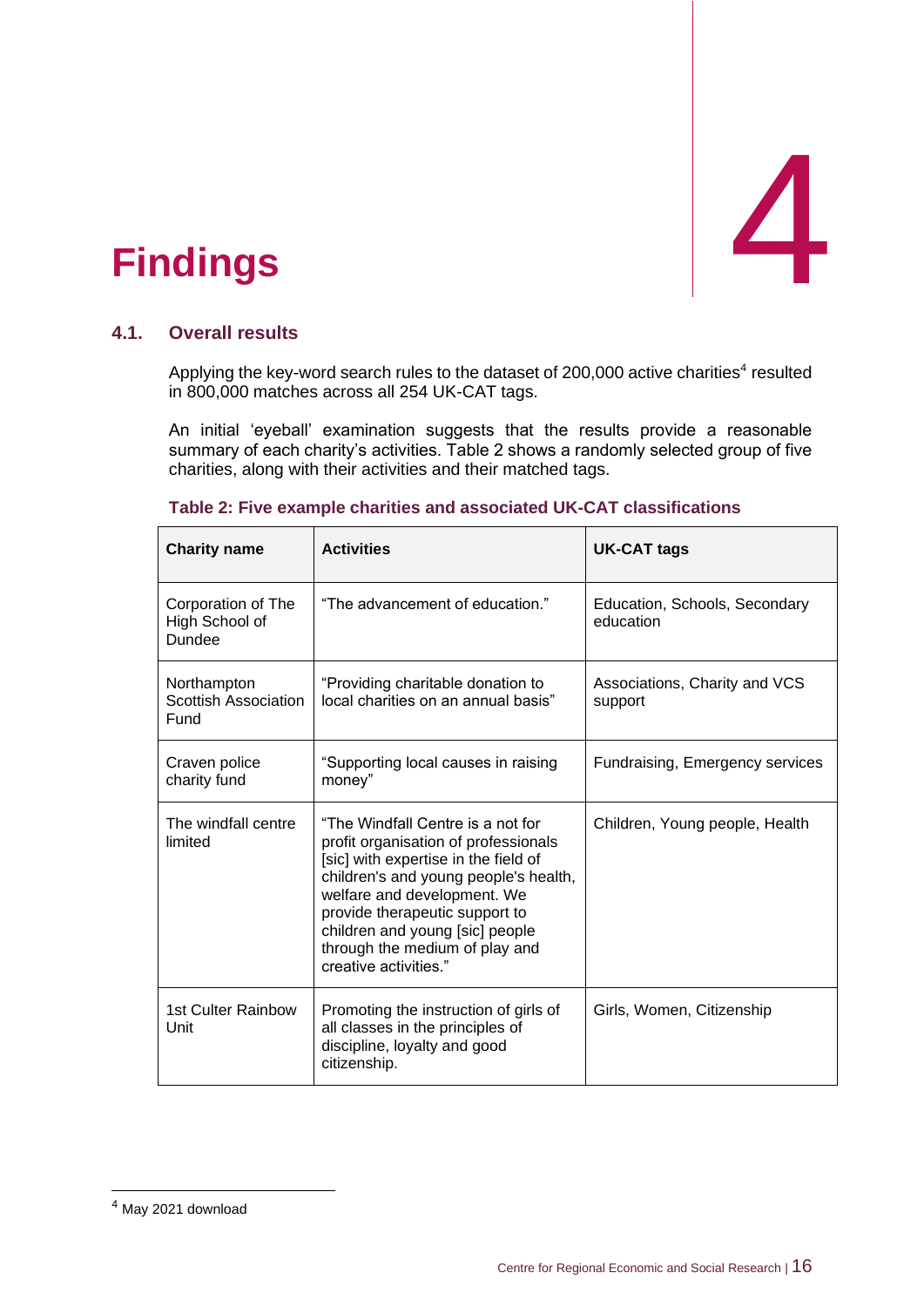# **4. Findings** 4

## **4.1. Overall results**

Applying the key-word search rules to the dataset of 200,000 active charities<sup>4</sup> resulted in 800,000 matches across all 254 UK-CAT tags.

An initial 'eyeball' examination suggests that the results provide a reasonable summary of each charity's activities. Table 2 shows a randomly selected group of five charities, along with their activities and their matched tags.

| <b>Charity name</b>                            | <b>Activities</b>                                                                                                                                                                                                                                                                                                         | <b>UK-CAT tags</b>                         |  |
|------------------------------------------------|---------------------------------------------------------------------------------------------------------------------------------------------------------------------------------------------------------------------------------------------------------------------------------------------------------------------------|--------------------------------------------|--|
| Corporation of The<br>High School of<br>Dundee | "The advancement of education."                                                                                                                                                                                                                                                                                           | Education, Schools, Secondary<br>education |  |
| Northampton<br>Scottish Association<br>Fund    | "Providing charitable donation to<br>local charities on an annual basis"                                                                                                                                                                                                                                                  | Associations, Charity and VCS<br>support   |  |
| Craven police<br>charity fund                  | "Supporting local causes in raising<br>money"                                                                                                                                                                                                                                                                             | Fundraising, Emergency services            |  |
| The windfall centre<br>limited                 | "The Windfall Centre is a not for<br>profit organisation of professionals<br>[sic] with expertise in the field of<br>children's and young people's health,<br>welfare and development. We<br>provide therapeutic support to<br>children and young [sic] people<br>through the medium of play and<br>creative activities " | Children, Young people, Health             |  |
| 1st Culter Rainbow<br>Unit                     | Promoting the instruction of girls of<br>all classes in the principles of<br>discipline, loyalty and good<br>citizenship.                                                                                                                                                                                                 | Girls, Women, Citizenship                  |  |

<sup>4</sup> May 2021 download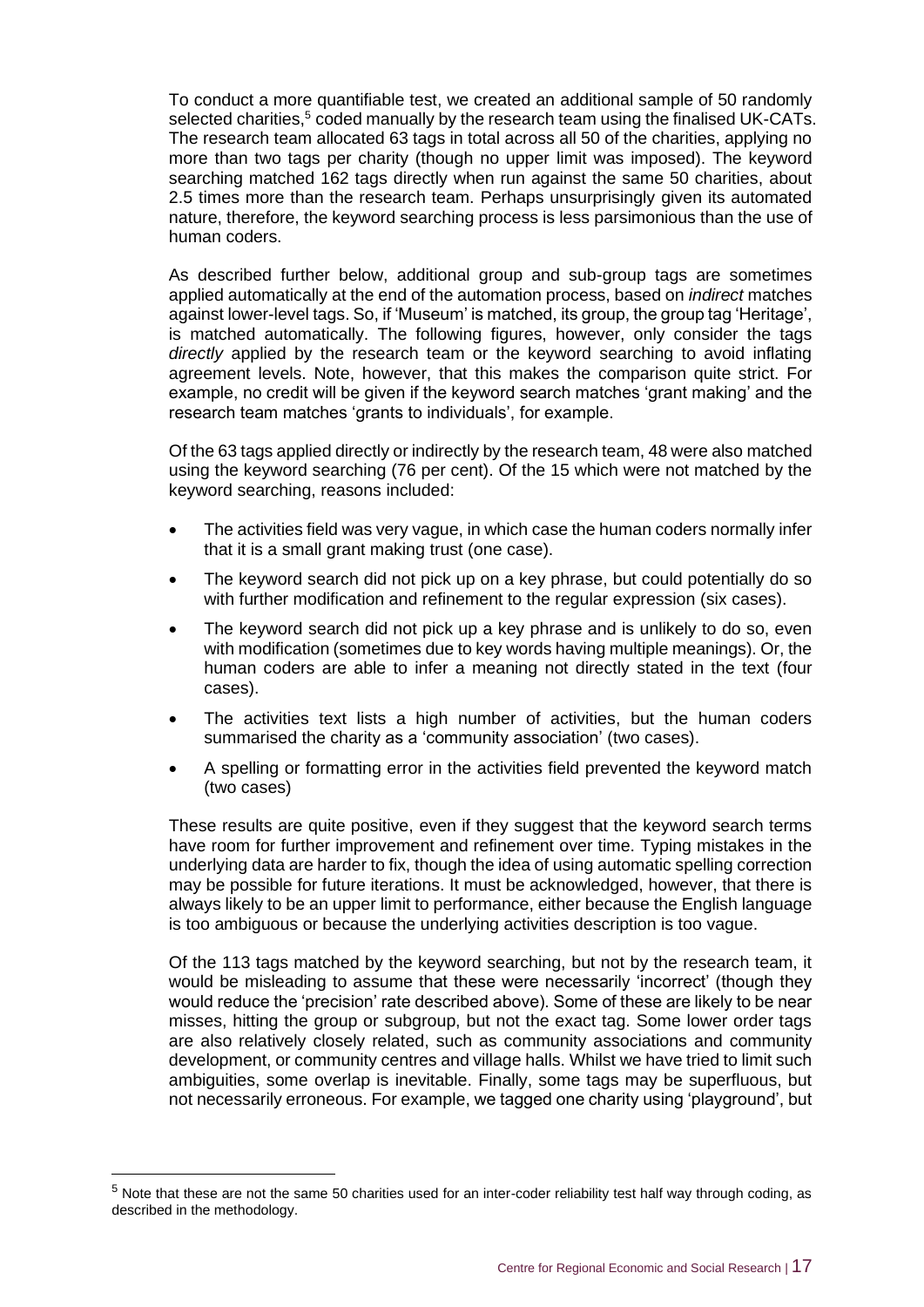To conduct a more quantifiable test, we created an additional sample of 50 randomly selected charities,<sup>5</sup> coded manually by the research team using the finalised UK-CATs. The research team allocated 63 tags in total across all 50 of the charities, applying no more than two tags per charity (though no upper limit was imposed). The keyword searching matched 162 tags directly when run against the same 50 charities, about 2.5 times more than the research team. Perhaps unsurprisingly given its automated nature, therefore, the keyword searching process is less parsimonious than the use of human coders.

As described further below, additional group and sub-group tags are sometimes applied automatically at the end of the automation process, based on *indirect* matches against lower-level tags. So, if 'Museum' is matched, its group, the group tag 'Heritage', is matched automatically. The following figures, however, only consider the tags *directly* applied by the research team or the keyword searching to avoid inflating agreement levels. Note, however, that this makes the comparison quite strict. For example, no credit will be given if the keyword search matches 'grant making' and the research team matches 'grants to individuals', for example.

Of the 63 tags applied directly or indirectly by the research team, 48 were also matched using the keyword searching (76 per cent). Of the 15 which were not matched by the keyword searching, reasons included:

- The activities field was very vague, in which case the human coders normally infer that it is a small grant making trust (one case).
- The keyword search did not pick up on a key phrase, but could potentially do so with further modification and refinement to the regular expression (six cases).
- The keyword search did not pick up a key phrase and is unlikely to do so, even with modification (sometimes due to key words having multiple meanings). Or, the human coders are able to infer a meaning not directly stated in the text (four cases).
- The activities text lists a high number of activities, but the human coders summarised the charity as a 'community association' (two cases).
- A spelling or formatting error in the activities field prevented the keyword match (two cases)

These results are quite positive, even if they suggest that the keyword search terms have room for further improvement and refinement over time. Typing mistakes in the underlying data are harder to fix, though the idea of using automatic spelling correction may be possible for future iterations. It must be acknowledged, however, that there is always likely to be an upper limit to performance, either because the English language is too ambiguous or because the underlying activities description is too vague.

Of the 113 tags matched by the keyword searching, but not by the research team, it would be misleading to assume that these were necessarily 'incorrect' (though they would reduce the 'precision' rate described above). Some of these are likely to be near misses, hitting the group or subgroup, but not the exact tag. Some lower order tags are also relatively closely related, such as community associations and community development, or community centres and village halls. Whilst we have tried to limit such ambiguities, some overlap is inevitable. Finally, some tags may be superfluous, but not necessarily erroneous. For example, we tagged one charity using 'playground', but

 $5$  Note that these are not the same 50 charities used for an inter-coder reliability test half way through coding, as described in the methodology.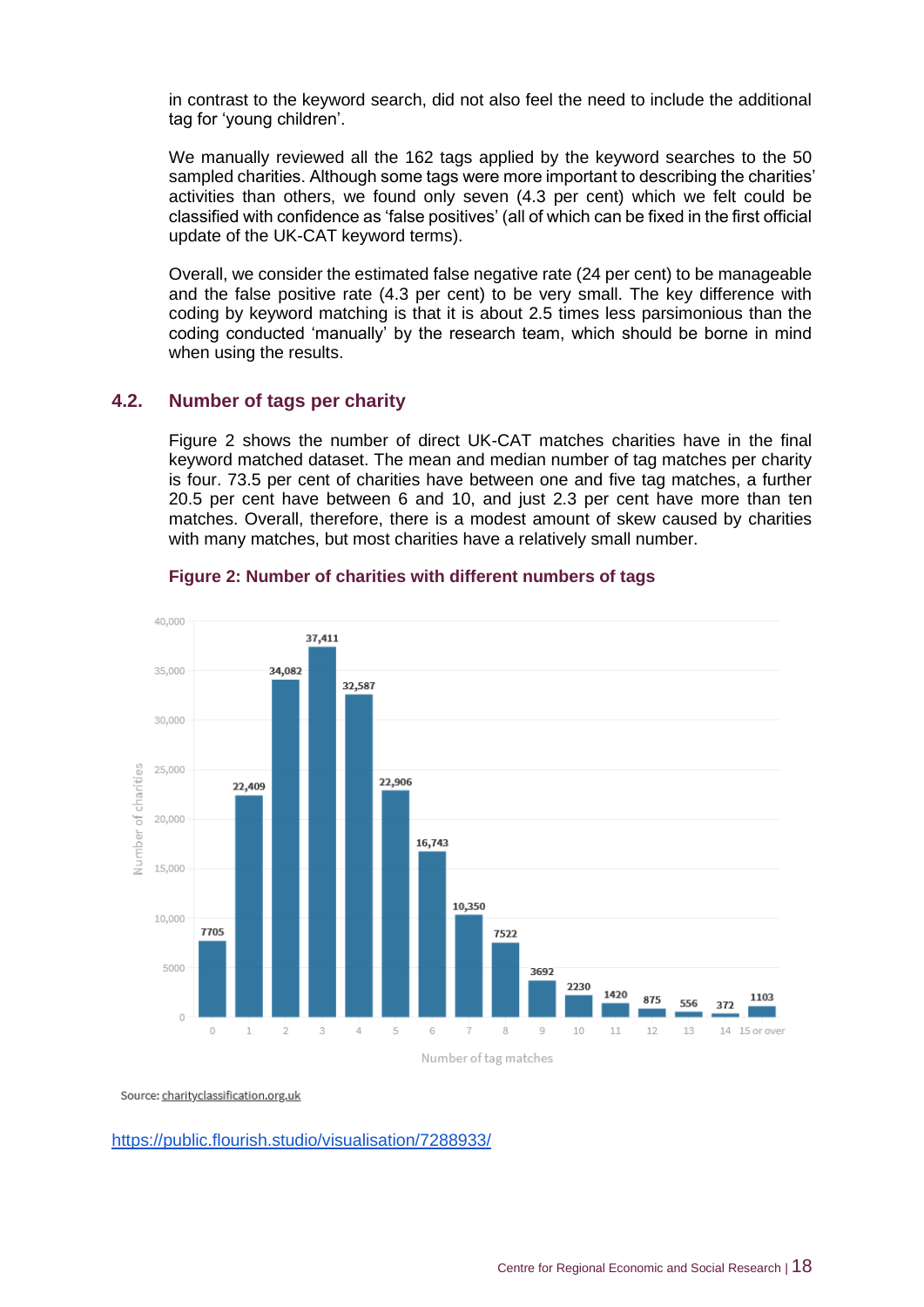in contrast to the keyword search, did not also feel the need to include the additional tag for 'young children'.

We manually reviewed all the 162 tags applied by the keyword searches to the 50 sampled charities. Although some tags were more important to describing the charities' activities than others, we found only seven (4.3 per cent) which we felt could be classified with confidence as 'false positives' (all of which can be fixed in the first official update of the UK-CAT keyword terms).

Overall, we consider the estimated false negative rate (24 per cent) to be manageable and the false positive rate (4.3 per cent) to be very small. The key difference with coding by keyword matching is that it is about 2.5 times less parsimonious than the coding conducted 'manually' by the research team, which should be borne in mind when using the results.

#### **4.2. Number of tags per charity**

Figure 2 shows the number of direct UK-CAT matches charities have in the final keyword matched dataset. The mean and median number of tag matches per charity is four. 73.5 per cent of charities have between one and five tag matches, a further 20.5 per cent have between 6 and 10, and just 2.3 per cent have more than ten matches. Overall, therefore, there is a modest amount of skew caused by charities with many matches, but most charities have a relatively small number.



#### **Figure 2: Number of charities with different numbers of tags**

Source: charityclassification.org.uk

<https://public.flourish.studio/visualisation/7288933/>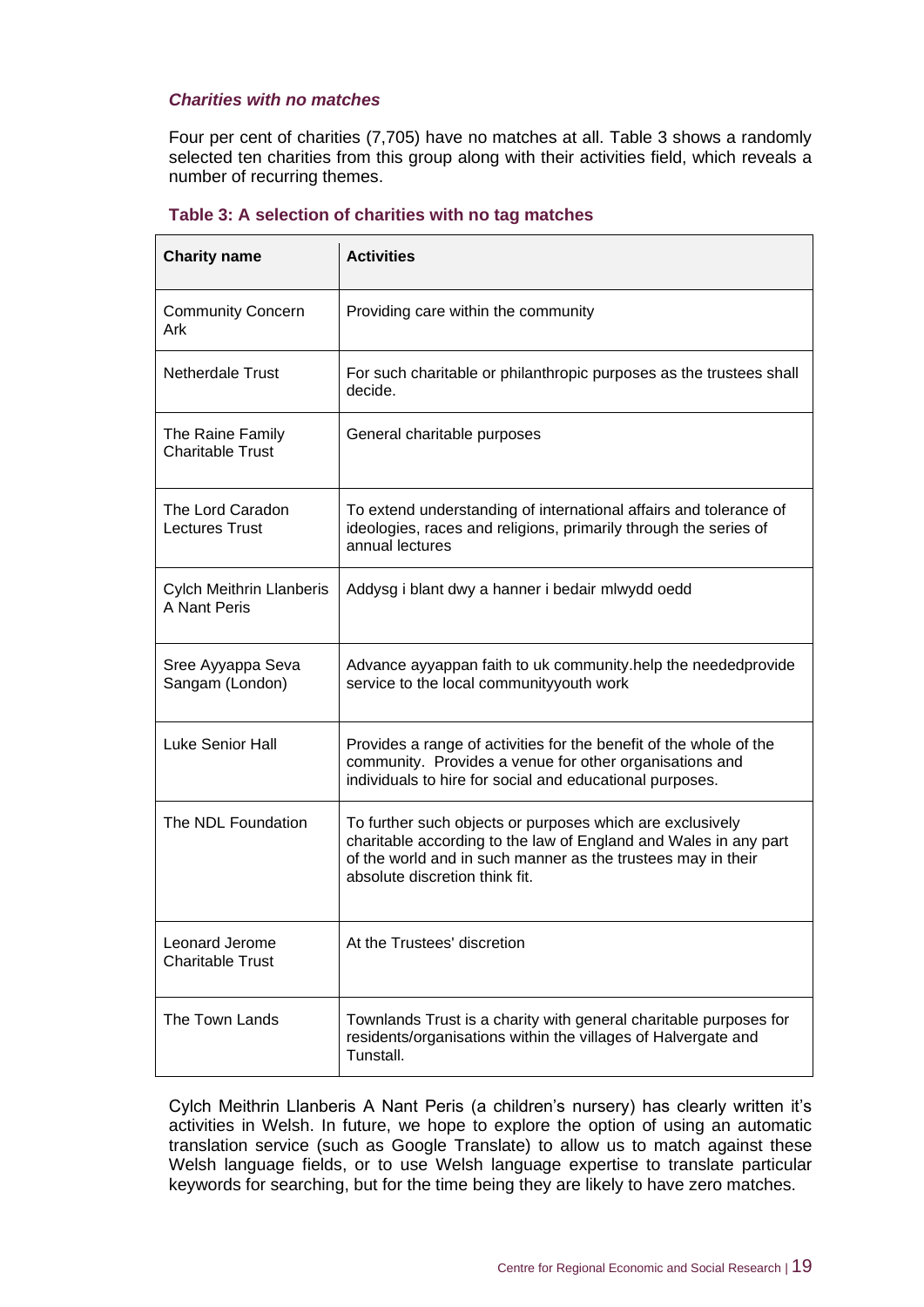#### *Charities with no matches*

Four per cent of charities (7,705) have no matches at all. Table 3 shows a randomly selected ten charities from this group along with their activities field, which reveals a number of recurring themes.

| <b>Charity name</b>                             | <b>Activities</b>                                                                                                                                                                                                               |  |
|-------------------------------------------------|---------------------------------------------------------------------------------------------------------------------------------------------------------------------------------------------------------------------------------|--|
| <b>Community Concern</b><br>Ark                 | Providing care within the community                                                                                                                                                                                             |  |
| <b>Netherdale Trust</b>                         | For such charitable or philanthropic purposes as the trustees shall<br>decide.                                                                                                                                                  |  |
| The Raine Family<br><b>Charitable Trust</b>     | General charitable purposes                                                                                                                                                                                                     |  |
| The Lord Caradon<br><b>Lectures Trust</b>       | To extend understanding of international affairs and tolerance of<br>ideologies, races and religions, primarily through the series of<br>annual lectures                                                                        |  |
| <b>Cylch Meithrin Llanberis</b><br>A Nant Peris | Addysg i blant dwy a hanner i bedair mlwydd oedd                                                                                                                                                                                |  |
| Sree Ayyappa Seva<br>Sangam (London)            | Advance ayyappan faith to uk community.help the neededprovide<br>service to the local communityyouth work                                                                                                                       |  |
| <b>Luke Senior Hall</b>                         | Provides a range of activities for the benefit of the whole of the<br>community. Provides a venue for other organisations and<br>individuals to hire for social and educational purposes.                                       |  |
| The NDL Foundation                              | To further such objects or purposes which are exclusively<br>charitable according to the law of England and Wales in any part<br>of the world and in such manner as the trustees may in their<br>absolute discretion think fit. |  |
| Leonard Jerome<br><b>Charitable Trust</b>       | At the Trustees' discretion                                                                                                                                                                                                     |  |
| The Town Lands                                  | Townlands Trust is a charity with general charitable purposes for<br>residents/organisations within the villages of Halvergate and<br>Tunstall.                                                                                 |  |

#### **Table 3: A selection of charities with no tag matches**

Cylch Meithrin Llanberis A Nant Peris (a children's nursery) has clearly written it's activities in Welsh. In future, we hope to explore the option of using an automatic translation service (such as Google Translate) to allow us to match against these Welsh language fields, or to use Welsh language expertise to translate particular keywords for searching, but for the time being they are likely to have zero matches.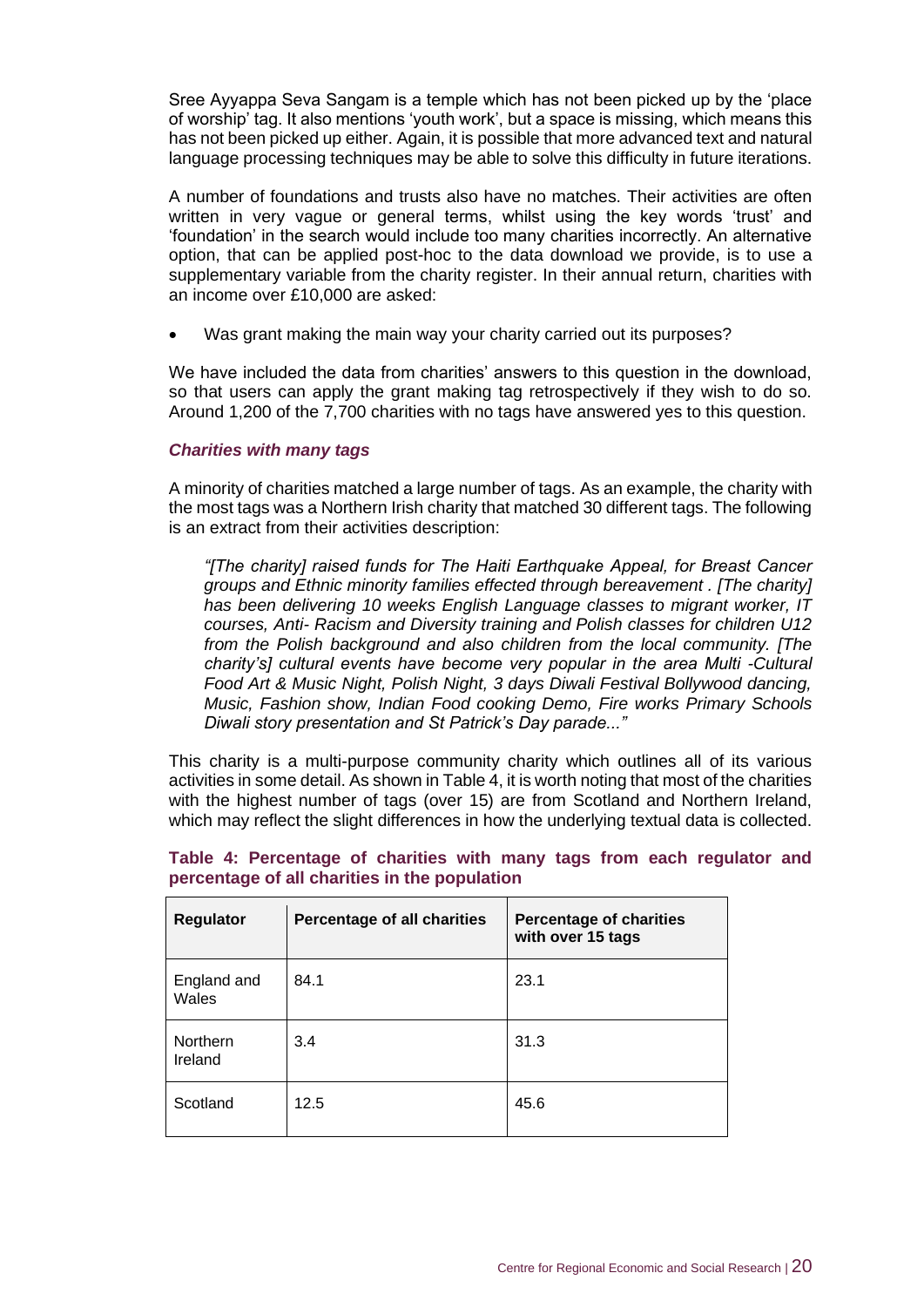Sree Ayyappa Seva Sangam is a temple which has not been picked up by the 'place of worship' tag. It also mentions 'youth work', but a space is missing, which means this has not been picked up either. Again, it is possible that more advanced text and natural language processing techniques may be able to solve this difficulty in future iterations.

A number of foundations and trusts also have no matches. Their activities are often written in very vague or general terms, whilst using the key words 'trust' and 'foundation' in the search would include too many charities incorrectly. An alternative option, that can be applied post-hoc to the data download we provide, is to use a supplementary variable from the charity register. In their annual return, charities with an income over £10,000 are asked:

Was grant making the main way your charity carried out its purposes?

We have included the data from charities' answers to this question in the download, so that users can apply the grant making tag retrospectively if they wish to do so. Around 1,200 of the 7,700 charities with no tags have answered yes to this question.

#### *Charities with many tags*

A minority of charities matched a large number of tags. As an example, the charity with the most tags was a Northern Irish charity that matched 30 different tags. The following is an extract from their activities description:

*"[The charity] raised funds for The Haiti Earthquake Appeal, for Breast Cancer groups and Ethnic minority families effected through bereavement . [The charity] has been delivering 10 weeks English Language classes to migrant worker, IT courses, Anti- Racism and Diversity training and Polish classes for children U12 from the Polish background and also children from the local community. [The charity's] cultural events have become very popular in the area Multi -Cultural Food Art & Music Night, Polish Night, 3 days Diwali Festival Bollywood dancing, Music, Fashion show, Indian Food cooking Demo, Fire works Primary Schools Diwali story presentation and St Patrick's Day parade..."*

This charity is a multi-purpose community charity which outlines all of its various activities in some detail. As shown in Table 4, it is worth noting that most of the charities with the highest number of tags (over 15) are from Scotland and Northern Ireland, which may reflect the slight differences in how the underlying textual data is collected.

| <b>Regulator</b>     | Percentage of all charities | <b>Percentage of charities</b><br>with over 15 tags |
|----------------------|-----------------------------|-----------------------------------------------------|
| England and<br>Wales | 84.1                        | 23.1                                                |
| Northern<br>Ireland  | 3.4                         | 31.3                                                |
| Scotland             | 12.5                        | 45.6                                                |

#### **Table 4: Percentage of charities with many tags from each regulator and percentage of all charities in the population**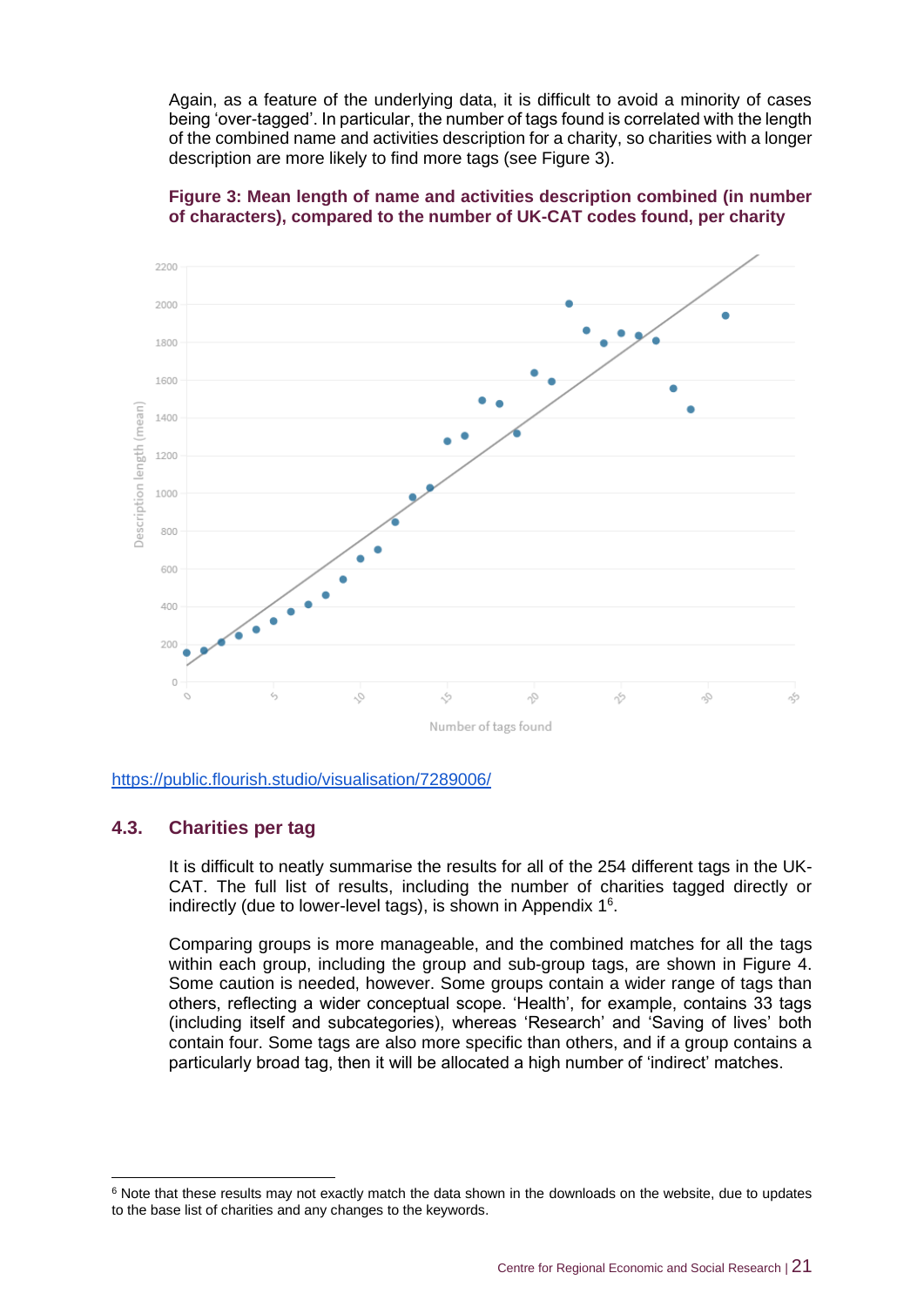Again, as a feature of the underlying data, it is difficult to avoid a minority of cases being 'over-tagged'. In particular, the number of tags found is correlated with the length of the combined name and activities description for a charity, so charities with a longer description are more likely to find more tags (see Figure 3).



**Figure 3: Mean length of name and activities description combined (in number of characters), compared to the number of UK-CAT codes found, per charity**

<https://public.flourish.studio/visualisation/7289006/>

#### **4.3. Charities per tag**

It is difficult to neatly summarise the results for all of the 254 different tags in the UK-CAT. The full list of results, including the number of charities tagged directly or indirectly (due to lower-level tags), is shown in Appendix 1<sup>6</sup>.

Comparing groups is more manageable, and the combined matches for all the tags within each group, including the group and sub-group tags, are shown in Figure 4. Some caution is needed, however. Some groups contain a wider range of tags than others, reflecting a wider conceptual scope. 'Health', for example, contains 33 tags (including itself and subcategories), whereas 'Research' and 'Saving of lives' both contain four. Some tags are also more specific than others, and if a group contains a particularly broad tag, then it will be allocated a high number of 'indirect' matches.

<sup>&</sup>lt;sup>6</sup> Note that these results may not exactly match the data shown in the downloads on the website, due to updates to the base list of charities and any changes to the keywords.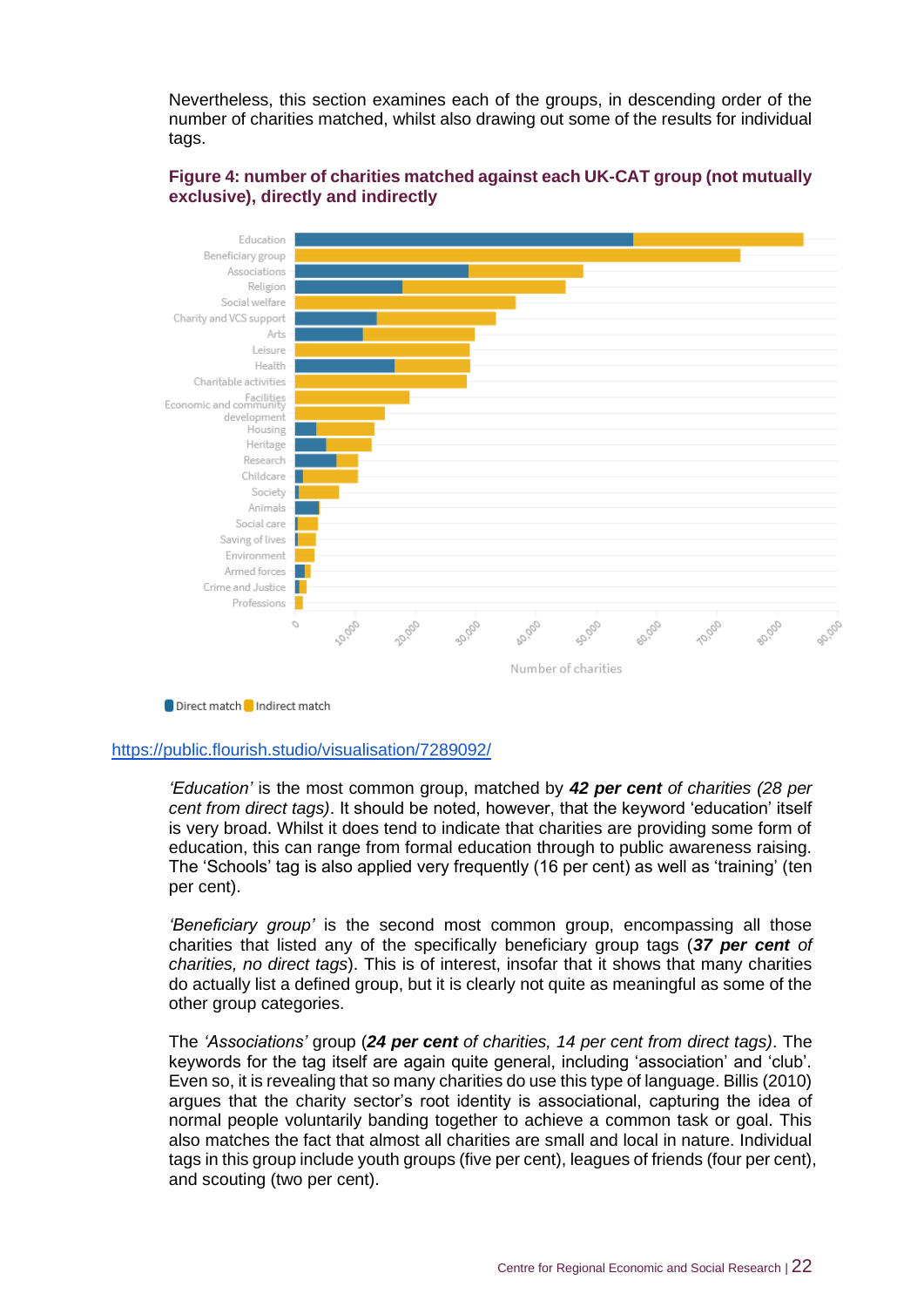Nevertheless, this section examines each of the groups, in descending order of the number of charities matched, whilst also drawing out some of the results for individual tags.

#### **Figure 4: number of charities matched against each UK-CAT group (not mutually exclusive), directly and indirectly**



Direct match Indirect match

#### <https://public.flourish.studio/visualisation/7289092/>

*'Education'* is the most common group, matched by *42 per cent of charities (28 per cent from direct tags)*. It should be noted, however, that the keyword 'education' itself is very broad. Whilst it does tend to indicate that charities are providing some form of education, this can range from formal education through to public awareness raising. The 'Schools' tag is also applied very frequently (16 per cent) as well as 'training' (ten per cent).

*'Beneficiary group'* is the second most common group, encompassing all those charities that listed any of the specifically beneficiary group tags (*37 per cent of charities, no direct tags*). This is of interest, insofar that it shows that many charities do actually list a defined group, but it is clearly not quite as meaningful as some of the other group categories.

The *'Associations'* group (*24 per cent of charities, 14 per cent from direct tags)*. The keywords for the tag itself are again quite general, including 'association' and 'club'. Even so, it is revealing that so many charities do use this type of language. Billis (2010) argues that the charity sector's root identity is associational, capturing the idea of normal people voluntarily banding together to achieve a common task or goal. This also matches the fact that almost all charities are small and local in nature. Individual tags in this group include youth groups (five per cent), leagues of friends (four per cent), and scouting (two per cent).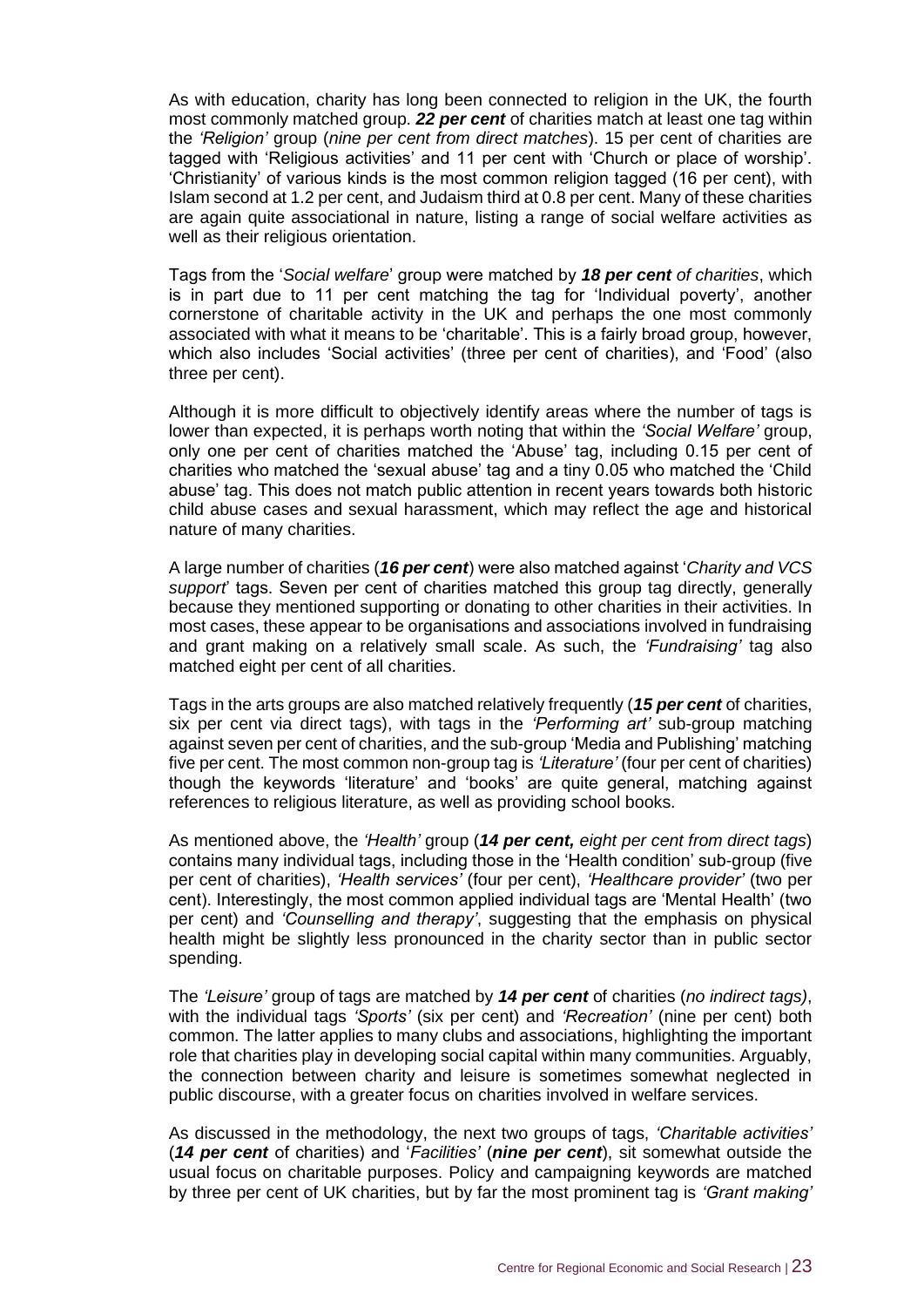As with education, charity has long been connected to religion in the UK, the fourth most commonly matched group. *22 per cent* of charities match at least one tag within the *'Religion'* group (*nine per cent from direct matches*). 15 per cent of charities are tagged with 'Religious activities' and 11 per cent with 'Church or place of worship'. 'Christianity' of various kinds is the most common religion tagged (16 per cent), with Islam second at 1.2 per cent, and Judaism third at 0.8 per cent. Many of these charities are again quite associational in nature, listing a range of social welfare activities as well as their religious orientation.

Tags from the '*Social welfare*' group were matched by *18 per cent of charities*, which is in part due to 11 per cent matching the tag for 'Individual poverty', another cornerstone of charitable activity in the UK and perhaps the one most commonly associated with what it means to be 'charitable'. This is a fairly broad group, however, which also includes 'Social activities' (three per cent of charities), and 'Food' (also three per cent).

Although it is more difficult to objectively identify areas where the number of tags is lower than expected, it is perhaps worth noting that within the *'Social Welfare'* group, only one per cent of charities matched the 'Abuse' tag, including 0.15 per cent of charities who matched the 'sexual abuse' tag and a tiny 0.05 who matched the 'Child abuse' tag. This does not match public attention in recent years towards both historic child abuse cases and sexual harassment, which may reflect the age and historical nature of many charities.

A large number of charities (*16 per cent*) were also matched against '*Charity and VCS support*' tags. Seven per cent of charities matched this group tag directly, generally because they mentioned supporting or donating to other charities in their activities. In most cases, these appear to be organisations and associations involved in fundraising and grant making on a relatively small scale. As such, the *'Fundraising'* tag also matched eight per cent of all charities.

Tags in the arts groups are also matched relatively frequently (*15 per cent* of charities, six per cent via direct tags), with tags in the *'Performing art'* sub-group matching against seven per cent of charities, and the sub-group 'Media and Publishing' matching five per cent. The most common non-group tag is *'Literature'* (four per cent of charities) though the keywords 'literature' and 'books' are quite general, matching against references to religious literature, as well as providing school books.

As mentioned above, the *'Health'* group (*14 per cent, eight per cent from direct tags*) contains many individual tags, including those in the 'Health condition' sub-group (five per cent of charities), *'Health services'* (four per cent), *'Healthcare provider'* (two per cent). Interestingly, the most common applied individual tags are 'Mental Health' (two per cent) and *'Counselling and therapy'*, suggesting that the emphasis on physical health might be slightly less pronounced in the charity sector than in public sector spending.

The *'Leisure'* group of tags are matched by *14 per cent* of charities (*no indirect tags)*, with the individual tags *'Sports'* (six per cent) and *'Recreation'* (nine per cent) both common. The latter applies to many clubs and associations, highlighting the important role that charities play in developing social capital within many communities. Arguably, the connection between charity and leisure is sometimes somewhat neglected in public discourse, with a greater focus on charities involved in welfare services.

As discussed in the methodology, the next two groups of tags, *'Charitable activities'* (*14 per cent* of charities) and '*Facilities'* (*nine per cent*), sit somewhat outside the usual focus on charitable purposes. Policy and campaigning keywords are matched by three per cent of UK charities, but by far the most prominent tag is *'Grant making'*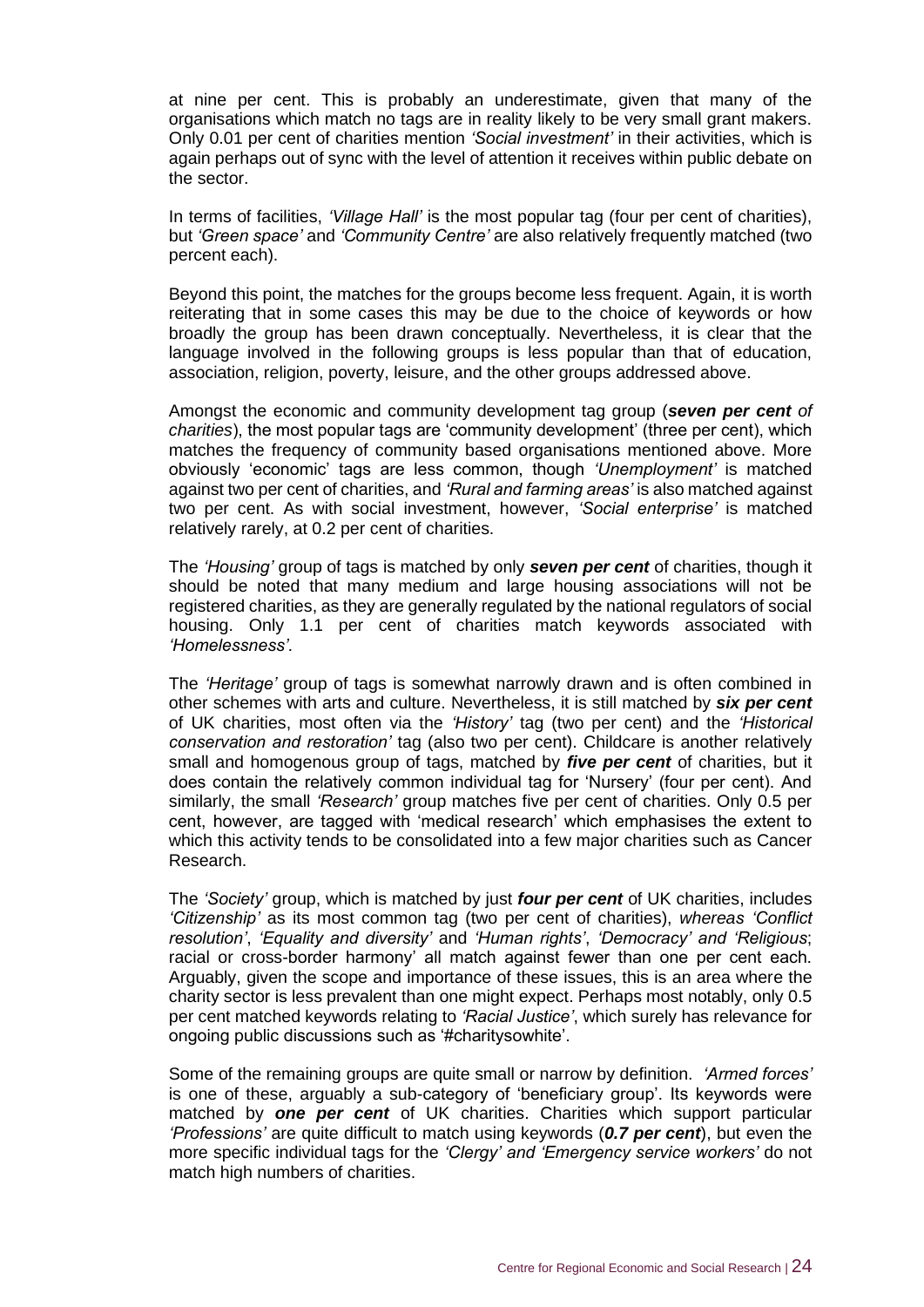at nine per cent. This is probably an underestimate, given that many of the organisations which match no tags are in reality likely to be very small grant makers. Only 0.01 per cent of charities mention *'Social investment'* in their activities, which is again perhaps out of sync with the level of attention it receives within public debate on the sector.

In terms of facilities, *'Village Hall'* is the most popular tag (four per cent of charities), but *'Green space'* and *'Community Centre'* are also relatively frequently matched (two percent each).

Beyond this point, the matches for the groups become less frequent. Again, it is worth reiterating that in some cases this may be due to the choice of keywords or how broadly the group has been drawn conceptually. Nevertheless, it is clear that the language involved in the following groups is less popular than that of education, association, religion, poverty, leisure, and the other groups addressed above.

Amongst the economic and community development tag group (*seven per cent of charities*), the most popular tags are 'community development' (three per cent), which matches the frequency of community based organisations mentioned above. More obviously 'economic' tags are less common, though *'Unemployment'* is matched against two per cent of charities, and *'Rural and farming areas'* is also matched against two per cent. As with social investment, however, *'Social enterprise'* is matched relatively rarely, at 0.2 per cent of charities.

The *'Housing'* group of tags is matched by only *seven per cent* of charities, though it should be noted that many medium and large housing associations will not be registered charities, as they are generally regulated by the national regulators of social housing. Only 1.1 per cent of charities match keywords associated with *'Homelessness'.*

The *'Heritage'* group of tags is somewhat narrowly drawn and is often combined in other schemes with arts and culture. Nevertheless, it is still matched by *six per cent* of UK charities, most often via the *'History'* tag (two per cent) and the *'Historical conservation and restoration'* tag (also two per cent). Childcare is another relatively small and homogenous group of tags, matched by *five per cent* of charities, but it does contain the relatively common individual tag for 'Nursery' (four per cent). And similarly, the small *'Research'* group matches five per cent of charities. Only 0.5 per cent, however, are tagged with 'medical research' which emphasises the extent to which this activity tends to be consolidated into a few major charities such as Cancer Research.

The *'Society'* group, which is matched by just *four per cent* of UK charities, includes *'Citizenship'* as its most common tag (two per cent of charities), *whereas 'Conflict resolution'*, *'Equality and diversity'* and *'Human rights'*, *'Democracy' and 'Religious*; racial or cross-border harmony' all match against fewer than one per cent each. Arguably, given the scope and importance of these issues, this is an area where the charity sector is less prevalent than one might expect. Perhaps most notably, only 0.5 per cent matched keywords relating to *'Racial Justice'*, which surely has relevance for ongoing public discussions such as '#charitysowhite'.

Some of the remaining groups are quite small or narrow by definition. *'Armed forces'* is one of these, arguably a sub-category of 'beneficiary group'. Its keywords were matched by *one per cent* of UK charities. Charities which support particular *'Professions'* are quite difficult to match using keywords (*0.7 per cent*), but even the more specific individual tags for the *'Clergy' and 'Emergency service workers'* do not match high numbers of charities.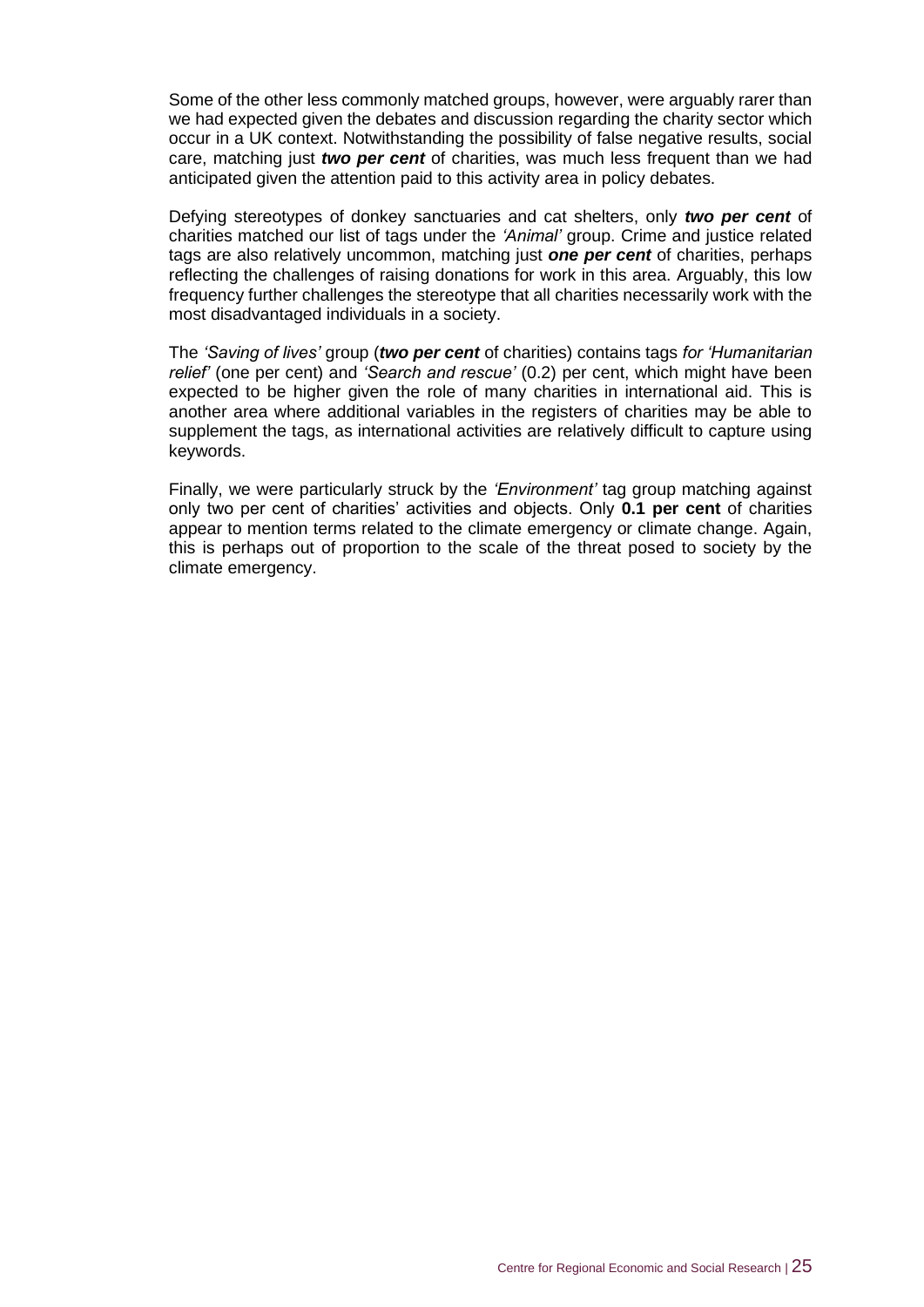Some of the other less commonly matched groups, however, were arguably rarer than we had expected given the debates and discussion regarding the charity sector which occur in a UK context. Notwithstanding the possibility of false negative results, social care, matching just *two per cent* of charities, was much less frequent than we had anticipated given the attention paid to this activity area in policy debates.

Defying stereotypes of donkey sanctuaries and cat shelters, only *two per cent* of charities matched our list of tags under the *'Animal'* group. Crime and justice related tags are also relatively uncommon, matching just *one per cent* of charities, perhaps reflecting the challenges of raising donations for work in this area. Arguably, this low frequency further challenges the stereotype that all charities necessarily work with the most disadvantaged individuals in a society.

The *'Saving of lives'* group (*two per cent* of charities) contains tags *for 'Humanitarian relief'* (one per cent) and *'Search and rescue'* (0.2) per cent, which might have been expected to be higher given the role of many charities in international aid. This is another area where additional variables in the registers of charities may be able to supplement the tags, as international activities are relatively difficult to capture using keywords.

Finally, we were particularly struck by the *'Environment'* tag group matching against only two per cent of charities' activities and objects. Only **0.1 per cent** of charities appear to mention terms related to the climate emergency or climate change. Again, this is perhaps out of proportion to the scale of the threat posed to society by the climate emergency.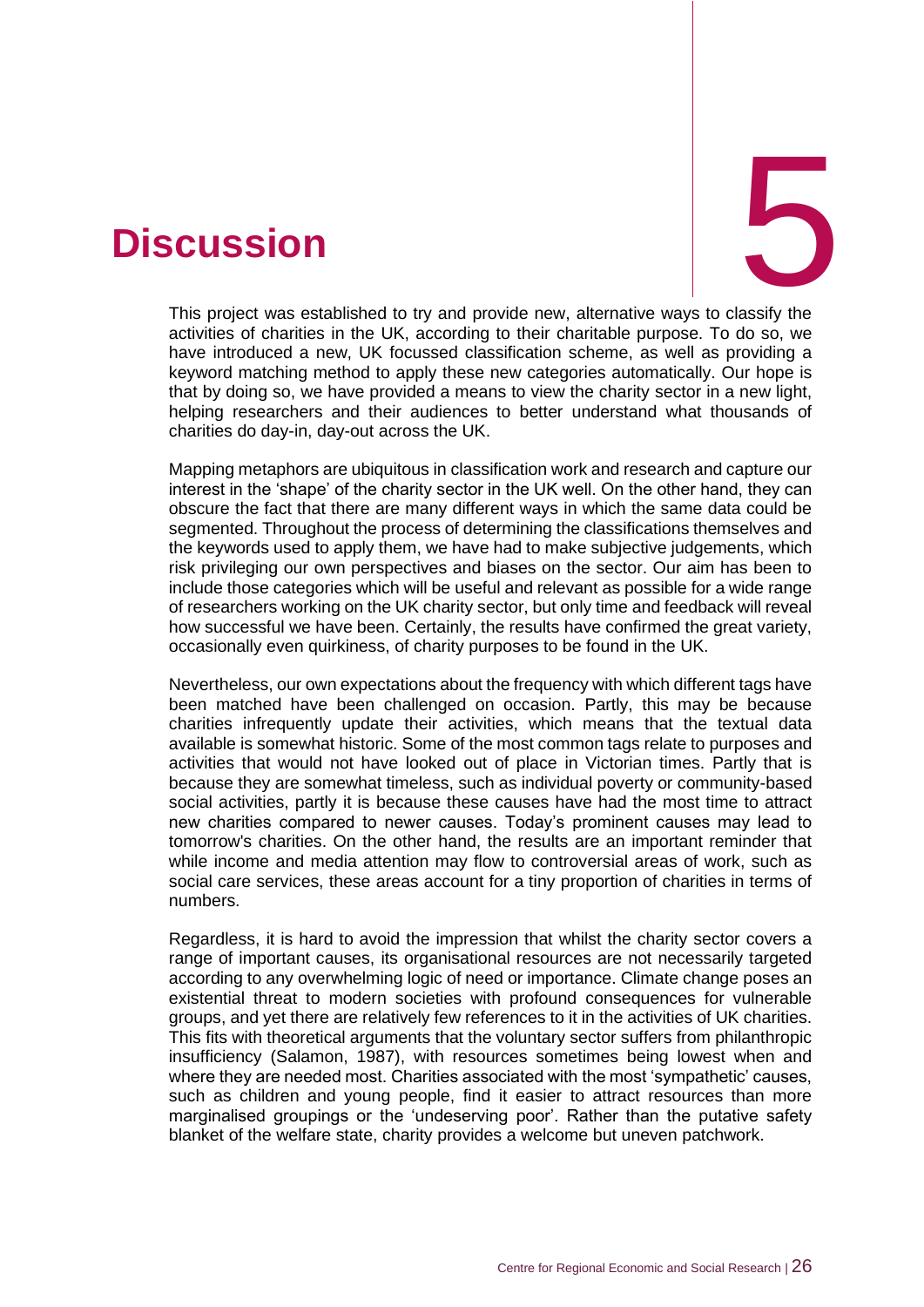## **5. Discussion**



This project was established to try and provide new, alternative ways to classify the activities of charities in the UK, according to their charitable purpose. To do so, we have introduced a new, UK focussed classification scheme, as well as providing a keyword matching method to apply these new categories automatically. Our hope is that by doing so, we have provided a means to view the charity sector in a new light, helping researchers and their audiences to better understand what thousands of charities do day-in, day-out across the UK.

Mapping metaphors are ubiquitous in classification work and research and capture our interest in the 'shape' of the charity sector in the UK well. On the other hand, they can obscure the fact that there are many different ways in which the same data could be segmented. Throughout the process of determining the classifications themselves and the keywords used to apply them, we have had to make subjective judgements, which risk privileging our own perspectives and biases on the sector. Our aim has been to include those categories which will be useful and relevant as possible for a wide range of researchers working on the UK charity sector, but only time and feedback will reveal how successful we have been. Certainly, the results have confirmed the great variety, occasionally even quirkiness, of charity purposes to be found in the UK.

Nevertheless, our own expectations about the frequency with which different tags have been matched have been challenged on occasion. Partly, this may be because charities infrequently update their activities, which means that the textual data available is somewhat historic. Some of the most common tags relate to purposes and activities that would not have looked out of place in Victorian times. Partly that is because they are somewhat timeless, such as individual poverty or community-based social activities, partly it is because these causes have had the most time to attract new charities compared to newer causes. Today's prominent causes may lead to tomorrow's charities. On the other hand, the results are an important reminder that while income and media attention may flow to controversial areas of work, such as social care services, these areas account for a tiny proportion of charities in terms of numbers.

Regardless, it is hard to avoid the impression that whilst the charity sector covers a range of important causes, its organisational resources are not necessarily targeted according to any overwhelming logic of need or importance. Climate change poses an existential threat to modern societies with profound consequences for vulnerable groups, and yet there are relatively few references to it in the activities of UK charities. This fits with theoretical arguments that the voluntary sector suffers from philanthropic insufficiency (Salamon, 1987), with resources sometimes being lowest when and where they are needed most. Charities associated with the most 'sympathetic' causes, such as children and young people, find it easier to attract resources than more marginalised groupings or the 'undeserving poor'. Rather than the putative safety blanket of the welfare state, charity provides a welcome but uneven patchwork.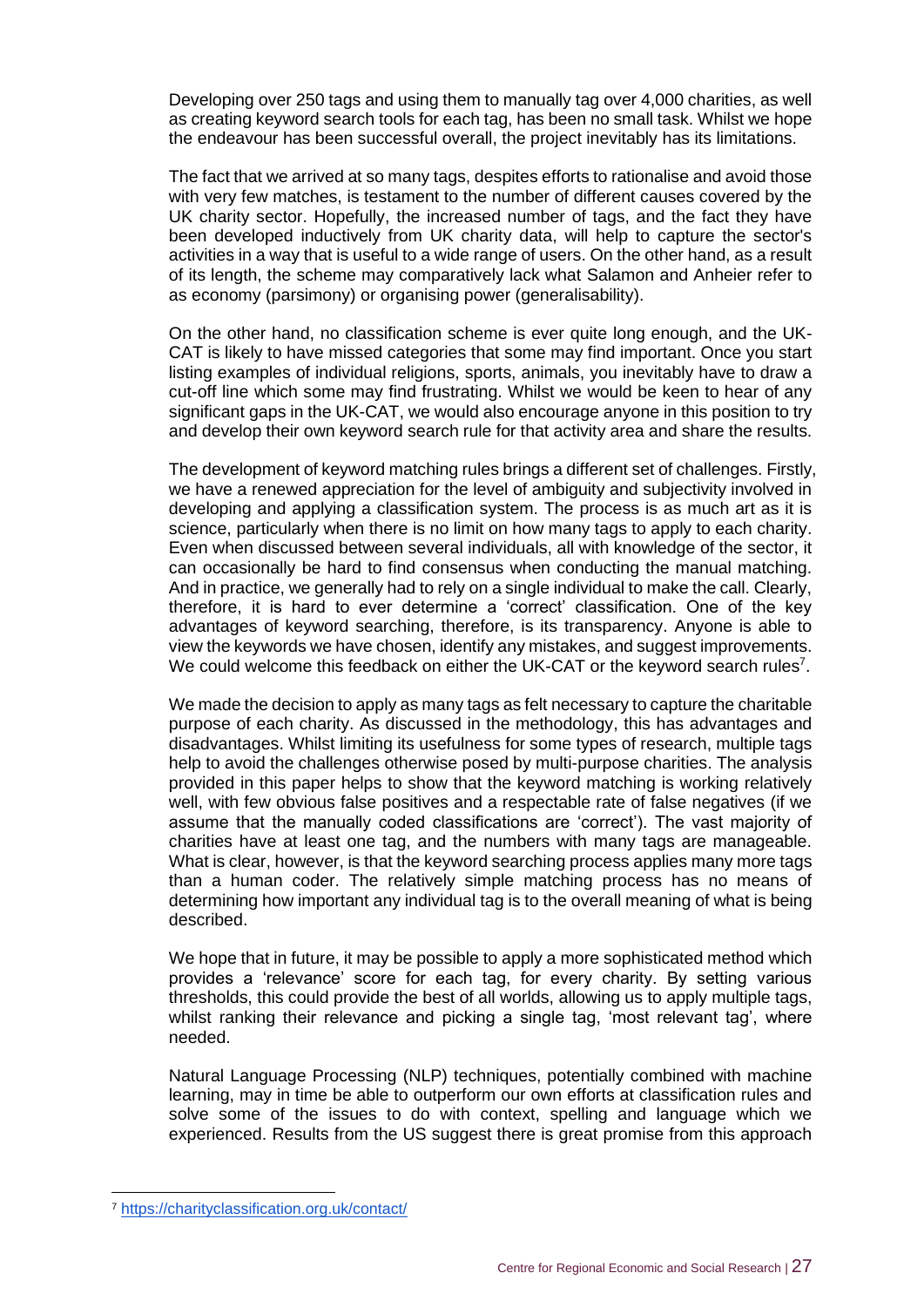Developing over 250 tags and using them to manually tag over 4,000 charities, as well as creating keyword search tools for each tag, has been no small task. Whilst we hope the endeavour has been successful overall, the project inevitably has its limitations.

The fact that we arrived at so many tags, despites efforts to rationalise and avoid those with very few matches, is testament to the number of different causes covered by the UK charity sector. Hopefully, the increased number of tags, and the fact they have been developed inductively from UK charity data, will help to capture the sector's activities in a way that is useful to a wide range of users. On the other hand, as a result of its length, the scheme may comparatively lack what Salamon and Anheier refer to as economy (parsimony) or organising power (generalisability).

On the other hand, no classification scheme is ever quite long enough, and the UK-CAT is likely to have missed categories that some may find important. Once you start listing examples of individual religions, sports, animals, you inevitably have to draw a cut-off line which some may find frustrating. Whilst we would be keen to hear of any significant gaps in the UK-CAT, we would also encourage anyone in this position to try and develop their own keyword search rule for that activity area and share the results.

The development of keyword matching rules brings a different set of challenges. Firstly, we have a renewed appreciation for the level of ambiguity and subjectivity involved in developing and applying a classification system. The process is as much art as it is science, particularly when there is no limit on how many tags to apply to each charity. Even when discussed between several individuals, all with knowledge of the sector, it can occasionally be hard to find consensus when conducting the manual matching. And in practice, we generally had to rely on a single individual to make the call. Clearly, therefore, it is hard to ever determine a 'correct' classification. One of the key advantages of keyword searching, therefore, is its transparency. Anyone is able to view the keywords we have chosen, identify any mistakes, and suggest improvements. We could welcome this feedback on either the UK-CAT or the keyword search rules<sup>7</sup>.

We made the decision to apply as many tags as felt necessary to capture the charitable purpose of each charity. As discussed in the methodology, this has advantages and disadvantages. Whilst limiting its usefulness for some types of research, multiple tags help to avoid the challenges otherwise posed by multi-purpose charities. The analysis provided in this paper helps to show that the keyword matching is working relatively well, with few obvious false positives and a respectable rate of false negatives (if we assume that the manually coded classifications are 'correct'). The vast majority of charities have at least one tag, and the numbers with many tags are manageable. What is clear, however, is that the keyword searching process applies many more tags than a human coder. The relatively simple matching process has no means of determining how important any individual tag is to the overall meaning of what is being described.

We hope that in future, it may be possible to apply a more sophisticated method which provides a 'relevance' score for each tag, for every charity. By setting various thresholds, this could provide the best of all worlds, allowing us to apply multiple tags, whilst ranking their relevance and picking a single tag, 'most relevant tag', where needed.

Natural Language Processing (NLP) techniques, potentially combined with machine learning, may in time be able to outperform our own efforts at classification rules and solve some of the issues to do with context, spelling and language which we experienced. Results from the US suggest there is great promise from this approach

<sup>7</sup> <https://charityclassification.org.uk/contact/>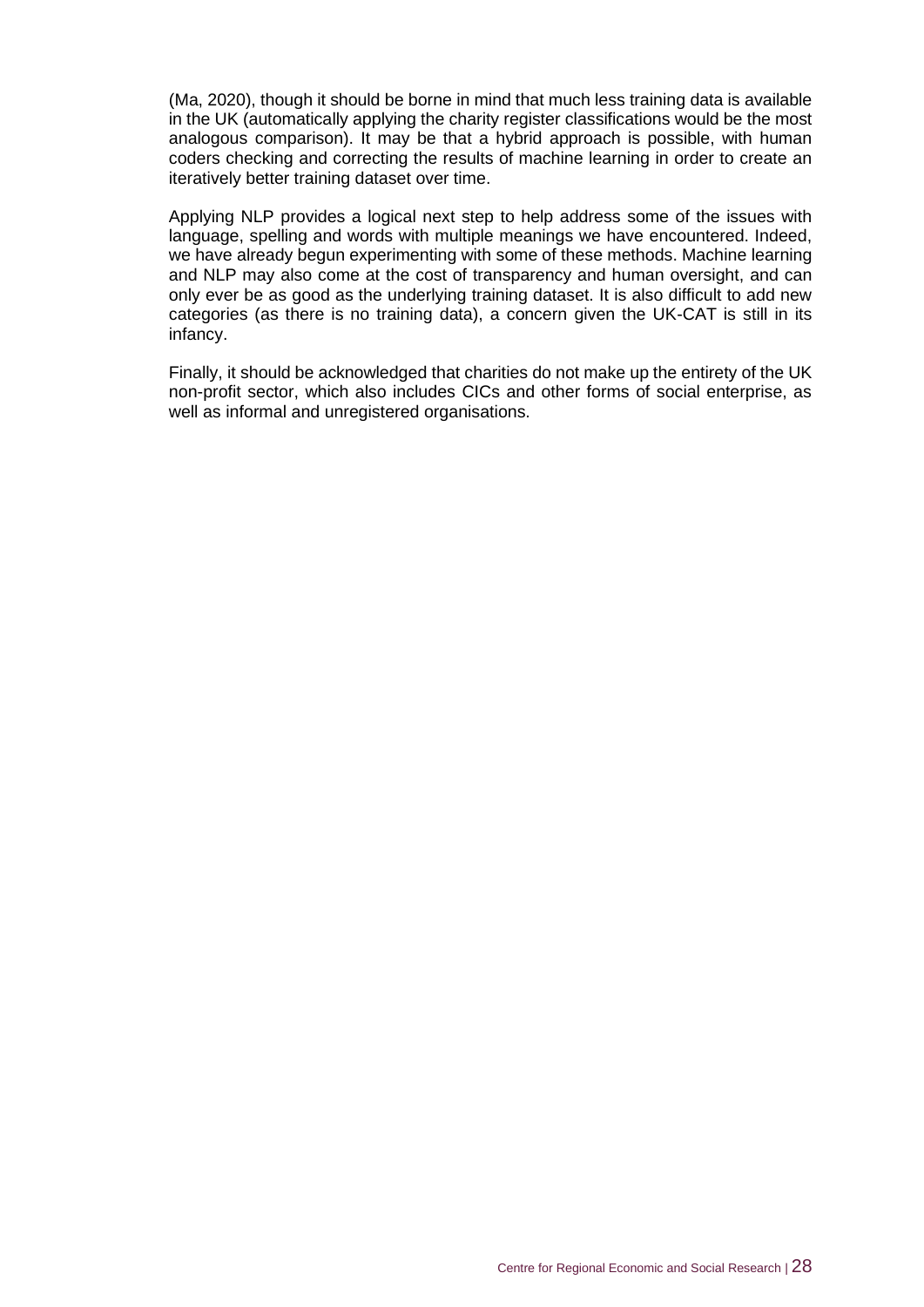(Ma, 2020), though it should be borne in mind that much less training data is available in the UK (automatically applying the charity register classifications would be the most analogous comparison). It may be that a hybrid approach is possible, with human coders checking and correcting the results of machine learning in order to create an iteratively better training dataset over time.

Applying NLP provides a logical next step to help address some of the issues with language, spelling and words with multiple meanings we have encountered. Indeed, we have already begun experimenting with some of these methods. Machine learning and NLP may also come at the cost of transparency and human oversight, and can only ever be as good as the underlying training dataset. It is also difficult to add new categories (as there is no training data), a concern given the UK-CAT is still in its infancy.

Finally, it should be acknowledged that charities do not make up the entirety of the UK non-profit sector, which also includes CICs and other forms of social enterprise, as well as informal and unregistered organisations.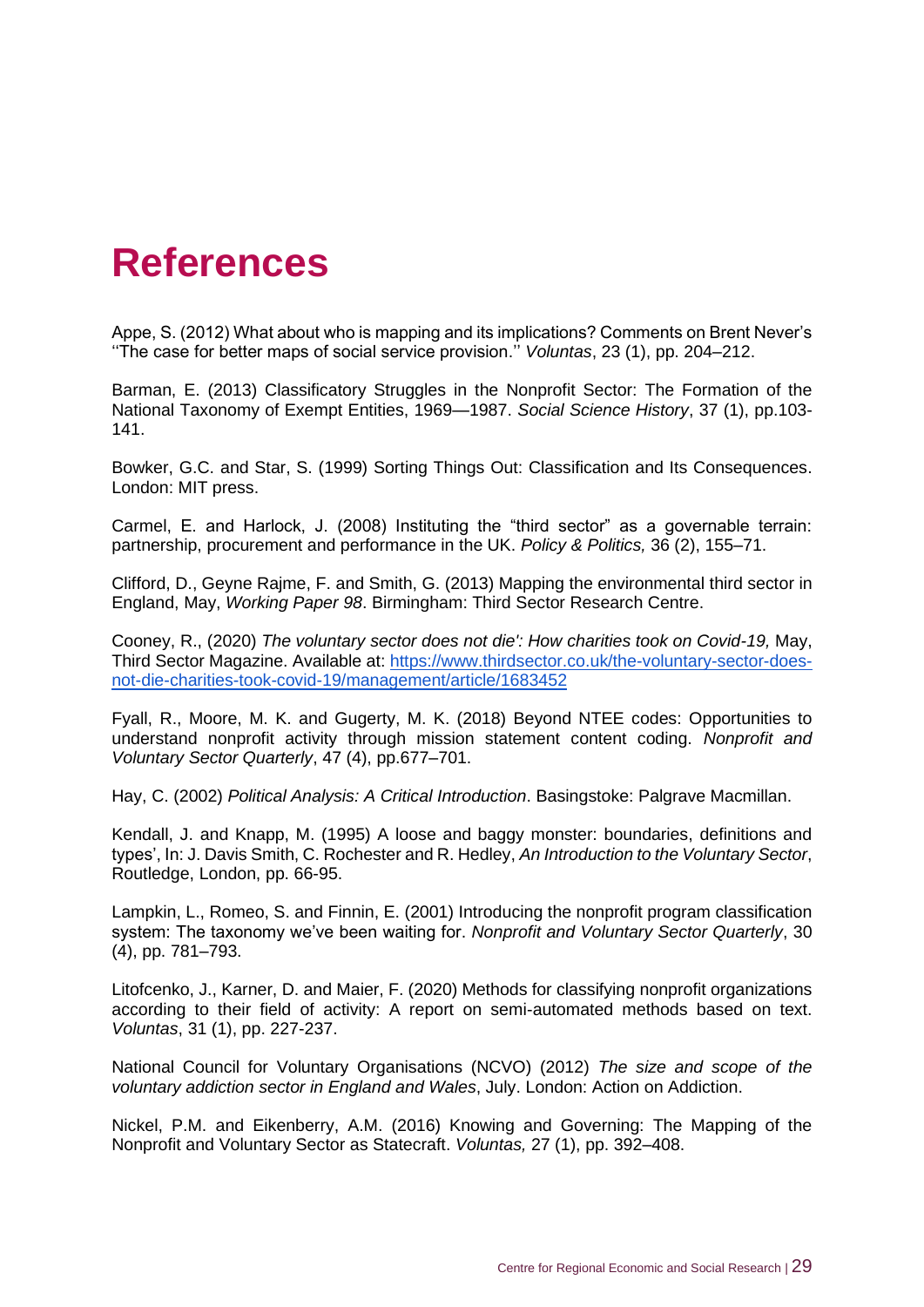## **6. References**

Appe, S. (2012) What about who is mapping and its implications? Comments on Brent Never's ''The case for better maps of social service provision.'' *Voluntas*, 23 (1), pp. 204–212.

Barman, E. (2013) Classificatory Struggles in the Nonprofit Sector: The Formation of the National Taxonomy of Exempt Entities, 1969—1987. *Social Science History*, 37 (1), pp.103- 141.

Bowker, G.C. and Star, S. (1999) Sorting Things Out: Classification and Its Consequences. London: MIT press.

Carmel, E. and Harlock, J. (2008) Instituting the "third sector" as a governable terrain: partnership, procurement and performance in the UK. *Policy & Politics,* 36 (2), 155–71.

Clifford, D., Geyne Rajme, F. and Smith, G. (2013) Mapping the environmental third sector in England, May, *Working Paper 98*. Birmingham: Third Sector Research Centre.

Cooney, R., (2020) *The voluntary sector does not die': How charities took on Covid-19,* May, Third Sector Magazine. Available at: [https://www.thirdsector.co.uk/the-voluntary-sector-does](https://www.thirdsector.co.uk/the-voluntary-sector-does-not-die-charities-took-covid-19/management/article/1683452)[not-die-charities-took-covid-19/management/article/1683452](https://www.thirdsector.co.uk/the-voluntary-sector-does-not-die-charities-took-covid-19/management/article/1683452)

Fyall, R., Moore, M. K. and Gugerty, M. K. (2018) Beyond NTEE codes: Opportunities to understand nonprofit activity through mission statement content coding. *Nonprofit and Voluntary Sector Quarterly*, 47 (4), pp.677–701.

Hay, C. (2002) *Political Analysis: A Critical Introduction*. Basingstoke: Palgrave Macmillan.

Kendall, J. and Knapp, M. (1995) A loose and baggy monster: boundaries, definitions and types', In: J. Davis Smith, C. Rochester and R. Hedley, *An Introduction to the Voluntary Sector*, Routledge, London, pp. 66-95.

Lampkin, L., Romeo, S. and Finnin, E. (2001) Introducing the nonprofit program classification system: The taxonomy we've been waiting for. *Nonprofit and Voluntary Sector Quarterly*, 30 (4), pp. 781–793.

Litofcenko, J., Karner, D. and Maier, F. (2020) Methods for classifying nonprofit organizations according to their field of activity: A report on semi-automated methods based on text. *Voluntas*, 31 (1), pp. 227-237.

National Council for Voluntary Organisations (NCVO) (2012) *The size and scope of the voluntary addiction sector in England and Wales*, July. London: Action on Addiction.

Nickel, P.M. and Eikenberry, A.M. (2016) Knowing and Governing: The Mapping of the Nonprofit and Voluntary Sector as Statecraft. *Voluntas,* 27 (1), pp. 392–408.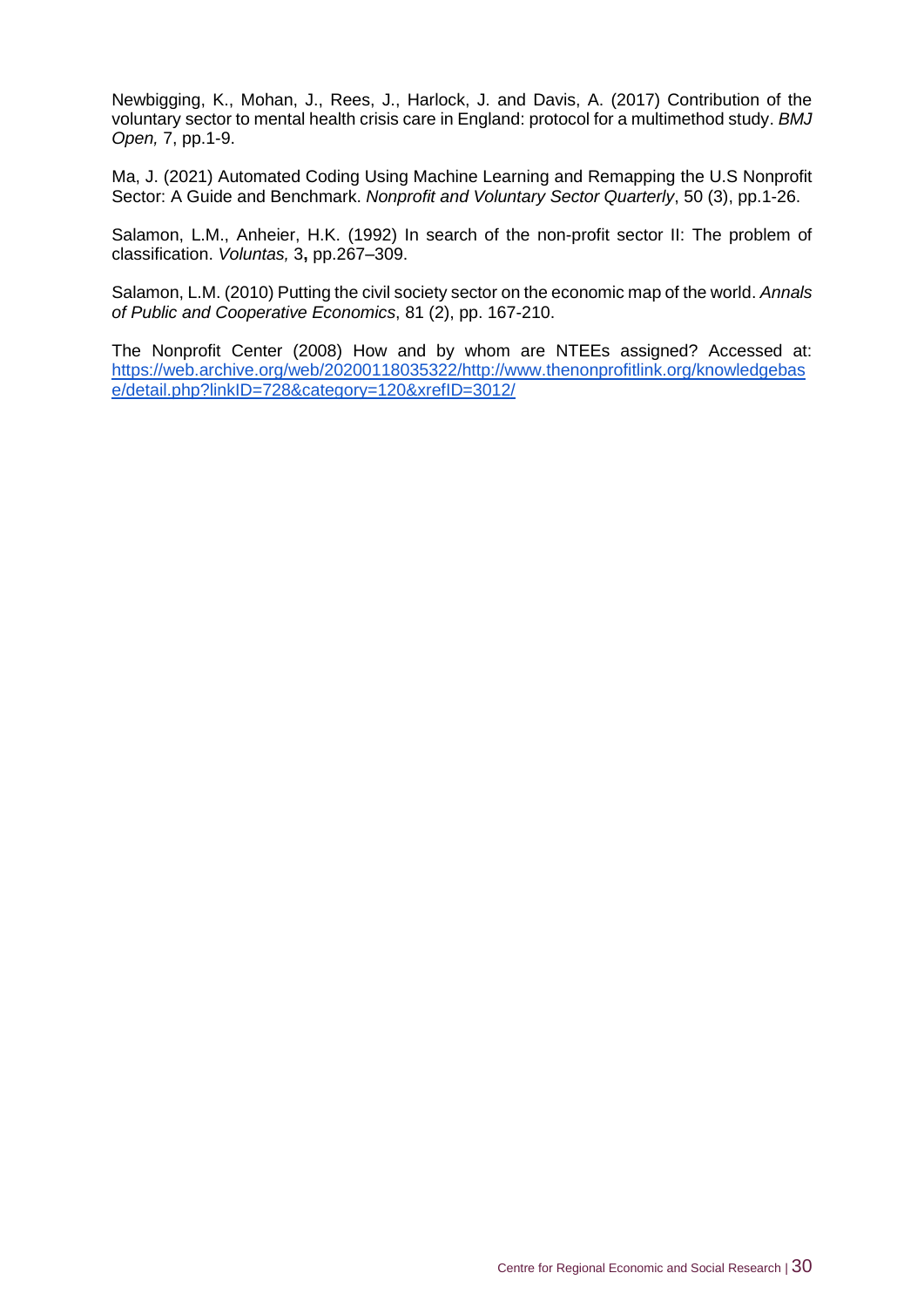Newbigging, K., Mohan, J., Rees, J., Harlock, J. and Davis, A. (2017) Contribution of the voluntary sector to mental health crisis care in England: protocol for a multimethod study. *BMJ Open,* 7, pp.1-9.

Ma, J. (2021) Automated Coding Using Machine Learning and Remapping the U.S Nonprofit Sector: A Guide and Benchmark. *Nonprofit and Voluntary Sector Quarterly*, 50 (3), pp.1-26.

Salamon, L.M., Anheier, H.K. (1992) In search of the non-profit sector II: The problem of classification. *Voluntas,* 3**,** pp.267–309.

Salamon, L.M. (2010) Putting the civil society sector on the economic map of the world. *Annals of Public and Cooperative Economics*, 81 (2), pp. 167-210.

The Nonprofit Center (2008) How and by whom are NTEEs assigned? Accessed at: [https://web.archive.org/web/20200118035322/http://www.thenonprofitlink.org/knowledgebas](https://web.archive.org/web/20200118035322/http:/www.thenonprofitlink.org/knowledgebase/detail.php?linkID=728&category=120&xrefID=3012/) [e/detail.php?linkID=728&category=120&xrefID=3012/](https://web.archive.org/web/20200118035322/http:/www.thenonprofitlink.org/knowledgebase/detail.php?linkID=728&category=120&xrefID=3012/)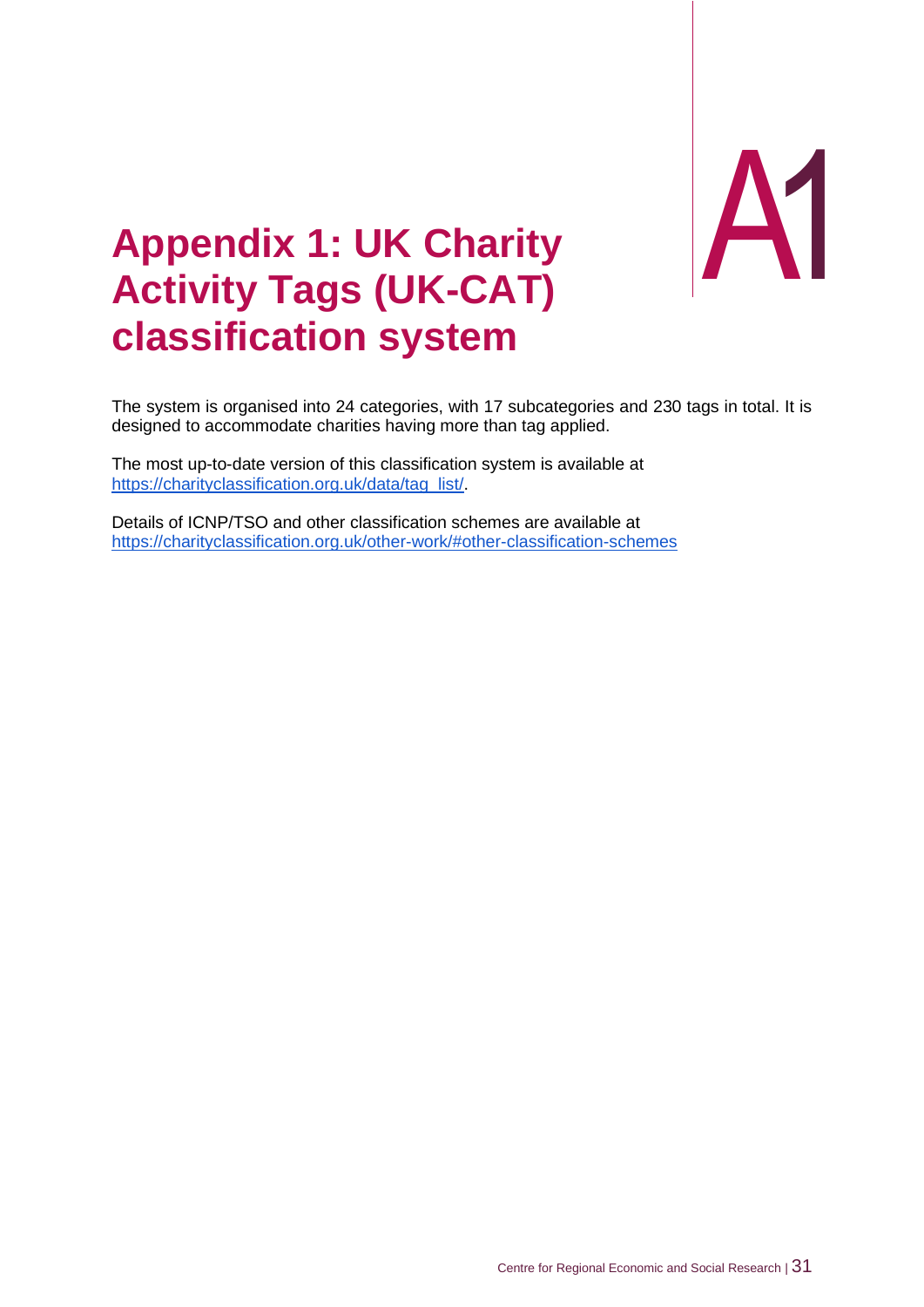

# **Appendix 1: UK Charity Activity Tags (UK classification system**

The system is organised into 24 categories, with 17 subcategories and 230 tags in total. It is designed to accommodate charities having more than tag applied.

The most up-to-date version of this classification system is available at [https://charityclassification.org.uk/data/tag\\_list/.](https://charityclassification.org.uk/data/tag_list/)

Details of ICNP/TSO and other classification schemes are available at <https://charityclassification.org.uk/other-work/#other-classification-schemes>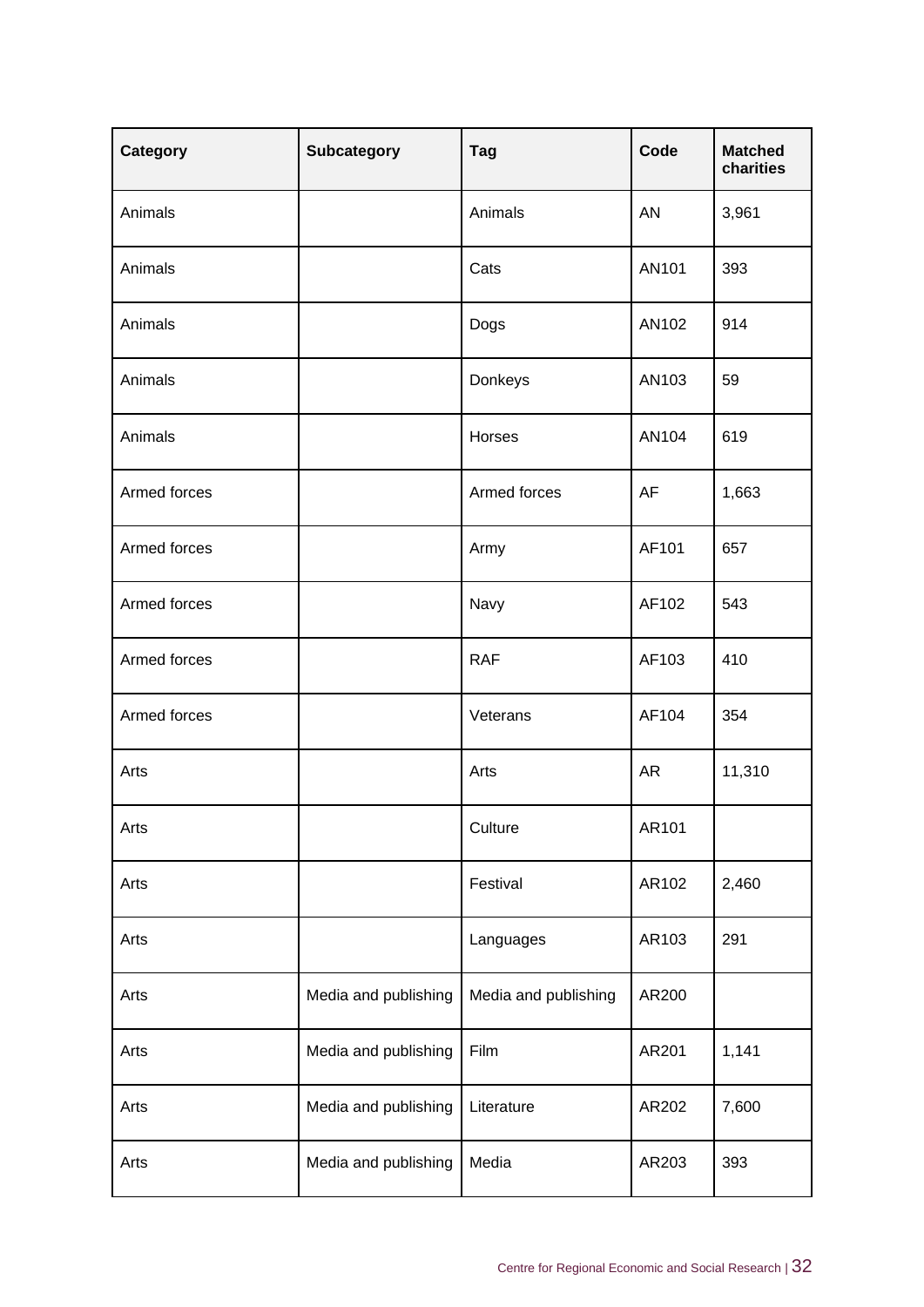| Category     | <b>Subcategory</b>   | <b>Tag</b>           | Code      | <b>Matched</b><br>charities |
|--------------|----------------------|----------------------|-----------|-----------------------------|
| Animals      |                      | Animals              | <b>AN</b> | 3,961                       |
| Animals      |                      | Cats                 | AN101     | 393                         |
| Animals      |                      | Dogs                 | AN102     | 914                         |
| Animals      |                      | Donkeys              | AN103     | 59                          |
| Animals      |                      | Horses               | AN104     | 619                         |
| Armed forces |                      | Armed forces         | AF        | 1,663                       |
| Armed forces |                      | Army                 | AF101     | 657                         |
| Armed forces |                      | Navy                 | AF102     | 543                         |
| Armed forces |                      | <b>RAF</b>           | AF103     | 410                         |
| Armed forces |                      | Veterans             | AF104     | 354                         |
| Arts         |                      | Arts                 | <b>AR</b> | 11,310                      |
| Arts         |                      | Culture              | AR101     |                             |
| Arts         |                      | Festival             | AR102     | 2,460                       |
| Arts         |                      | Languages            | AR103     | 291                         |
| Arts         | Media and publishing | Media and publishing | AR200     |                             |
| Arts         | Media and publishing | Film                 | AR201     | 1,141                       |
| Arts         | Media and publishing | Literature           | AR202     | 7,600                       |
| Arts         | Media and publishing | Media                | AR203     | 393                         |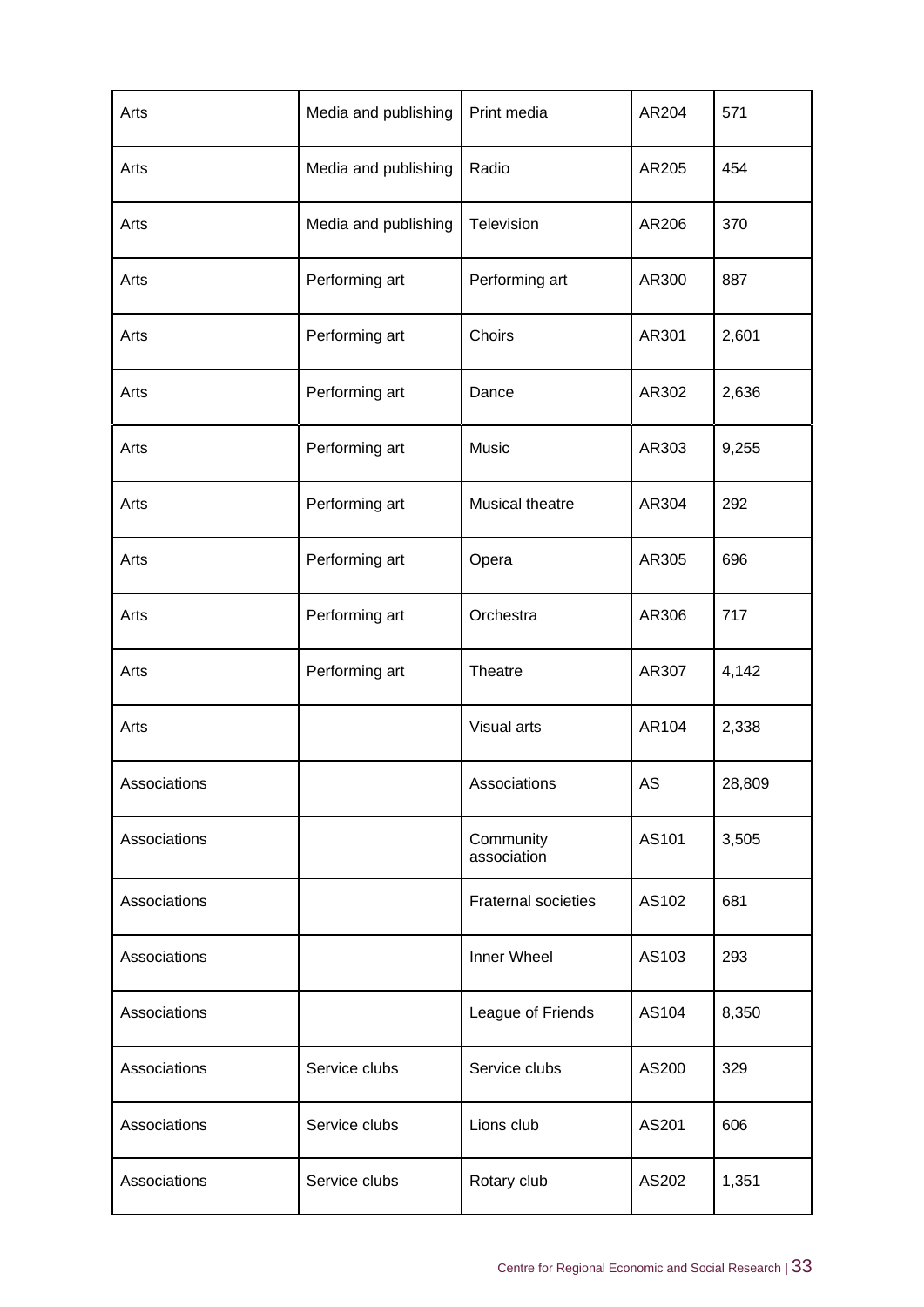| Arts         | Media and publishing | Print media                | AR204      | 571    |
|--------------|----------------------|----------------------------|------------|--------|
| Arts         | Media and publishing | Radio                      | AR205      | 454    |
| Arts         | Media and publishing | Television                 | AR206      | 370    |
| Arts         | Performing art       | Performing art             | AR300      | 887    |
| Arts         | Performing art       | Choirs                     | AR301      | 2,601  |
| Arts         | Performing art       | Dance                      | AR302      | 2,636  |
| Arts         | Performing art       | Music                      | AR303      | 9,255  |
| Arts         | Performing art       | Musical theatre            | AR304      | 292    |
| Arts         | Performing art       | Opera                      | AR305      | 696    |
| Arts         | Performing art       | Orchestra                  | AR306      | 717    |
| Arts         | Performing art       | Theatre                    | AR307      | 4,142  |
| Arts         |                      | Visual arts                | AR104      | 2,338  |
| Associations |                      | Associations               | ${\sf AS}$ | 28,809 |
| Associations |                      | Community<br>association   | AS101      | 3,505  |
| Associations |                      | <b>Fraternal societies</b> | AS102      | 681    |
| Associations |                      | Inner Wheel                | AS103      | 293    |
| Associations |                      | League of Friends          | AS104      | 8,350  |
| Associations | Service clubs        | Service clubs              | AS200      | 329    |
| Associations | Service clubs        | Lions club                 | AS201      | 606    |
| Associations | Service clubs        | Rotary club                | AS202      | 1,351  |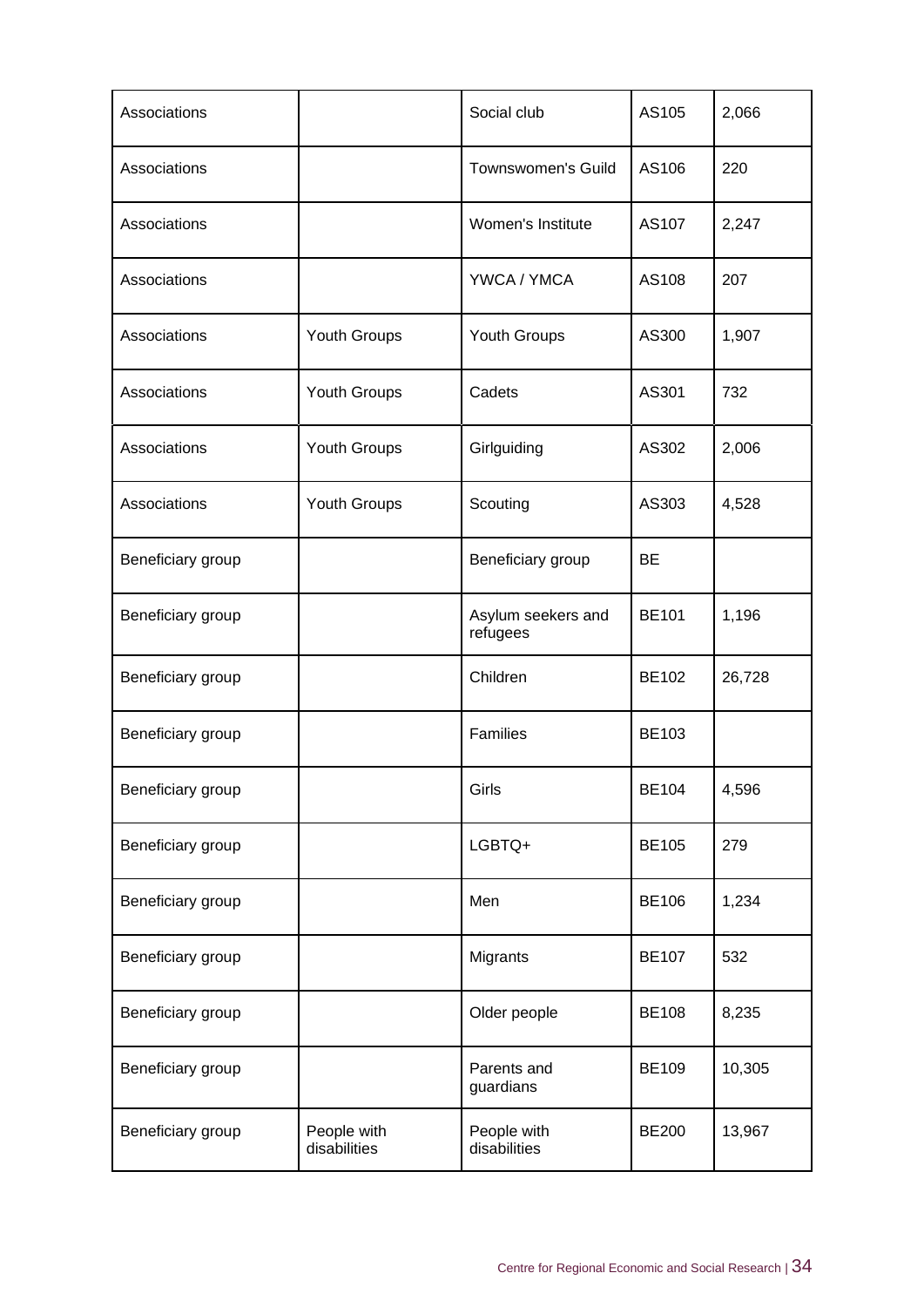| Associations      |                             | Social club                    | AS105        | 2,066  |
|-------------------|-----------------------------|--------------------------------|--------------|--------|
| Associations      |                             | Townswomen's Guild             | AS106        | 220    |
| Associations      |                             | Women's Institute              | AS107        | 2,247  |
| Associations      |                             | YWCA / YMCA                    | AS108        | 207    |
| Associations      | Youth Groups                | Youth Groups                   | AS300        | 1,907  |
| Associations      | Youth Groups                | Cadets                         | AS301        | 732    |
| Associations      | Youth Groups                | Girlguiding                    | AS302        | 2,006  |
| Associations      | Youth Groups                | Scouting                       | AS303        | 4,528  |
| Beneficiary group |                             | Beneficiary group              | <b>BE</b>    |        |
| Beneficiary group |                             | Asylum seekers and<br>refugees | <b>BE101</b> | 1,196  |
| Beneficiary group |                             | Children                       | <b>BE102</b> | 26,728 |
| Beneficiary group |                             | <b>Families</b>                | <b>BE103</b> |        |
| Beneficiary group |                             | Girls                          | BE104        | 4,596  |
| Beneficiary group |                             | LGBTQ+                         | <b>BE105</b> | 279    |
| Beneficiary group |                             | Men                            | <b>BE106</b> | 1,234  |
| Beneficiary group |                             | Migrants                       | <b>BE107</b> | 532    |
| Beneficiary group |                             | Older people                   | <b>BE108</b> | 8,235  |
| Beneficiary group |                             | Parents and<br>guardians       | <b>BE109</b> | 10,305 |
| Beneficiary group | People with<br>disabilities | People with<br>disabilities    | <b>BE200</b> | 13,967 |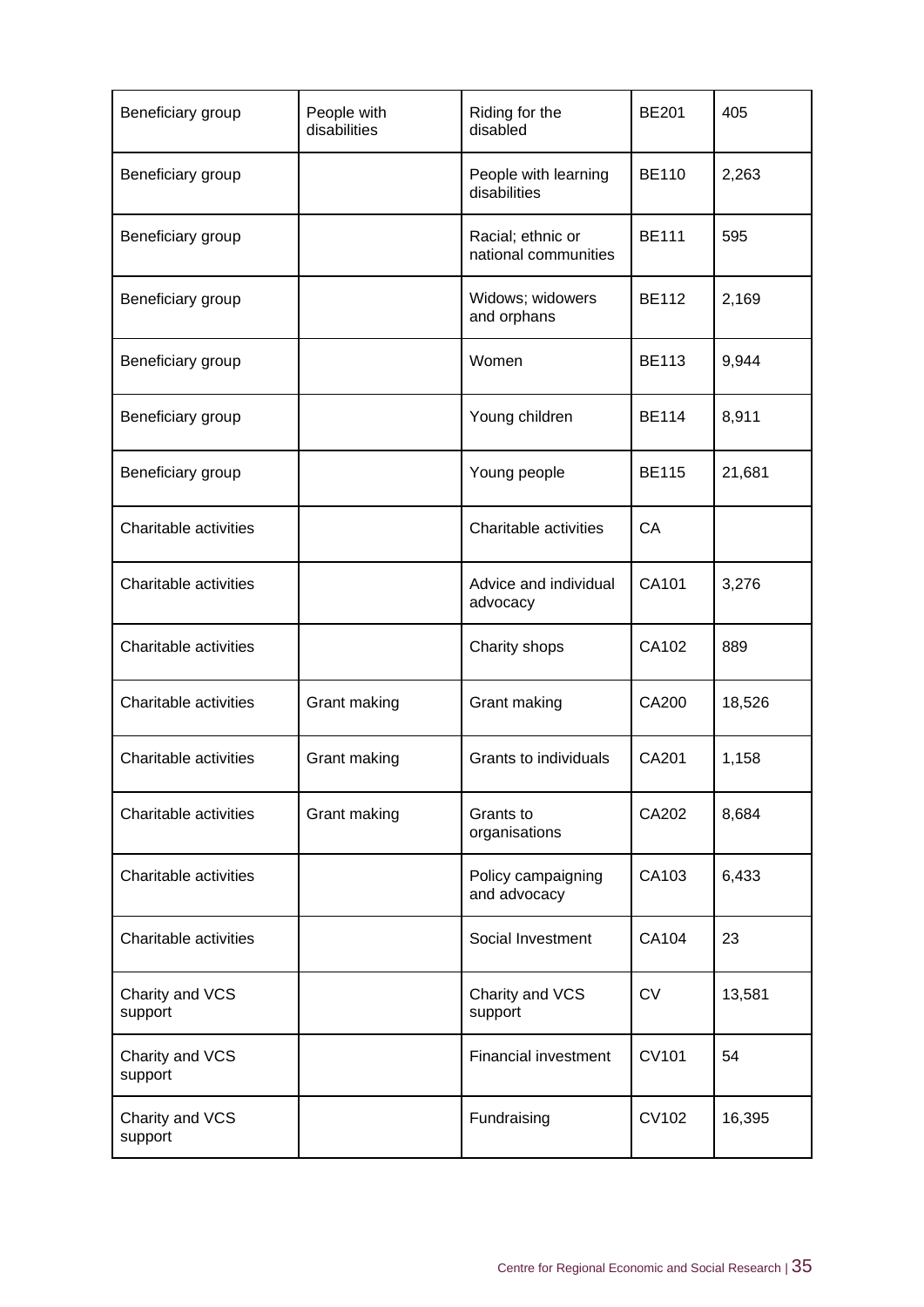| Beneficiary group          | People with<br>disabilities | Riding for the<br>disabled                | <b>BE201</b> | 405    |
|----------------------------|-----------------------------|-------------------------------------------|--------------|--------|
| Beneficiary group          |                             | People with learning<br>disabilities      | <b>BE110</b> | 2,263  |
| Beneficiary group          |                             | Racial; ethnic or<br>national communities | <b>BE111</b> | 595    |
| Beneficiary group          |                             | Widows; widowers<br>and orphans           | <b>BE112</b> | 2,169  |
| Beneficiary group          |                             | Women                                     | <b>BE113</b> | 9,944  |
| Beneficiary group          |                             | Young children                            | <b>BE114</b> | 8,911  |
| Beneficiary group          |                             | Young people                              | <b>BE115</b> | 21,681 |
| Charitable activities      |                             | Charitable activities                     | CA           |        |
| Charitable activities      |                             | Advice and individual<br>advocacy         | CA101        | 3,276  |
| Charitable activities      |                             | Charity shops                             | CA102        | 889    |
| Charitable activities      | Grant making                | Grant making                              | CA200        | 18,526 |
| Charitable activities      | Grant making                | Grants to individuals                     | CA201        | 1,158  |
| Charitable activities      | Grant making                | Grants to<br>organisations                | CA202        | 8,684  |
| Charitable activities      |                             | Policy campaigning<br>and advocacy        | CA103        | 6,433  |
| Charitable activities      |                             | Social Investment                         | CA104        | 23     |
| Charity and VCS<br>support |                             | Charity and VCS<br>support                | <b>CV</b>    | 13,581 |
| Charity and VCS<br>support |                             | <b>Financial investment</b>               | <b>CV101</b> | 54     |
| Charity and VCS<br>support |                             | Fundraising                               | CV102        | 16,395 |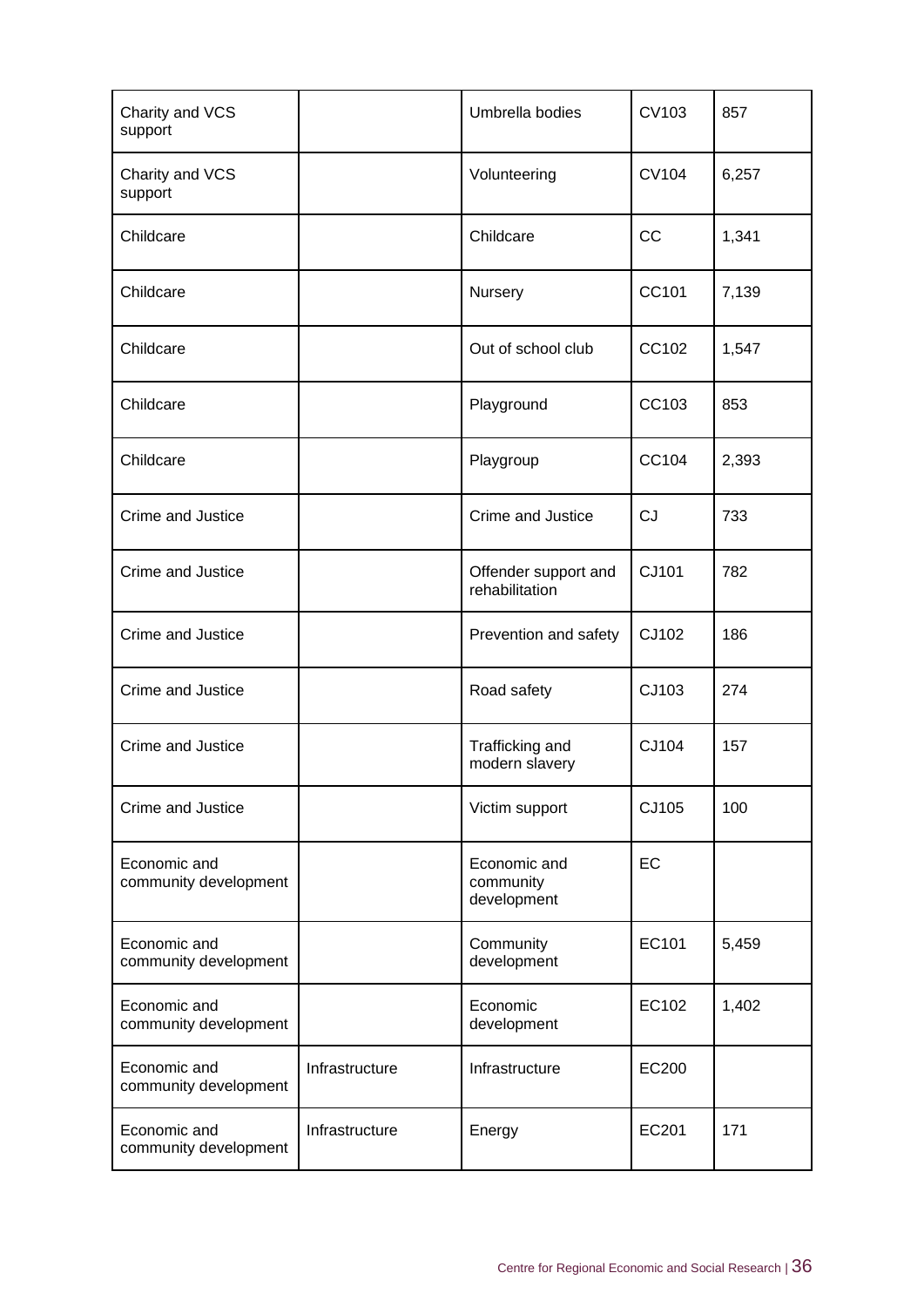| Charity and VCS<br>support            |                | Umbrella bodies                          | <b>CV103</b> | 857   |
|---------------------------------------|----------------|------------------------------------------|--------------|-------|
| Charity and VCS<br>support            |                | Volunteering                             | <b>CV104</b> | 6,257 |
| Childcare                             |                | Childcare                                | CC           | 1,341 |
| Childcare                             |                | Nursery                                  | CC101        | 7,139 |
| Childcare                             |                | Out of school club                       | CC102        | 1,547 |
| Childcare                             |                | Playground                               | CC103        | 853   |
| Childcare                             |                | Playgroup                                | CC104        | 2,393 |
| Crime and Justice                     |                | <b>Crime and Justice</b>                 | <b>CJ</b>    | 733   |
| Crime and Justice                     |                | Offender support and<br>rehabilitation   | CJ101        | 782   |
| <b>Crime and Justice</b>              |                | Prevention and safety                    | CJ102        | 186   |
| Crime and Justice                     |                | Road safety                              | CJ103        | 274   |
| <b>Crime and Justice</b>              |                | Trafficking and<br>modern slavery        | CJ104        | 157   |
| Crime and Justice                     |                | Victim support                           | CJ105        | 100   |
| Economic and<br>community development |                | Economic and<br>community<br>development | EC           |       |
| Economic and<br>community development |                | Community<br>development                 | EC101        | 5,459 |
| Economic and<br>community development |                | Economic<br>development                  | EC102        | 1,402 |
| Economic and<br>community development | Infrastructure | Infrastructure                           | EC200        |       |
| Economic and<br>community development | Infrastructure | Energy                                   | EC201        | 171   |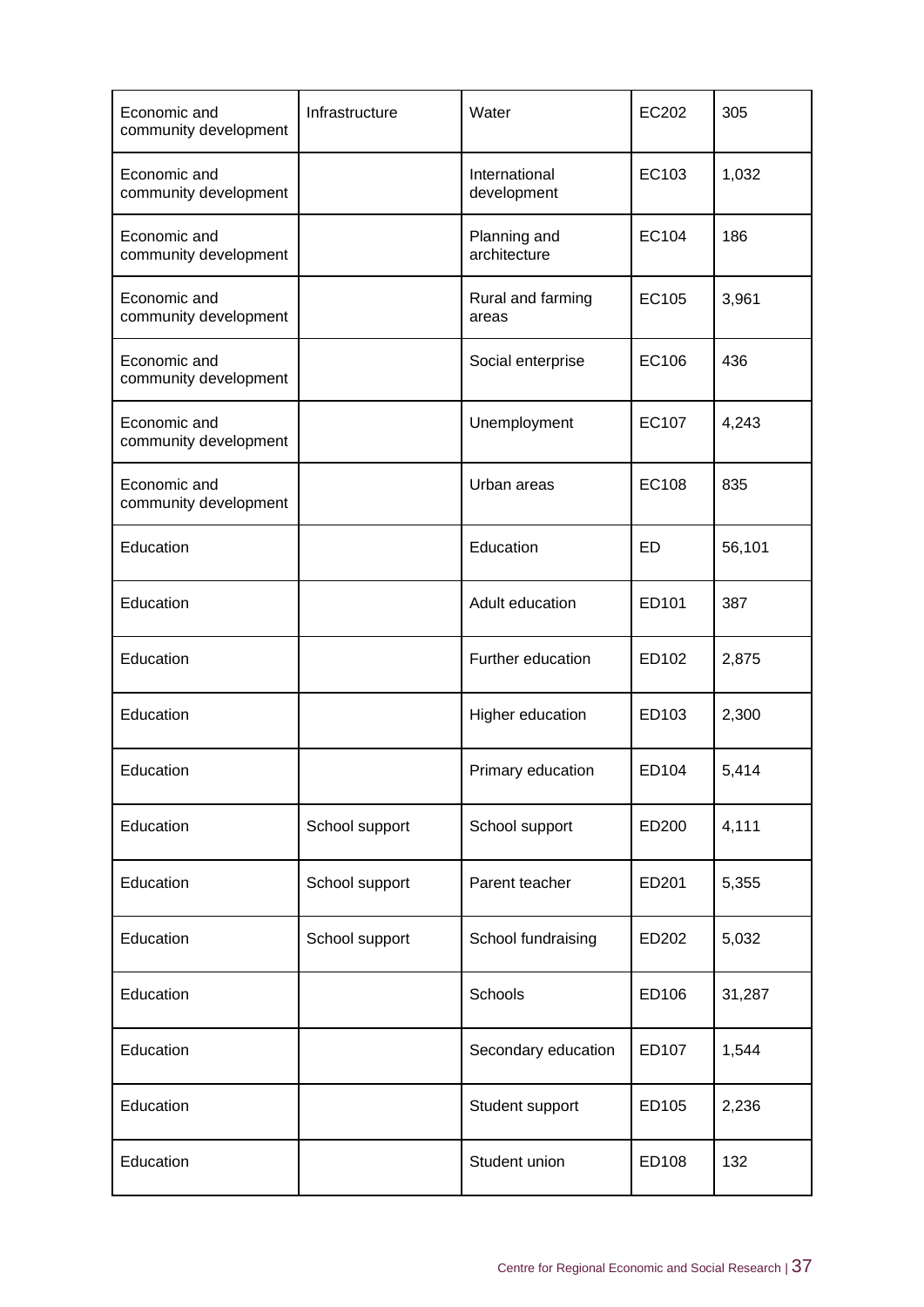| Economic and<br>community development | Infrastructure | Water                        | EC202     | 305    |
|---------------------------------------|----------------|------------------------------|-----------|--------|
| Economic and<br>community development |                | International<br>development | EC103     | 1,032  |
| Economic and<br>community development |                | Planning and<br>architecture | EC104     | 186    |
| Economic and<br>community development |                | Rural and farming<br>areas   | EC105     | 3,961  |
| Economic and<br>community development |                | Social enterprise            | EC106     | 436    |
| Economic and<br>community development |                | Unemployment                 | EC107     | 4,243  |
| Economic and<br>community development |                | Urban areas                  | EC108     | 835    |
| Education                             |                | Education                    | <b>ED</b> | 56,101 |
| Education                             |                | Adult education              | ED101     | 387    |
| Education                             |                | Further education            | ED102     | 2,875  |
| Education                             |                | Higher education             | ED103     | 2,300  |
| Education                             |                | Primary education            | ED104     | 5,414  |
| Education                             | School support | School support               | ED200     | 4,111  |
| Education                             | School support | Parent teacher               | ED201     | 5,355  |
| Education                             | School support | School fundraising           | ED202     | 5,032  |
| Education                             |                | Schools                      | ED106     | 31,287 |
| Education                             |                | Secondary education          | ED107     | 1,544  |
| Education                             |                | Student support              | ED105     | 2,236  |
| Education                             |                | Student union                | ED108     | 132    |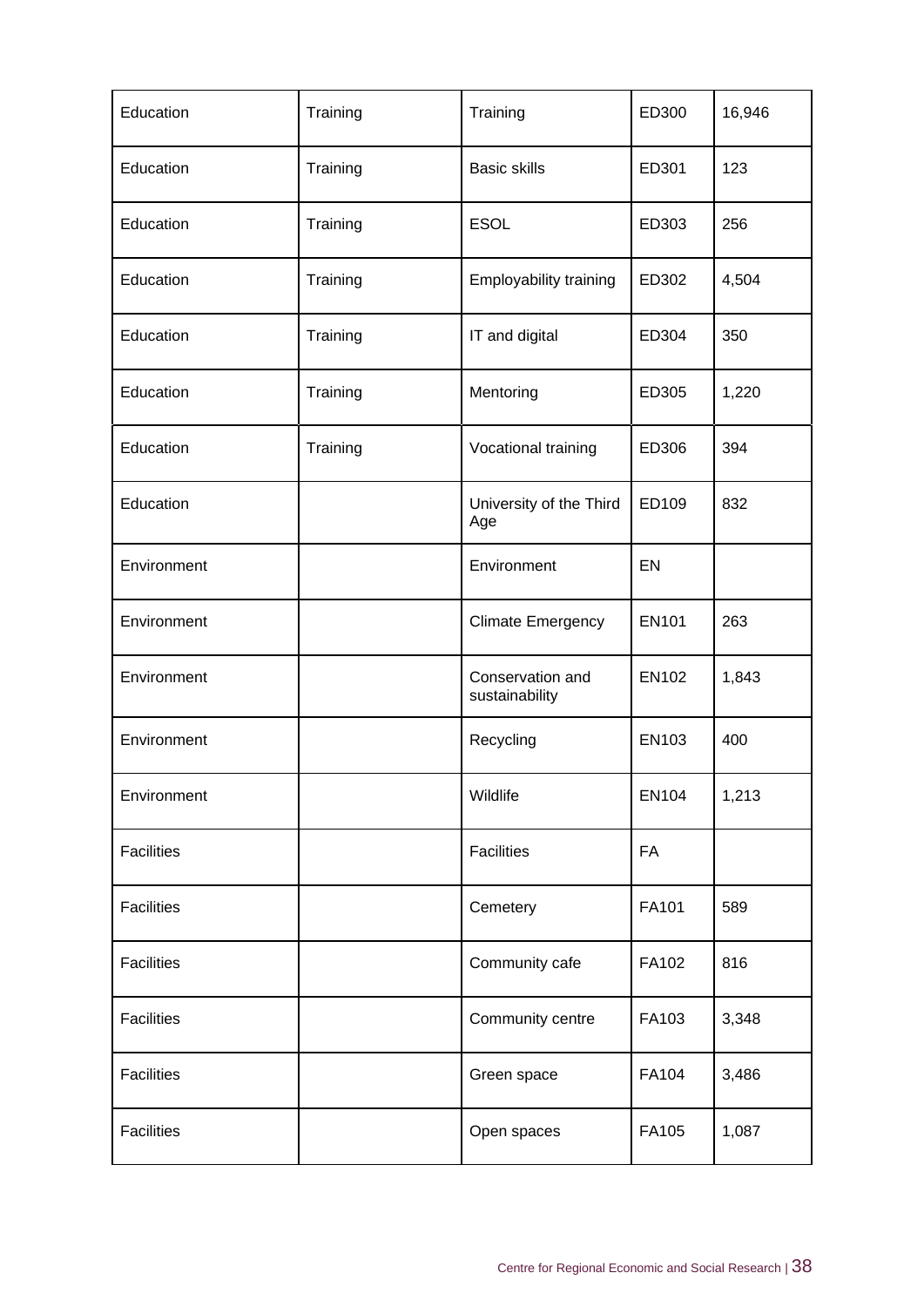| Education         | Training | Training                           | ED300        | 16,946 |
|-------------------|----------|------------------------------------|--------------|--------|
| Education         | Training | <b>Basic skills</b>                | ED301        | 123    |
| Education         | Training | <b>ESOL</b>                        | ED303        | 256    |
| Education         | Training | Employability training             | ED302        | 4,504  |
| Education         | Training | IT and digital                     | ED304        | 350    |
| Education         | Training | Mentoring                          | ED305        | 1,220  |
| Education         | Training | Vocational training                | ED306        | 394    |
| Education         |          | University of the Third<br>Age     | ED109        | 832    |
| Environment       |          | Environment                        | EN           |        |
| Environment       |          | <b>Climate Emergency</b>           | <b>EN101</b> | 263    |
| Environment       |          | Conservation and<br>sustainability | EN102        | 1,843  |
| Environment       |          | Recycling                          | EN103        | 400    |
| Environment       |          | Wildlife                           | EN104        | 1,213  |
| Facilities        |          | Facilities                         | FA           |        |
| Facilities        |          | Cemetery                           | FA101        | 589    |
| <b>Facilities</b> |          | Community cafe                     | FA102        | 816    |
| <b>Facilities</b> |          | Community centre                   | FA103        | 3,348  |
| <b>Facilities</b> |          | Green space                        | FA104        | 3,486  |
| <b>Facilities</b> |          | Open spaces                        | FA105        | 1,087  |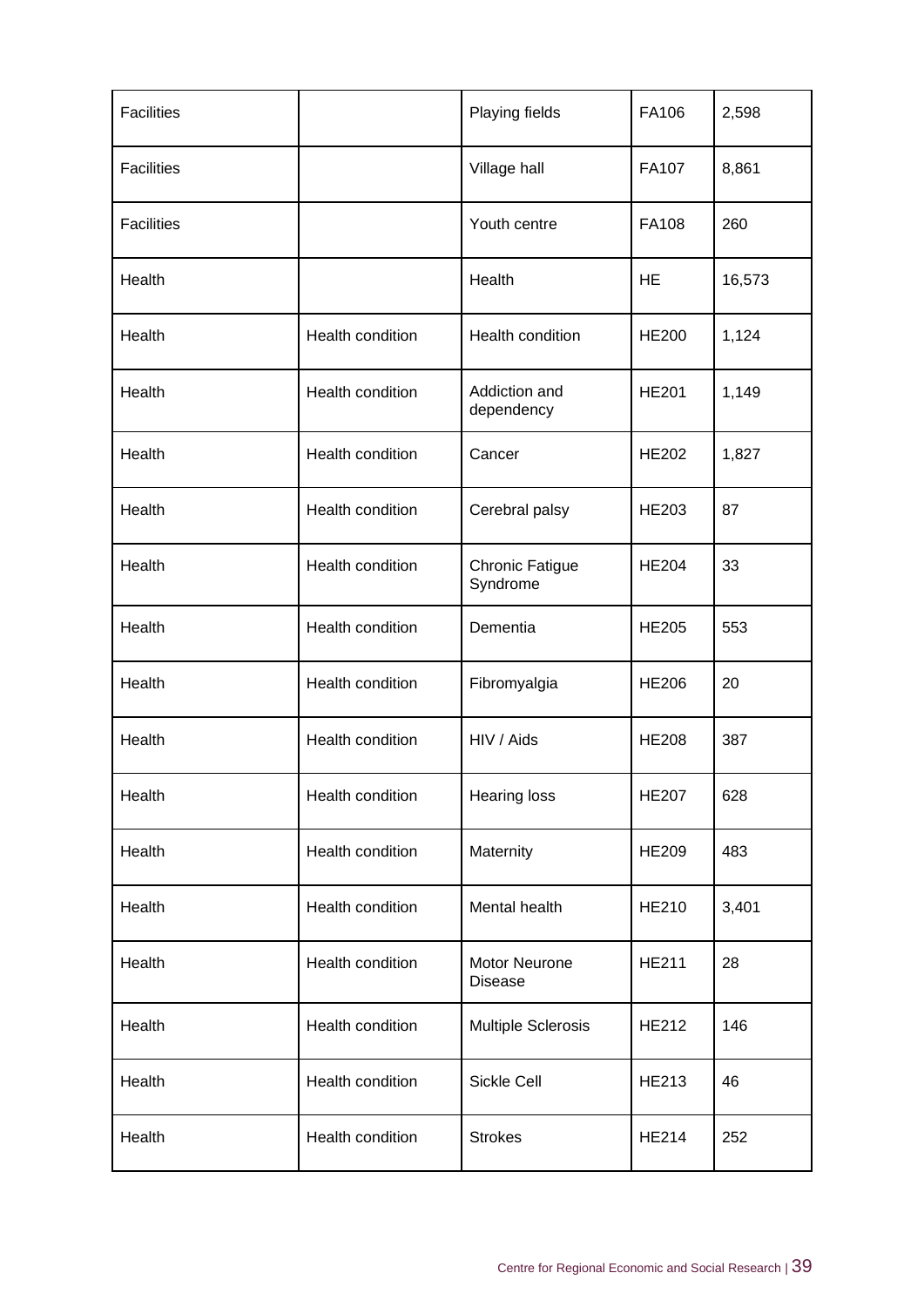| <b>Facilities</b> |                  | Playing fields                     | FA106        | 2,598  |
|-------------------|------------------|------------------------------------|--------------|--------|
| <b>Facilities</b> |                  | Village hall                       | FA107        | 8,861  |
| <b>Facilities</b> |                  | Youth centre                       | FA108        | 260    |
| Health            |                  | Health                             | <b>HE</b>    | 16,573 |
| Health            | Health condition | Health condition                   | <b>HE200</b> | 1,124  |
| Health            | Health condition | Addiction and<br>dependency        | <b>HE201</b> | 1,149  |
| Health            | Health condition | Cancer                             | <b>HE202</b> | 1,827  |
| Health            | Health condition | Cerebral palsy                     | <b>HE203</b> | 87     |
| Health            | Health condition | <b>Chronic Fatigue</b><br>Syndrome | <b>HE204</b> | 33     |
| Health            | Health condition | Dementia                           | <b>HE205</b> | 553    |
| Health            | Health condition | Fibromyalgia                       | <b>HE206</b> | 20     |
| Health            | Health condition | HIV / Aids                         | <b>HE208</b> | 387    |
| Health            | Health condition | <b>Hearing loss</b>                | <b>HE207</b> | 628    |
| Health            | Health condition | Maternity                          | <b>HE209</b> | 483    |
| Health            | Health condition | Mental health                      | <b>HE210</b> | 3,401  |
| Health            | Health condition | Motor Neurone<br><b>Disease</b>    | <b>HE211</b> | 28     |
| Health            | Health condition | <b>Multiple Sclerosis</b>          | <b>HE212</b> | 146    |
| Health            | Health condition | Sickle Cell                        | <b>HE213</b> | 46     |
| Health            | Health condition | <b>Strokes</b>                     | <b>HE214</b> | 252    |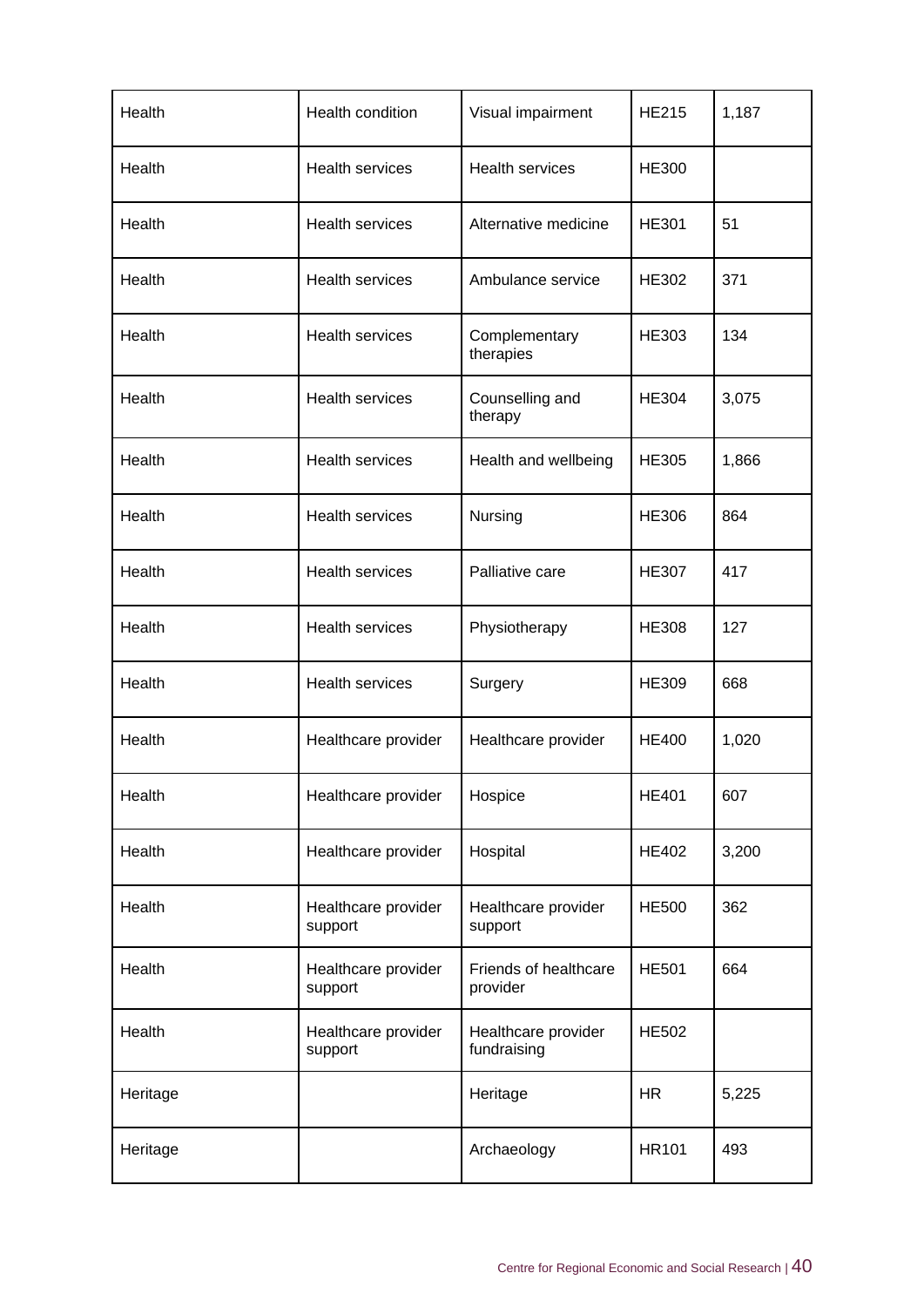| Health   | Health condition               | Visual impairment                  | <b>HE215</b> | 1,187 |
|----------|--------------------------------|------------------------------------|--------------|-------|
| Health   | <b>Health services</b>         | <b>Health services</b>             | <b>HE300</b> |       |
| Health   | <b>Health services</b>         | Alternative medicine               | <b>HE301</b> | 51    |
| Health   | <b>Health services</b>         | Ambulance service                  | <b>HE302</b> | 371   |
| Health   | <b>Health services</b>         | Complementary<br>therapies         | <b>HE303</b> | 134   |
| Health   | <b>Health services</b>         | Counselling and<br>therapy         | <b>HE304</b> | 3,075 |
| Health   | <b>Health services</b>         | Health and wellbeing               | <b>HE305</b> | 1,866 |
| Health   | <b>Health services</b>         | Nursing                            | <b>HE306</b> | 864   |
| Health   | <b>Health services</b>         | Palliative care                    | <b>HE307</b> | 417   |
| Health   | <b>Health services</b>         | Physiotherapy                      | <b>HE308</b> | 127   |
| Health   | <b>Health services</b>         | Surgery                            | <b>HE309</b> | 668   |
| Health   | Healthcare provider            | Healthcare provider                | <b>HE400</b> | 1,020 |
| Health   | Healthcare provider            | Hospice                            | <b>HE401</b> | 607   |
| Health   | Healthcare provider            | Hospital                           | <b>HE402</b> | 3,200 |
| Health   | Healthcare provider<br>support | Healthcare provider<br>support     | <b>HE500</b> | 362   |
| Health   | Healthcare provider<br>support | Friends of healthcare<br>provider  | <b>HE501</b> | 664   |
| Health   | Healthcare provider<br>support | Healthcare provider<br>fundraising | <b>HE502</b> |       |
| Heritage |                                | Heritage                           | <b>HR</b>    | 5,225 |
| Heritage |                                | Archaeology                        | <b>HR101</b> | 493   |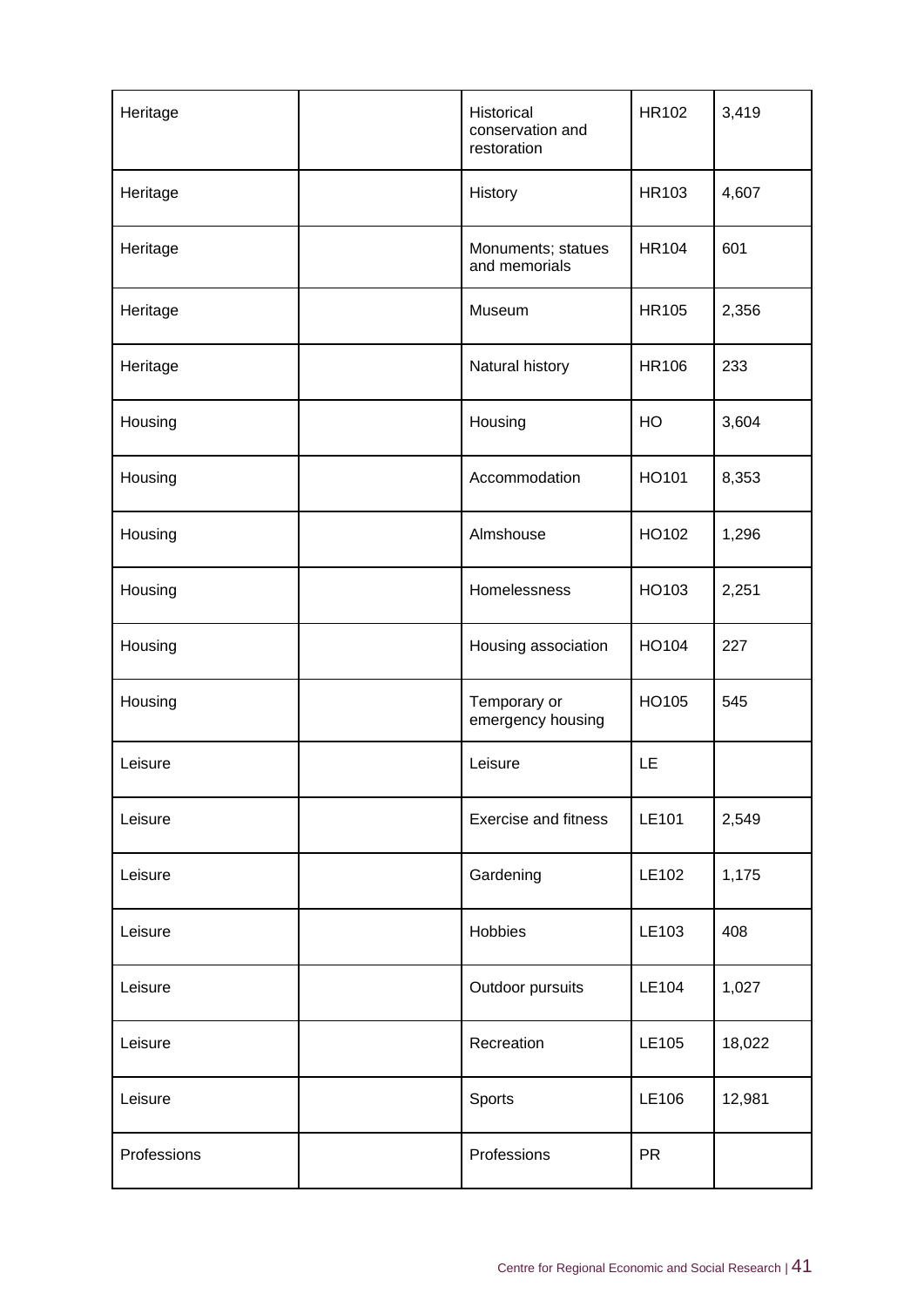| Heritage    | Historical<br>conservation and<br>restoration | <b>HR102</b> | 3,419  |
|-------------|-----------------------------------------------|--------------|--------|
| Heritage    | History                                       | HR103        | 4,607  |
| Heritage    | Monuments; statues<br>and memorials           | <b>HR104</b> | 601    |
| Heritage    | Museum                                        | <b>HR105</b> | 2,356  |
| Heritage    | Natural history                               | <b>HR106</b> | 233    |
| Housing     | Housing                                       | HO           | 3,604  |
| Housing     | Accommodation                                 | HO101        | 8,353  |
| Housing     | Almshouse                                     | HO102        | 1,296  |
| Housing     | Homelessness                                  | HO103        | 2,251  |
| Housing     | Housing association                           | HO104        | 227    |
| Housing     | Temporary or<br>emergency housing             | HO105        | 545    |
| Leisure     | Leisure                                       | LE           |        |
| Leisure     | Exercise and fitness                          | LE101        | 2,549  |
| Leisure     | Gardening                                     | LE102        | 1,175  |
| Leisure     | Hobbies                                       | LE103        | 408    |
| Leisure     | Outdoor pursuits                              | LE104        | 1,027  |
| Leisure     | Recreation                                    | LE105        | 18,022 |
| Leisure     | Sports                                        | LE106        | 12,981 |
| Professions | Professions                                   | <b>PR</b>    |        |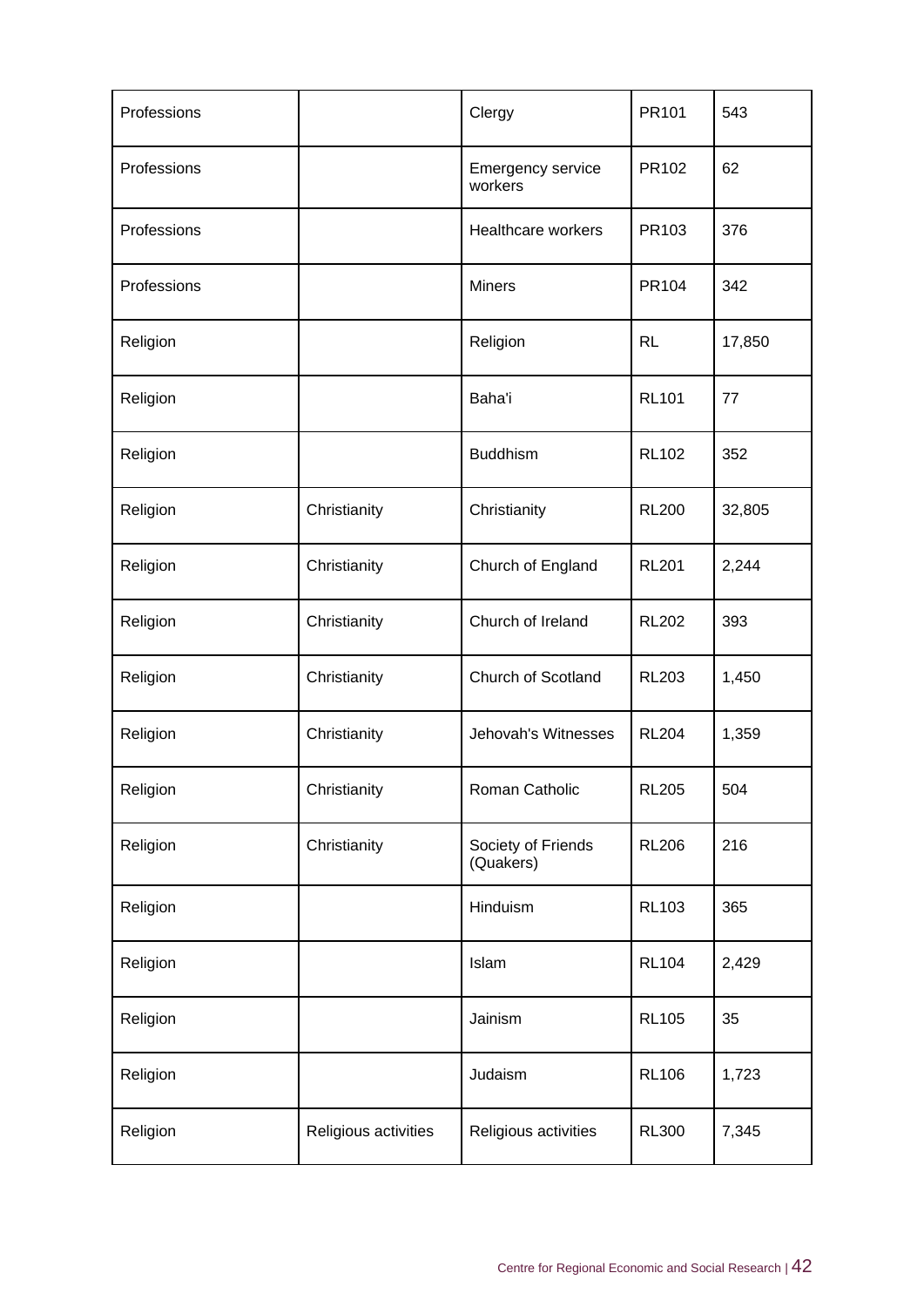| Professions |                      | Clergy                          | PR101        | 543    |
|-------------|----------------------|---------------------------------|--------------|--------|
| Professions |                      | Emergency service<br>workers    | PR102        | 62     |
| Professions |                      | Healthcare workers              | PR103        | 376    |
| Professions |                      | <b>Miners</b>                   | PR104        | 342    |
| Religion    |                      | Religion                        | <b>RL</b>    | 17,850 |
| Religion    |                      | Baha'i                          | <b>RL101</b> | 77     |
| Religion    |                      | <b>Buddhism</b>                 | <b>RL102</b> | 352    |
| Religion    | Christianity         | Christianity                    | <b>RL200</b> | 32,805 |
| Religion    | Christianity         | Church of England               | <b>RL201</b> | 2,244  |
| Religion    | Christianity         | Church of Ireland               | <b>RL202</b> | 393    |
| Religion    | Christianity         | Church of Scotland              | <b>RL203</b> | 1,450  |
| Religion    | Christianity         | Jehovah's Witnesses             | <b>RL204</b> | 1,359  |
| Religion    | Christianity         | Roman Catholic                  | <b>RL205</b> | 504    |
| Religion    | Christianity         | Society of Friends<br>(Quakers) | <b>RL206</b> | 216    |
| Religion    |                      | Hinduism                        | <b>RL103</b> | 365    |
| Religion    |                      | Islam                           | <b>RL104</b> | 2,429  |
| Religion    |                      | Jainism                         | <b>RL105</b> | 35     |
| Religion    |                      | Judaism                         | <b>RL106</b> | 1,723  |
| Religion    | Religious activities | Religious activities            | <b>RL300</b> | 7,345  |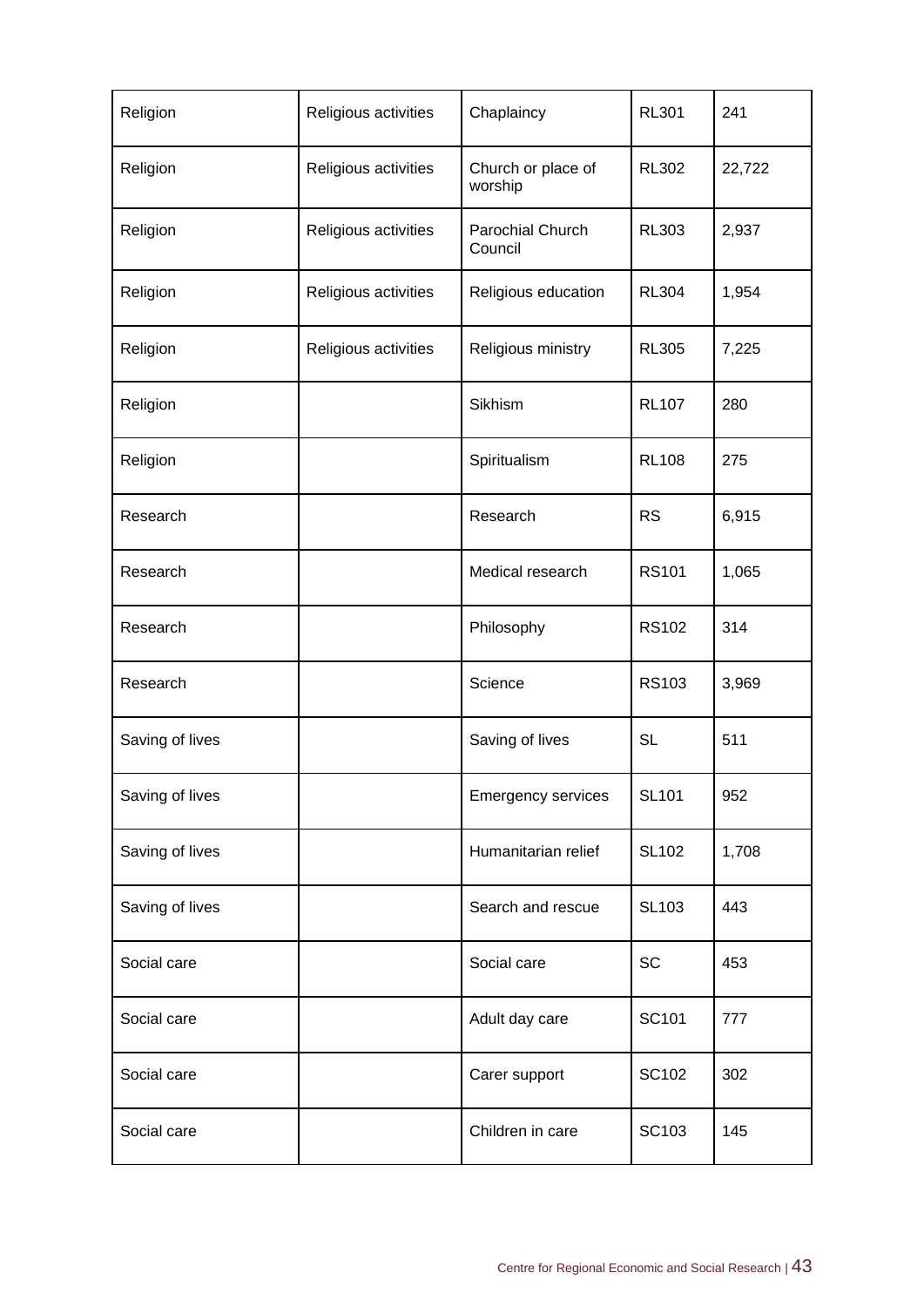| Religion        | Religious activities | Chaplaincy                    | <b>RL301</b> | 241    |
|-----------------|----------------------|-------------------------------|--------------|--------|
| Religion        | Religious activities | Church or place of<br>worship | <b>RL302</b> | 22,722 |
| Religion        | Religious activities | Parochial Church<br>Council   | <b>RL303</b> | 2,937  |
| Religion        | Religious activities | Religious education           | <b>RL304</b> | 1,954  |
| Religion        | Religious activities | Religious ministry            | <b>RL305</b> | 7,225  |
| Religion        |                      | Sikhism                       | <b>RL107</b> | 280    |
| Religion        |                      | Spiritualism                  | <b>RL108</b> | 275    |
| Research        |                      | Research                      | <b>RS</b>    | 6,915  |
| Research        |                      | Medical research              | <b>RS101</b> | 1,065  |
| Research        |                      | Philosophy                    | <b>RS102</b> | 314    |
| Research        |                      | Science                       | <b>RS103</b> | 3,969  |
| Saving of lives |                      | Saving of lives               | <b>SL</b>    | 511    |
| Saving of lives |                      | <b>Emergency services</b>     | <b>SL101</b> | 952    |
| Saving of lives |                      | Humanitarian relief           | <b>SL102</b> | 1,708  |
| Saving of lives |                      | Search and rescue             | <b>SL103</b> | 443    |
| Social care     |                      | Social care                   | SC           | 453    |
| Social care     |                      | Adult day care                | SC101        | 777    |
| Social care     |                      | Carer support                 | SC102        | 302    |
| Social care     |                      | Children in care              | SC103        | 145    |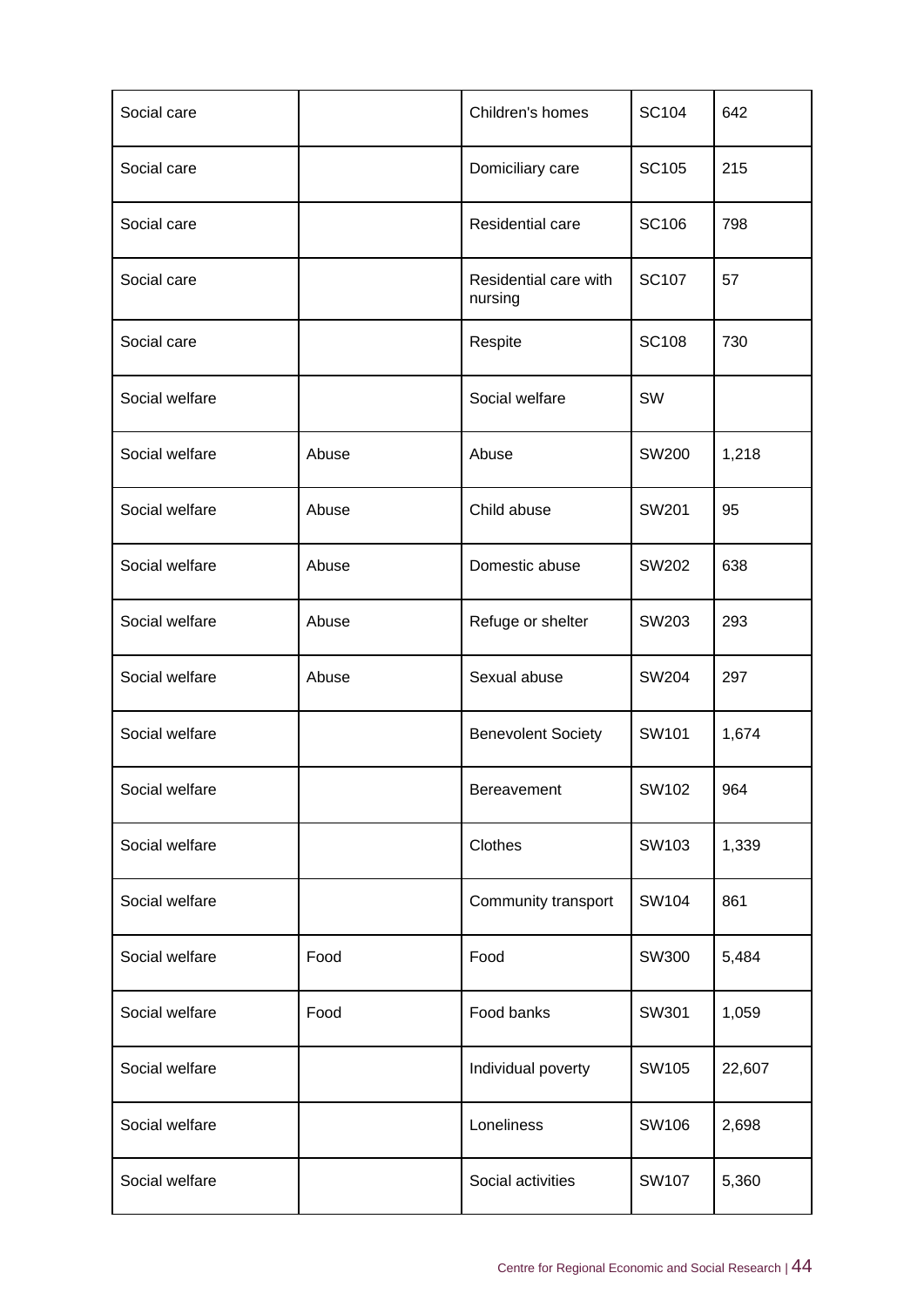| Social care    |       | Children's homes                 | SC104        | 642    |
|----------------|-------|----------------------------------|--------------|--------|
| Social care    |       | Domiciliary care                 | SC105        | 215    |
| Social care    |       | Residential care                 | <b>SC106</b> | 798    |
| Social care    |       | Residential care with<br>nursing | <b>SC107</b> | 57     |
| Social care    |       | Respite                          | <b>SC108</b> | 730    |
| Social welfare |       | Social welfare                   | SW           |        |
| Social welfare | Abuse | Abuse                            | <b>SW200</b> | 1,218  |
| Social welfare | Abuse | Child abuse                      | SW201        | 95     |
| Social welfare | Abuse | Domestic abuse                   | <b>SW202</b> | 638    |
| Social welfare | Abuse | Refuge or shelter                | SW203        | 293    |
| Social welfare | Abuse | Sexual abuse                     | SW204        | 297    |
| Social welfare |       | <b>Benevolent Society</b>        | SW101        | 1,674  |
| Social welfare |       | Bereavement                      | SW102        | 964    |
| Social welfare |       | Clothes                          | SW103        | 1,339  |
| Social welfare |       | Community transport              | SW104        | 861    |
| Social welfare | Food  | Food                             | SW300        | 5,484  |
| Social welfare | Food  | Food banks                       | SW301        | 1,059  |
| Social welfare |       | Individual poverty               | SW105        | 22,607 |
| Social welfare |       | Loneliness                       | SW106        | 2,698  |
| Social welfare |       | Social activities                | <b>SW107</b> | 5,360  |